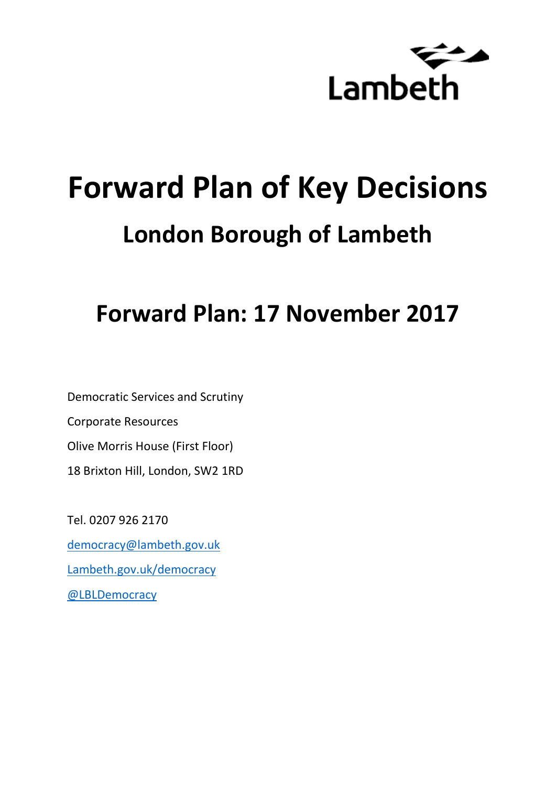

# **Forward Plan of Key Decisions London Borough of Lambeth**

**Forward Plan: 17 November 2017**

Democratic Services and Scrutiny Corporate Resources Olive Morris House (First Floor) 18 Brixton Hill, London, SW2 1RD

Tel. 0207 926 2170 [democracy@lambeth.gov.uk](mailto:democracy@lambeth.gov.uk) [Lambeth.gov.uk/democracy](https://www.lambeth.gov.uk/elections-and-council/meetings-minutes-and-agendas/getting-involved-in-decision-making-guide) [@LBLDemocracy](https://twitter.com/LBLDemocracy?lang=en)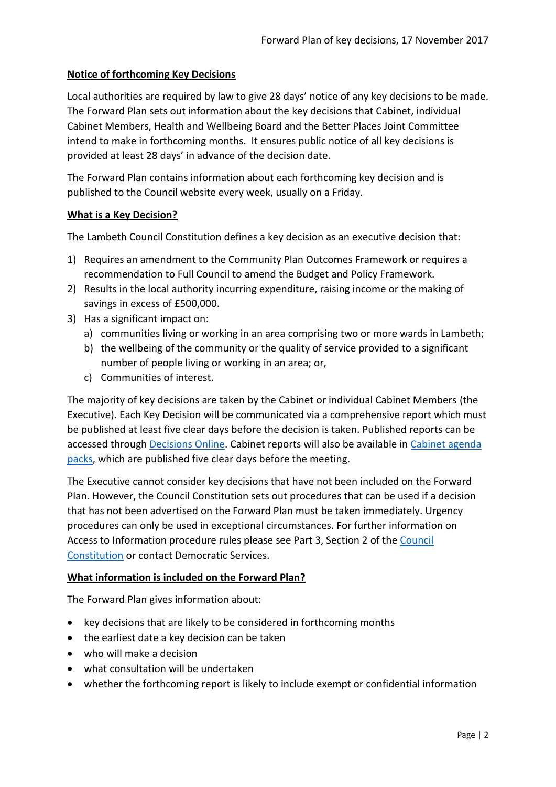#### **Notice of forthcoming Key Decisions**

Local authorities are required by law to give 28 days' notice of any key decisions to be made. The Forward Plan sets out information about the key decisions that Cabinet, individual Cabinet Members, Health and Wellbeing Board and the Better Places Joint Committee intend to make in forthcoming months. It ensures public notice of all key decisions is provided at least 28 days' in advance of the decision date.

The Forward Plan contains information about each forthcoming key decision and is published to the Council website every week, usually on a Friday.

#### **What is a Key Decision?**

The Lambeth Council Constitution defines a key decision as an executive decision that:

- 1) Requires an amendment to the Community Plan Outcomes Framework or requires a recommendation to Full Council to amend the Budget and Policy Framework.
- 2) Results in the local authority incurring expenditure, raising income or the making of savings in excess of £500,000.
- 3) Has a significant impact on:
	- a) communities living or working in an area comprising two or more wards in Lambeth;
	- b) the wellbeing of the community or the quality of service provided to a significant number of people living or working in an area; or,
	- c) Communities of interest.

The majority of key decisions are taken by the Cabinet or individual Cabinet Members (the Executive). Each Key Decision will be communicated via a comprehensive report which must be published at least five clear days before the decision is taken. Published reports can be accessed through [Decisions Online.](http://moderngov.lambeth.gov.uk/mgDelegatedDecisions.aspx?bcr=1&DM=0&DS=2&K=0&DR=&V=0) Cabinet reports will also be available in [Cabinet agenda](https://moderngov.lambeth.gov.uk/ieListMeetings.aspx?CommitteeId=225)  [packs,](https://moderngov.lambeth.gov.uk/ieListMeetings.aspx?CommitteeId=225) which are published five clear days before the meeting.

The Executive cannot consider key decisions that have not been included on the Forward Plan. However, the Council Constitution sets out procedures that can be used if a decision that has not been advertised on the Forward Plan must be taken immediately. Urgency procedures can only be used in exceptional circumstances. For further information on Access to Information procedure rules please see Part 3, Section 2 of the [Council](http://moderngov.lambeth.gov.uk/ieListMeetings.aspx?CId=738&info=1&MD=Constitution)  [Constitution](http://moderngov.lambeth.gov.uk/ieListMeetings.aspx?CId=738&info=1&MD=Constitution) or contact Democratic Services.

# **What information is included on the Forward Plan?**

The Forward Plan gives information about:

- key decisions that are likely to be considered in forthcoming months
- the earliest date a key decision can be taken
- who will make a decision
- what consultation will be undertaken
- whether the forthcoming report is likely to include exempt or confidential information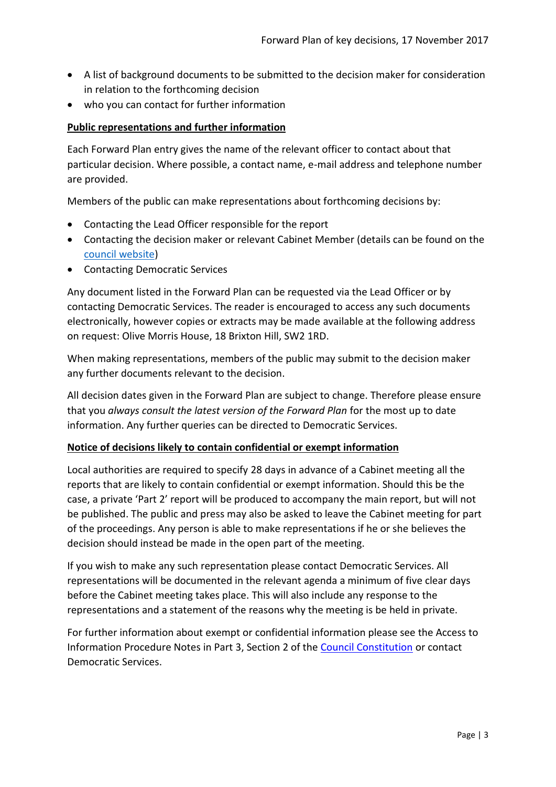- A list of background documents to be submitted to the decision maker for consideration in relation to the forthcoming decision
- who you can contact for further information

#### **Public representations and further information**

Each Forward Plan entry gives the name of the relevant officer to contact about that particular decision. Where possible, a contact name, e-mail address and telephone number are provided.

Members of the public can make representations about forthcoming decisions by:

- Contacting the Lead Officer responsible for the report
- Contacting the decision maker or relevant Cabinet Member (details can be found on the [council website\)](http://moderngov.lambeth.gov.uk/mgMemberIndex.aspx?bcr=1)
- Contacting Democratic Services

Any document listed in the Forward Plan can be requested via the Lead Officer or by contacting Democratic Services. The reader is encouraged to access any such documents electronically, however copies or extracts may be made available at the following address on request: Olive Morris House, 18 Brixton Hill, SW2 1RD.

When making representations, members of the public may submit to the decision maker any further documents relevant to the decision.

All decision dates given in the Forward Plan are subject to change. Therefore please ensure that you *always consult the latest version of the Forward Plan* for the most up to date information. Any further queries can be directed to Democratic Services.

#### **Notice of decisions likely to contain confidential or exempt information**

Local authorities are required to specify 28 days in advance of a Cabinet meeting all the reports that are likely to contain confidential or exempt information. Should this be the case, a private 'Part 2' report will be produced to accompany the main report, but will not be published. The public and press may also be asked to leave the Cabinet meeting for part of the proceedings. Any person is able to make representations if he or she believes the decision should instead be made in the open part of the meeting.

If you wish to make any such representation please contact Democratic Services. All representations will be documented in the relevant agenda a minimum of five clear days before the Cabinet meeting takes place. This will also include any response to the representations and a statement of the reasons why the meeting is be held in private.

For further information about exempt or confidential information please see the Access to Information Procedure Notes in Part 3, Section 2 of the [Council Constitution](http://www.lambeth.gov.uk/sites/default/files/ec-Council-Constitution-2014-15-approved-with-changes-November-2014.pdf) or contact Democratic Services.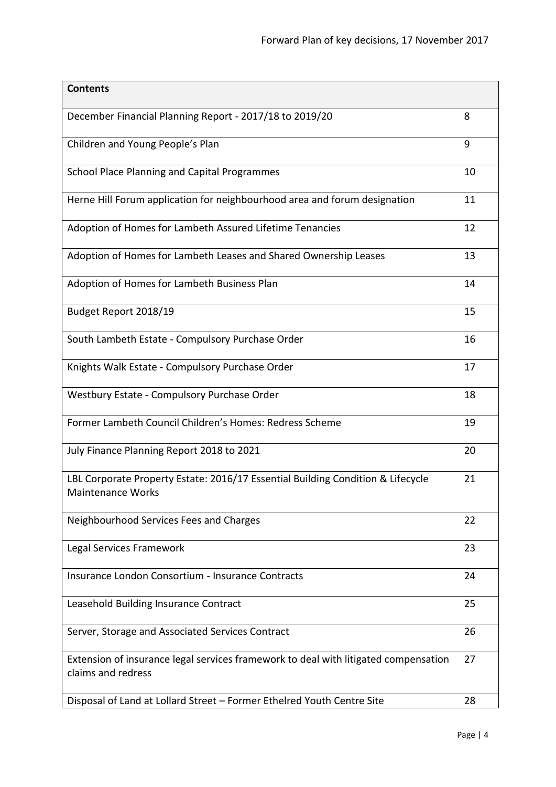| <b>Contents</b>                                                                                             |    |
|-------------------------------------------------------------------------------------------------------------|----|
| December Financial Planning Report - 2017/18 to 2019/20                                                     | 8  |
| Children and Young People's Plan                                                                            | 9  |
| <b>School Place Planning and Capital Programmes</b>                                                         | 10 |
| Herne Hill Forum application for neighbourhood area and forum designation                                   | 11 |
| Adoption of Homes for Lambeth Assured Lifetime Tenancies                                                    | 12 |
| Adoption of Homes for Lambeth Leases and Shared Ownership Leases                                            | 13 |
| Adoption of Homes for Lambeth Business Plan                                                                 | 14 |
| Budget Report 2018/19                                                                                       | 15 |
| South Lambeth Estate - Compulsory Purchase Order                                                            | 16 |
| Knights Walk Estate - Compulsory Purchase Order                                                             | 17 |
| Westbury Estate - Compulsory Purchase Order                                                                 | 18 |
| Former Lambeth Council Children's Homes: Redress Scheme                                                     | 19 |
| July Finance Planning Report 2018 to 2021                                                                   | 20 |
| LBL Corporate Property Estate: 2016/17 Essential Building Condition & Lifecycle<br><b>Maintenance Works</b> | 21 |
| Neighbourhood Services Fees and Charges                                                                     | 22 |
| Legal Services Framework                                                                                    | 23 |
| Insurance London Consortium - Insurance Contracts                                                           | 24 |
| Leasehold Building Insurance Contract                                                                       | 25 |
| Server, Storage and Associated Services Contract                                                            | 26 |
| Extension of insurance legal services framework to deal with litigated compensation<br>claims and redress   | 27 |
| Disposal of Land at Lollard Street - Former Ethelred Youth Centre Site                                      | 28 |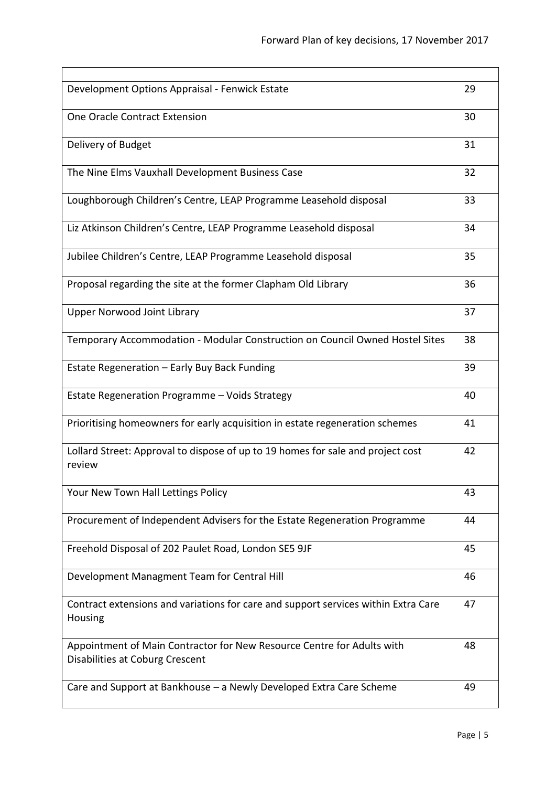| Development Options Appraisal - Fenwick Estate                                                            | 29 |
|-----------------------------------------------------------------------------------------------------------|----|
| One Oracle Contract Extension                                                                             | 30 |
| Delivery of Budget                                                                                        | 31 |
| The Nine Elms Vauxhall Development Business Case                                                          | 32 |
| Loughborough Children's Centre, LEAP Programme Leasehold disposal                                         | 33 |
| Liz Atkinson Children's Centre, LEAP Programme Leasehold disposal                                         | 34 |
| Jubilee Children's Centre, LEAP Programme Leasehold disposal                                              | 35 |
| Proposal regarding the site at the former Clapham Old Library                                             | 36 |
| <b>Upper Norwood Joint Library</b>                                                                        | 37 |
| Temporary Accommodation - Modular Construction on Council Owned Hostel Sites                              | 38 |
| Estate Regeneration - Early Buy Back Funding                                                              | 39 |
| Estate Regeneration Programme - Voids Strategy                                                            | 40 |
| Prioritising homeowners for early acquisition in estate regeneration schemes                              | 41 |
| Lollard Street: Approval to dispose of up to 19 homes for sale and project cost<br>review                 | 42 |
| Your New Town Hall Lettings Policy                                                                        | 43 |
| Procurement of Independent Advisers for the Estate Regeneration Programme                                 | 44 |
| Freehold Disposal of 202 Paulet Road, London SE5 9JF                                                      | 45 |
| Development Managment Team for Central Hill                                                               | 46 |
| Contract extensions and variations for care and support services within Extra Care<br>Housing             | 47 |
| Appointment of Main Contractor for New Resource Centre for Adults with<br>Disabilities at Coburg Crescent | 48 |
| Care and Support at Bankhouse - a Newly Developed Extra Care Scheme                                       | 49 |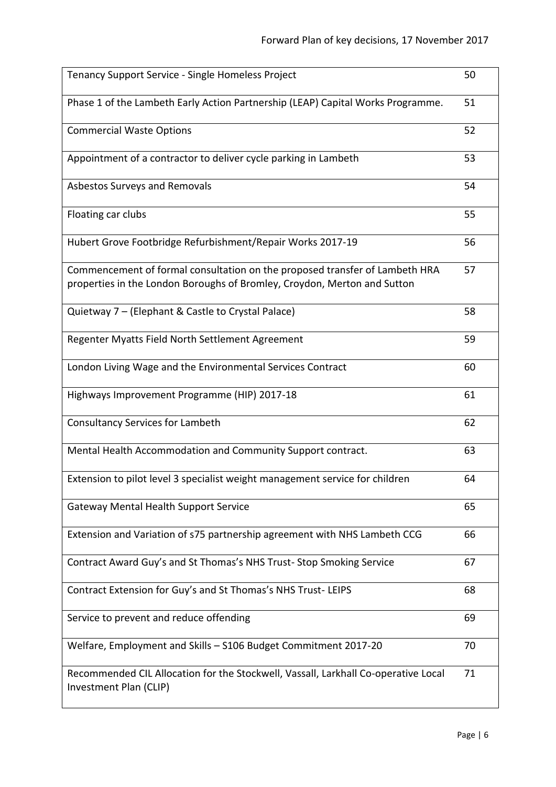| Tenancy Support Service - Single Homeless Project                                                                                                       | 50 |
|---------------------------------------------------------------------------------------------------------------------------------------------------------|----|
| Phase 1 of the Lambeth Early Action Partnership (LEAP) Capital Works Programme.                                                                         | 51 |
| <b>Commercial Waste Options</b>                                                                                                                         | 52 |
| Appointment of a contractor to deliver cycle parking in Lambeth                                                                                         | 53 |
| Asbestos Surveys and Removals                                                                                                                           | 54 |
| Floating car clubs                                                                                                                                      | 55 |
| Hubert Grove Footbridge Refurbishment/Repair Works 2017-19                                                                                              | 56 |
| Commencement of formal consultation on the proposed transfer of Lambeth HRA<br>properties in the London Boroughs of Bromley, Croydon, Merton and Sutton | 57 |
| Quietway 7 - (Elephant & Castle to Crystal Palace)                                                                                                      | 58 |
| Regenter Myatts Field North Settlement Agreement                                                                                                        | 59 |
| London Living Wage and the Environmental Services Contract                                                                                              | 60 |
| Highways Improvement Programme (HIP) 2017-18                                                                                                            | 61 |
| <b>Consultancy Services for Lambeth</b>                                                                                                                 | 62 |
| Mental Health Accommodation and Community Support contract.                                                                                             | 63 |
| Extension to pilot level 3 specialist weight management service for children                                                                            | 64 |
| <b>Gateway Mental Health Support Service</b>                                                                                                            | 65 |
| Extension and Variation of s75 partnership agreement with NHS Lambeth CCG                                                                               | 66 |
| Contract Award Guy's and St Thomas's NHS Trust-Stop Smoking Service                                                                                     | 67 |
| Contract Extension for Guy's and St Thomas's NHS Trust-LEIPS                                                                                            | 68 |
| Service to prevent and reduce offending                                                                                                                 | 69 |
| Welfare, Employment and Skills - S106 Budget Commitment 2017-20                                                                                         | 70 |
| Recommended CIL Allocation for the Stockwell, Vassall, Larkhall Co-operative Local<br>Investment Plan (CLIP)                                            | 71 |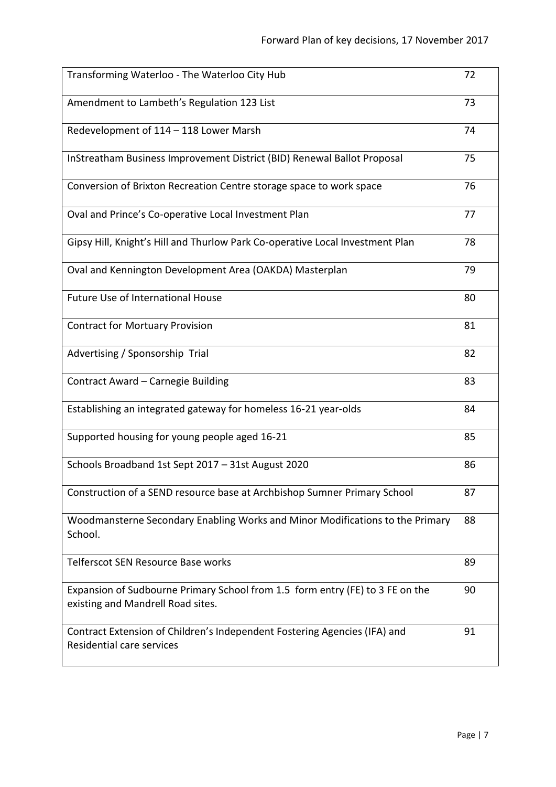| Transforming Waterloo - The Waterloo City Hub                                                                      | 72 |
|--------------------------------------------------------------------------------------------------------------------|----|
| Amendment to Lambeth's Regulation 123 List                                                                         | 73 |
| Redevelopment of 114 - 118 Lower Marsh                                                                             | 74 |
| InStreatham Business Improvement District (BID) Renewal Ballot Proposal                                            | 75 |
| Conversion of Brixton Recreation Centre storage space to work space                                                | 76 |
| Oval and Prince's Co-operative Local Investment Plan                                                               | 77 |
| Gipsy Hill, Knight's Hill and Thurlow Park Co-operative Local Investment Plan                                      | 78 |
| Oval and Kennington Development Area (OAKDA) Masterplan                                                            | 79 |
| <b>Future Use of International House</b>                                                                           | 80 |
| <b>Contract for Mortuary Provision</b>                                                                             | 81 |
| Advertising / Sponsorship Trial                                                                                    | 82 |
| Contract Award - Carnegie Building                                                                                 | 83 |
| Establishing an integrated gateway for homeless 16-21 year-olds                                                    | 84 |
| Supported housing for young people aged 16-21                                                                      | 85 |
| Schools Broadband 1st Sept 2017 - 31st August 2020                                                                 | 86 |
| Construction of a SEND resource base at Archbishop Sumner Primary School                                           | 87 |
| Woodmansterne Secondary Enabling Works and Minor Modifications to the Primary<br>School.                           | 88 |
| Telferscot SEN Resource Base works                                                                                 | 89 |
| Expansion of Sudbourne Primary School from 1.5 form entry (FE) to 3 FE on the<br>existing and Mandrell Road sites. | 90 |
| Contract Extension of Children's Independent Fostering Agencies (IFA) and<br>Residential care services             | 91 |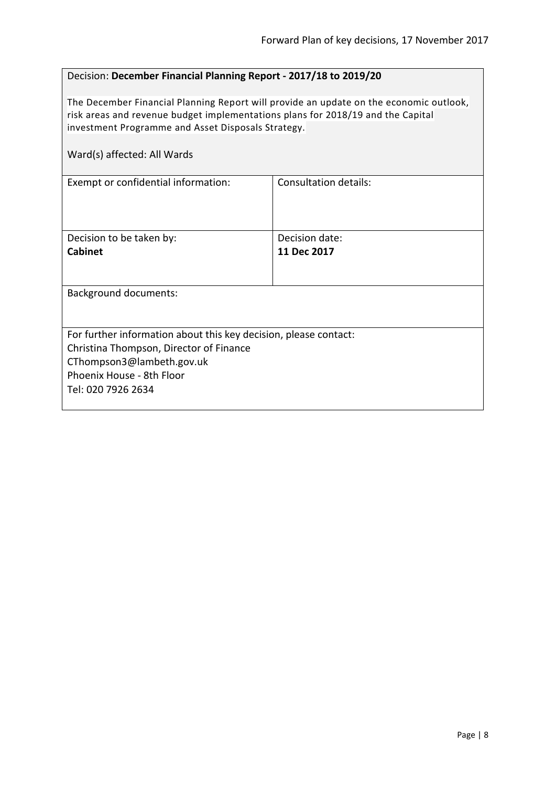# <span id="page-7-0"></span>Decision: **December Financial Planning Report - 2017/18 to 2019/20**

The December Financial Planning Report will provide an update on the economic outlook, risk areas and revenue budget implementations plans for 2018/19 and the Capital investment Programme and Asset Disposals Strategy.

| Exempt or confidential information:                                                                                                                                                         | Consultation details: |  |
|---------------------------------------------------------------------------------------------------------------------------------------------------------------------------------------------|-----------------------|--|
| Decision to be taken by:                                                                                                                                                                    | Decision date:        |  |
| <b>Cabinet</b>                                                                                                                                                                              | 11 Dec 2017           |  |
| <b>Background documents:</b>                                                                                                                                                                |                       |  |
| For further information about this key decision, please contact:<br>Christina Thompson, Director of Finance<br>CThompson3@lambeth.gov.uk<br>Phoenix House - 8th Floor<br>Tel: 020 7926 2634 |                       |  |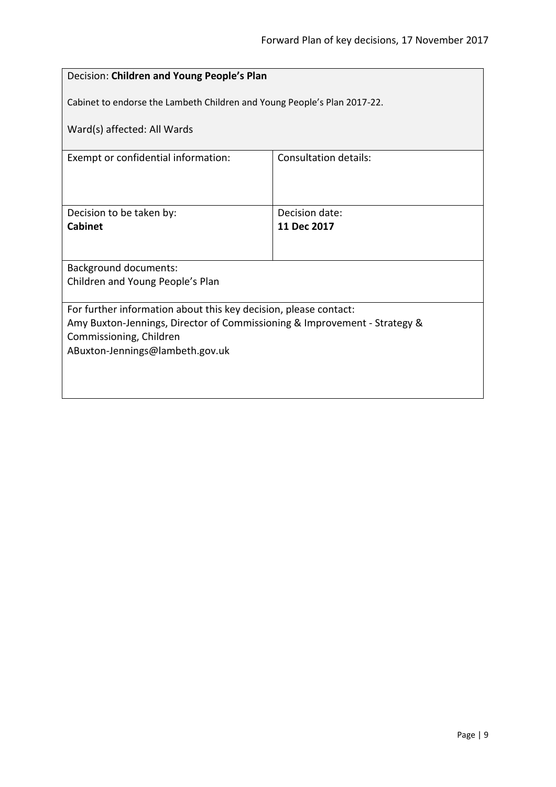<span id="page-8-0"></span>

| Decision: Children and Young People's Plan                                                                                                                                                                  |                                                                          |  |
|-------------------------------------------------------------------------------------------------------------------------------------------------------------------------------------------------------------|--------------------------------------------------------------------------|--|
|                                                                                                                                                                                                             | Cabinet to endorse the Lambeth Children and Young People's Plan 2017-22. |  |
| Ward(s) affected: All Wards                                                                                                                                                                                 |                                                                          |  |
| Exempt or confidential information:                                                                                                                                                                         | Consultation details:                                                    |  |
|                                                                                                                                                                                                             |                                                                          |  |
| Decision to be taken by:<br>Cabinet                                                                                                                                                                         | Decision date:<br>11 Dec 2017                                            |  |
|                                                                                                                                                                                                             |                                                                          |  |
| <b>Background documents:</b><br>Children and Young People's Plan                                                                                                                                            |                                                                          |  |
| For further information about this key decision, please contact:<br>Amy Buxton-Jennings, Director of Commissioning & Improvement - Strategy &<br>Commissioning, Children<br>ABuxton-Jennings@lambeth.gov.uk |                                                                          |  |
|                                                                                                                                                                                                             |                                                                          |  |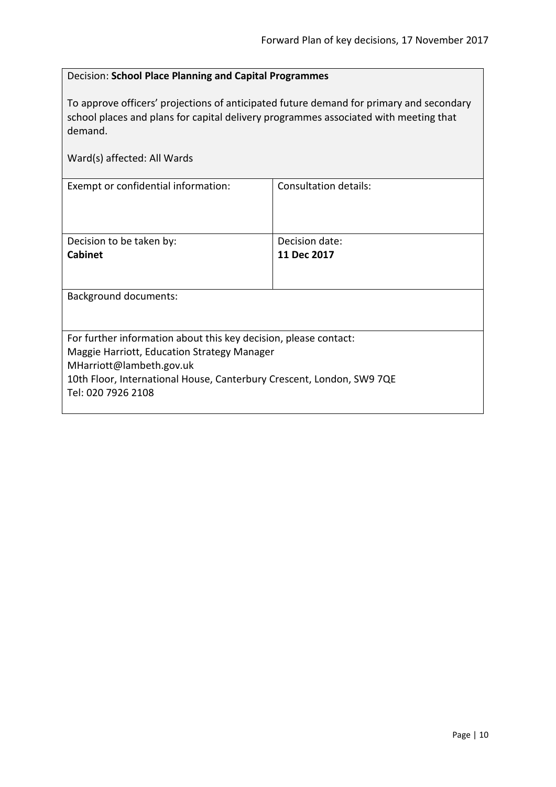# Decision: **School Place Planning and Capital Programmes**

To approve officers' projections of anticipated future demand for primary and secondary school places and plans for capital delivery programmes associated with meeting that demand.

<span id="page-9-0"></span>Consultation details:

| Ward(s) affected: All Wards         |
|-------------------------------------|
| Exempt or confidential information: |

| Decision to be taken by:                                                                    | Decision date: |  |
|---------------------------------------------------------------------------------------------|----------------|--|
| <b>Cabinet</b>                                                                              | 11 Dec 2017    |  |
|                                                                                             |                |  |
| <b>Background documents:</b>                                                                |                |  |
|                                                                                             |                |  |
| For further information about this key decision, please contact:                            |                |  |
| Maggie Harriott, Education Strategy Manager                                                 |                |  |
| MHarriott@lambeth.gov.uk                                                                    |                |  |
| 10th Floor, International House, Canterbury Crescent, London, SW9 7QE<br>Tel: 020 7926 2108 |                |  |
|                                                                                             |                |  |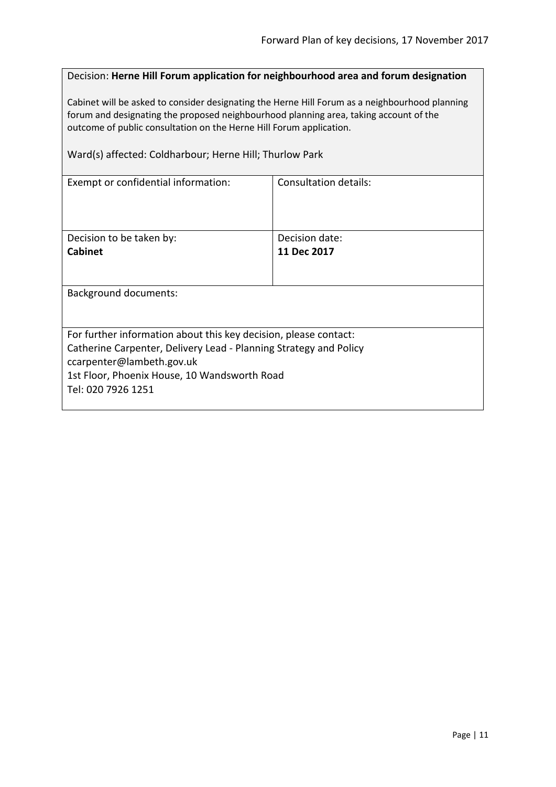# <span id="page-10-0"></span>Decision: **Herne Hill Forum application for neighbourhood area and forum designation**

Cabinet will be asked to consider designating the Herne Hill Forum as a neighbourhood planning forum and designating the proposed neighbourhood planning area, taking account of the outcome of public consultation on the Herne Hill Forum application.

Ward(s) affected: Coldharbour; Herne Hill; Thurlow Park

| Exempt or confidential information:                               | Consultation details: |  |
|-------------------------------------------------------------------|-----------------------|--|
| Decision to be taken by:                                          | Decision date:        |  |
| <b>Cabinet</b>                                                    | 11 Dec 2017           |  |
|                                                                   |                       |  |
|                                                                   |                       |  |
| <b>Background documents:</b>                                      |                       |  |
|                                                                   |                       |  |
| For further information about this key decision, please contact:  |                       |  |
| Catherine Carpenter, Delivery Lead - Planning Strategy and Policy |                       |  |
| ccarpenter@lambeth.gov.uk                                         |                       |  |
| 1st Floor, Phoenix House, 10 Wandsworth Road                      |                       |  |
|                                                                   |                       |  |
| Tel: 020 7926 1251                                                |                       |  |
|                                                                   |                       |  |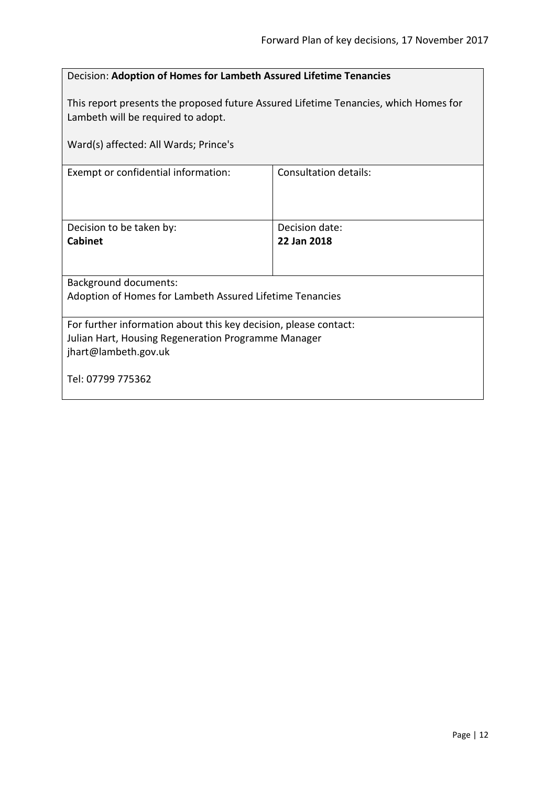<span id="page-11-0"></span>

| Decision: Adoption of Homes for Lambeth Assured Lifetime Tenancies                                                                              |                               |
|-------------------------------------------------------------------------------------------------------------------------------------------------|-------------------------------|
| This report presents the proposed future Assured Lifetime Tenancies, which Homes for<br>Lambeth will be required to adopt.                      |                               |
| Ward(s) affected: All Wards; Prince's                                                                                                           |                               |
| Exempt or confidential information:                                                                                                             | Consultation details:         |
| Decision to be taken by:<br>Cabinet                                                                                                             | Decision date:<br>22 Jan 2018 |
|                                                                                                                                                 |                               |
| <b>Background documents:</b>                                                                                                                    |                               |
| Adoption of Homes for Lambeth Assured Lifetime Tenancies                                                                                        |                               |
| For further information about this key decision, please contact:<br>Julian Hart, Housing Regeneration Programme Manager<br>jhart@lambeth.gov.uk |                               |
| Tel: 07799 775362                                                                                                                               |                               |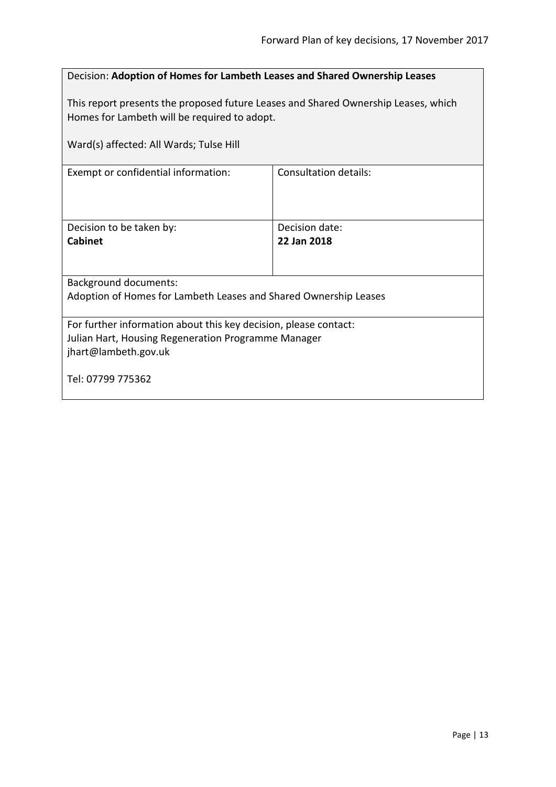<span id="page-12-0"></span>

| Decision: Adoption of Homes for Lambeth Leases and Shared Ownership Leases                                                                      |                               |
|-------------------------------------------------------------------------------------------------------------------------------------------------|-------------------------------|
| This report presents the proposed future Leases and Shared Ownership Leases, which<br>Homes for Lambeth will be required to adopt.              |                               |
| Ward(s) affected: All Wards; Tulse Hill                                                                                                         |                               |
| Exempt or confidential information:                                                                                                             | Consultation details:         |
| Decision to be taken by:<br><b>Cabinet</b>                                                                                                      | Decision date:<br>22 Jan 2018 |
| <b>Background documents:</b>                                                                                                                    |                               |
| Adoption of Homes for Lambeth Leases and Shared Ownership Leases                                                                                |                               |
| For further information about this key decision, please contact:<br>Julian Hart, Housing Regeneration Programme Manager<br>jhart@lambeth.gov.uk |                               |
| Tel: 07799 775362                                                                                                                               |                               |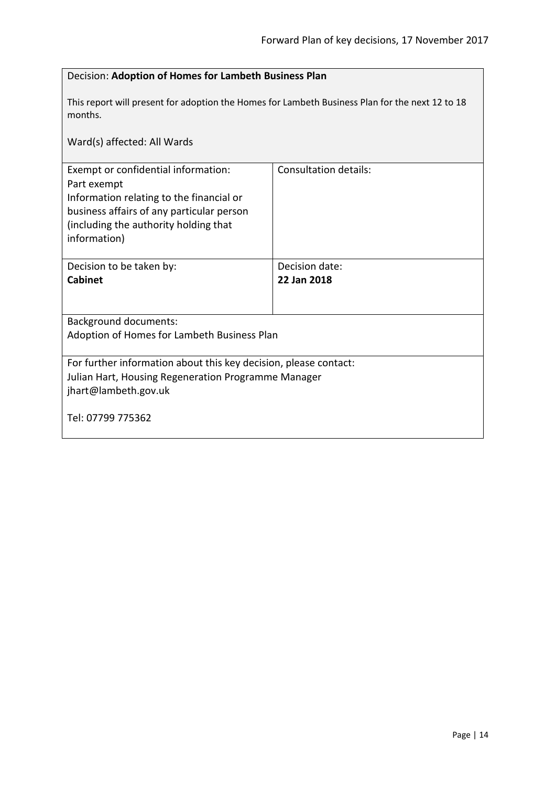<span id="page-13-0"></span>

| Decision: Adoption of Homes for Lambeth Business Plan                                                                                                                                                |                               |  |
|------------------------------------------------------------------------------------------------------------------------------------------------------------------------------------------------------|-------------------------------|--|
| This report will present for adoption the Homes for Lambeth Business Plan for the next 12 to 18<br>months.                                                                                           |                               |  |
| Ward(s) affected: All Wards                                                                                                                                                                          |                               |  |
| Exempt or confidential information:<br>Part exempt<br>Information relating to the financial or<br>business affairs of any particular person<br>(including the authority holding that<br>information) | <b>Consultation details:</b>  |  |
| Decision to be taken by:<br><b>Cabinet</b>                                                                                                                                                           | Decision date:<br>22 Jan 2018 |  |
| <b>Background documents:</b><br>Adoption of Homes for Lambeth Business Plan                                                                                                                          |                               |  |
| For further information about this key decision, please contact:<br>Julian Hart, Housing Regeneration Programme Manager<br>jhart@lambeth.gov.uk<br>Tel: 07799 775362                                 |                               |  |
|                                                                                                                                                                                                      |                               |  |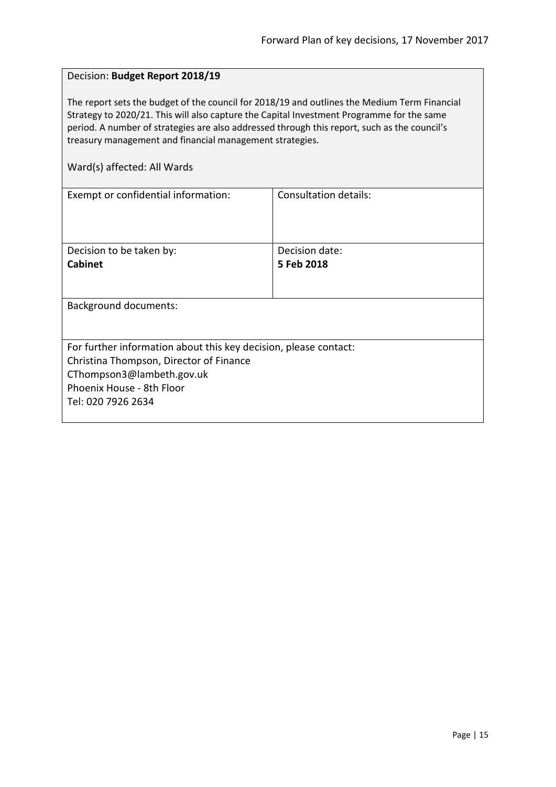#### <span id="page-14-0"></span>Decision: **Budget Report 2018/19**

The report sets the budget of the council for 2018/19 and outlines the Medium Term Financial Strategy to 2020/21. This will also capture the Capital Investment Programme for the same period. A number of strategies are also addressed through this report, such as the council's treasury management and financial management strategies.

| Exempt or confidential information:                              | Consultation details: |
|------------------------------------------------------------------|-----------------------|
|                                                                  |                       |
|                                                                  |                       |
|                                                                  |                       |
| Decision to be taken by:                                         | Decision date:        |
| <b>Cabinet</b>                                                   | 5 Feb 2018            |
|                                                                  |                       |
|                                                                  |                       |
| <b>Background documents:</b>                                     |                       |
|                                                                  |                       |
|                                                                  |                       |
| For further information about this key decision, please contact: |                       |
| Christina Thompson, Director of Finance                          |                       |
| CThompson3@lambeth.gov.uk                                        |                       |
| Phoenix House - 8th Floor                                        |                       |
| Tel: 020 7926 2634                                               |                       |
|                                                                  |                       |
|                                                                  |                       |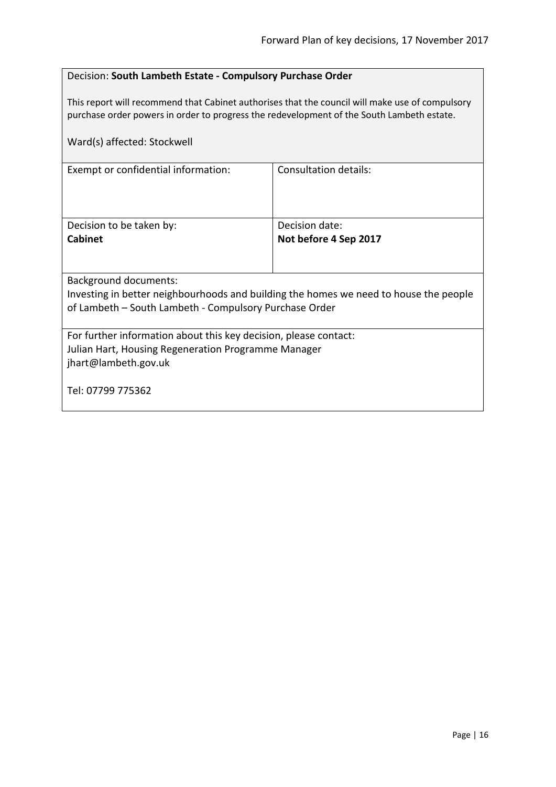# <span id="page-15-0"></span>Decision: **South Lambeth Estate - Compulsory Purchase Order**

This report will recommend that Cabinet authorises that the council will make use of compulsory purchase order powers in order to progress the redevelopment of the South Lambeth estate.

| Ward(s) affected: Stockwell                                                           |                       |  |
|---------------------------------------------------------------------------------------|-----------------------|--|
| Exempt or confidential information:                                                   | Consultation details: |  |
| Decision to be taken by:                                                              | Decision date:        |  |
| <b>Cabinet</b>                                                                        | Not before 4 Sep 2017 |  |
|                                                                                       |                       |  |
| Background documents:                                                                 |                       |  |
| Investing in better neighbourhoods and building the homes we need to house the people |                       |  |
| of Lambeth – South Lambeth - Compulsory Purchase Order                                |                       |  |
| For further information about this key decision, please contact:                      |                       |  |
| Julian Hart, Housing Regeneration Programme Manager                                   |                       |  |
| jhart@lambeth.gov.uk                                                                  |                       |  |
| Tel: 07799 775362                                                                     |                       |  |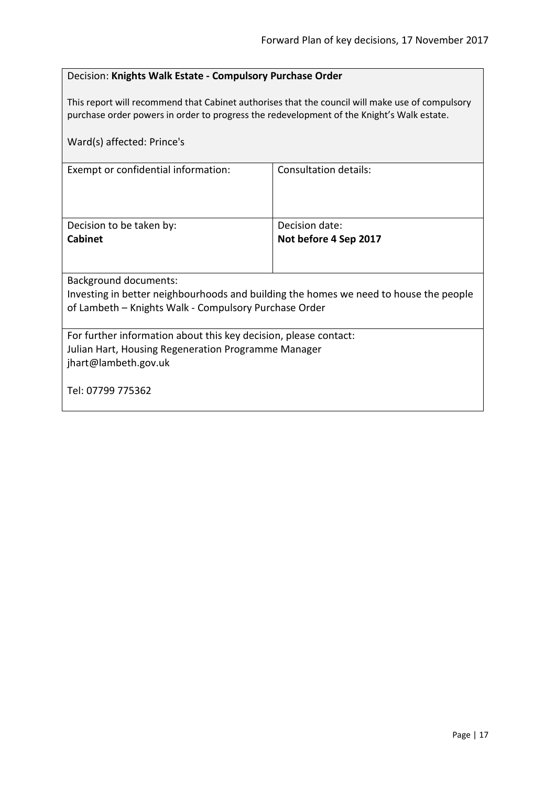# <span id="page-16-0"></span>Decision: **Knights Walk Estate - Compulsory Purchase Order**

This report will recommend that Cabinet authorises that the council will make use of compulsory purchase order powers in order to progress the redevelopment of the Knight's Walk estate.

| Ward(s) affected: Prince's                                                            |                              |  |
|---------------------------------------------------------------------------------------|------------------------------|--|
| Exempt or confidential information:                                                   | <b>Consultation details:</b> |  |
| Decision to be taken by:                                                              | Decision date:               |  |
| <b>Cabinet</b>                                                                        | Not before 4 Sep 2017        |  |
| Background documents:                                                                 |                              |  |
| Investing in better neighbourhoods and building the homes we need to house the people |                              |  |
| of Lambeth - Knights Walk - Compulsory Purchase Order                                 |                              |  |
| For further information about this key decision, please contact:                      |                              |  |
| Julian Hart, Housing Regeneration Programme Manager                                   |                              |  |
| jhart@lambeth.gov.uk                                                                  |                              |  |
|                                                                                       |                              |  |
| Tel: 07799 775362                                                                     |                              |  |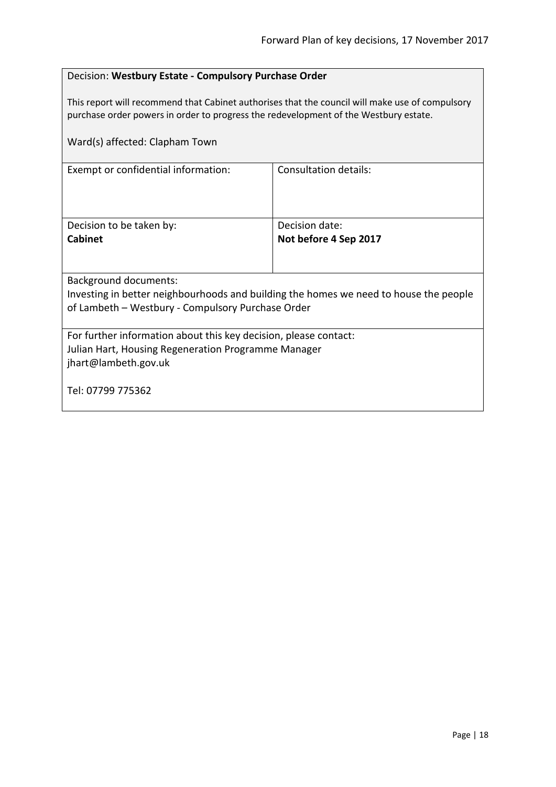# <span id="page-17-0"></span>Decision: **Westbury Estate - Compulsory Purchase Order**

This report will recommend that Cabinet authorises that the council will make use of compulsory purchase order powers in order to progress the redevelopment of the Westbury estate.

| Ward(s) affected: Clapham Town                                                        |                              |  |
|---------------------------------------------------------------------------------------|------------------------------|--|
| Exempt or confidential information:                                                   | <b>Consultation details:</b> |  |
| Decision to be taken by:                                                              | Decision date:               |  |
| <b>Cabinet</b>                                                                        | Not before 4 Sep 2017        |  |
|                                                                                       |                              |  |
| <b>Background documents:</b>                                                          |                              |  |
| Investing in better neighbourhoods and building the homes we need to house the people |                              |  |
| of Lambeth - Westbury - Compulsory Purchase Order                                     |                              |  |
| For further information about this key decision, please contact:                      |                              |  |
| Julian Hart, Housing Regeneration Programme Manager                                   |                              |  |
| jhart@lambeth.gov.uk                                                                  |                              |  |
| Tel: 07799 775362                                                                     |                              |  |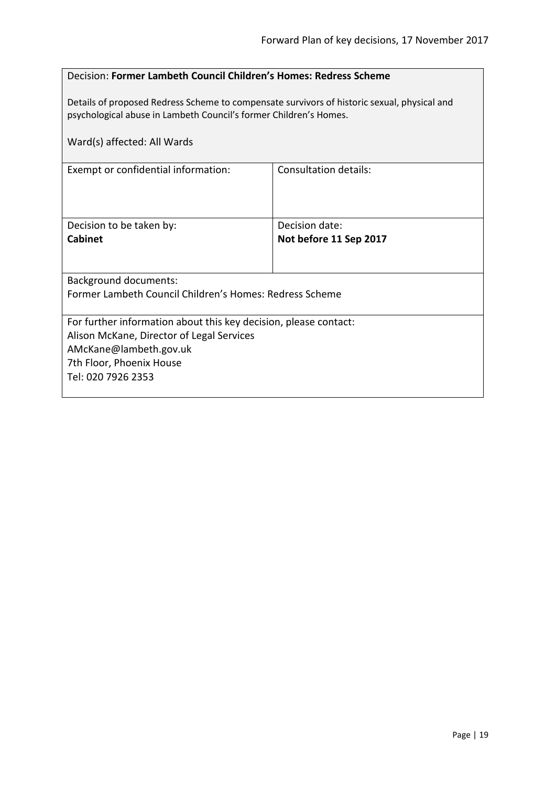#### <span id="page-18-0"></span>Decision: **Former Lambeth Council Children's Homes: Redress Scheme**

Details of proposed Redress Scheme to compensate survivors of historic sexual, physical and psychological abuse in Lambeth Council's former Children's Homes.

| Ward(s) affected: All Wards                                                                                                                                                               |                                          |  |
|-------------------------------------------------------------------------------------------------------------------------------------------------------------------------------------------|------------------------------------------|--|
| Exempt or confidential information:                                                                                                                                                       | Consultation details:                    |  |
| Decision to be taken by:<br><b>Cabinet</b>                                                                                                                                                | Decision date:<br>Not before 11 Sep 2017 |  |
| <b>Background documents:</b><br>Former Lambeth Council Children's Homes: Redress Scheme                                                                                                   |                                          |  |
| For further information about this key decision, please contact:<br>Alison McKane, Director of Legal Services<br>AMcKane@lambeth.gov.uk<br>7th Floor, Phoenix House<br>Tel: 020 7926 2353 |                                          |  |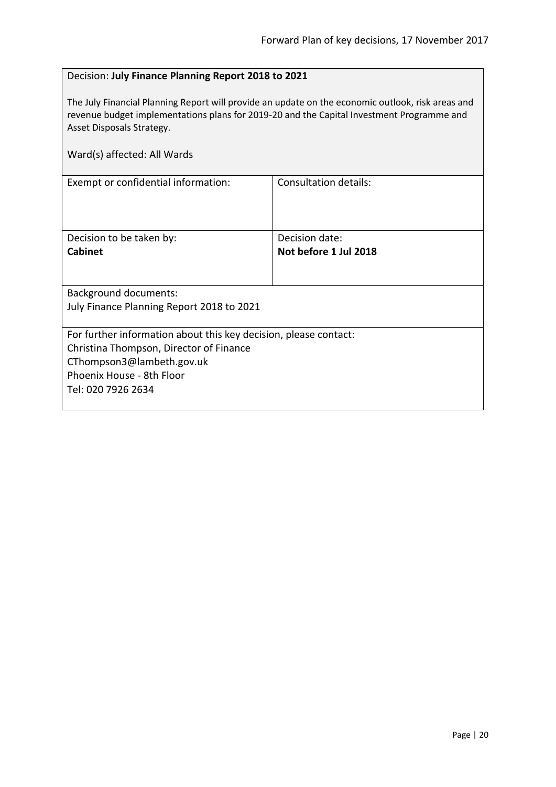# <span id="page-19-0"></span>Decision: **July Finance Planning Report 2018 to 2021**

The July Financial Planning Report will provide an update on the economic outlook, risk areas and revenue budget implementations plans for 2019-20 and the Capital Investment Programme and Asset Disposals Strategy.

| Ward(s) affected: All Wards                                                                                                                                                                 |                                         |  |
|---------------------------------------------------------------------------------------------------------------------------------------------------------------------------------------------|-----------------------------------------|--|
| Exempt or confidential information:                                                                                                                                                         | Consultation details:                   |  |
| Decision to be taken by:<br><b>Cabinet</b>                                                                                                                                                  | Decision date:<br>Not before 1 Jul 2018 |  |
| <b>Background documents:</b><br>July Finance Planning Report 2018 to 2021                                                                                                                   |                                         |  |
| For further information about this key decision, please contact:<br>Christina Thompson, Director of Finance<br>CThompson3@lambeth.gov.uk<br>Phoenix House - 8th Floor<br>Tel: 020 7926 2634 |                                         |  |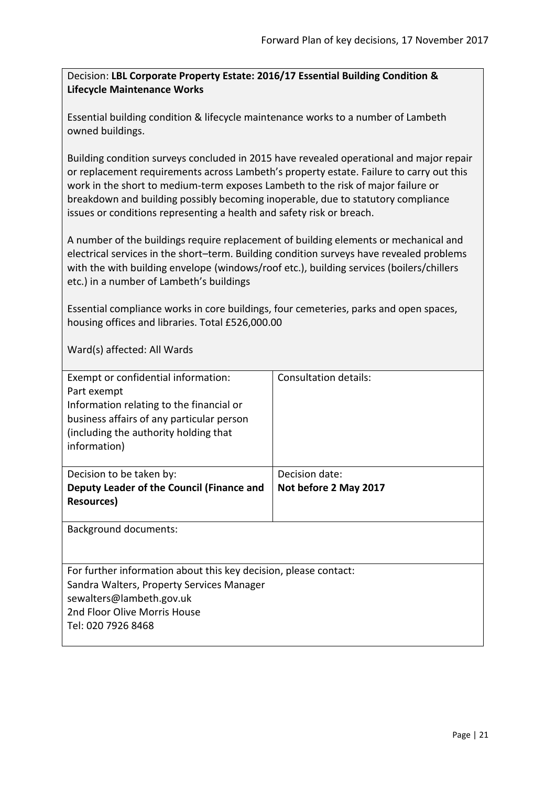<span id="page-20-0"></span>Decision: **LBL Corporate Property Estate: 2016/17 Essential Building Condition & Lifecycle Maintenance Works**

Essential building condition & lifecycle maintenance works to a number of Lambeth owned buildings.

Building condition surveys concluded in 2015 have revealed operational and major repair or replacement requirements across Lambeth's property estate. Failure to carry out this work in the short to medium-term exposes Lambeth to the risk of major failure or breakdown and building possibly becoming inoperable, due to statutory compliance issues or conditions representing a health and safety risk or breach.

A number of the buildings require replacement of building elements or mechanical and electrical services in the short–term. Building condition surveys have revealed problems with the with building envelope (windows/roof etc.), building services (boilers/chillers etc.) in a number of Lambeth's buildings

Essential compliance works in core buildings, four cemeteries, parks and open spaces, housing offices and libraries. Total £526,000.00

| Exempt or confidential information:<br>Part exempt<br>Information relating to the financial or<br>business affairs of any particular person<br>(including the authority holding that<br>information) | Consultation details: |
|------------------------------------------------------------------------------------------------------------------------------------------------------------------------------------------------------|-----------------------|
| Decision to be taken by:                                                                                                                                                                             | Decision date:        |
| Deputy Leader of the Council (Finance and                                                                                                                                                            | Not before 2 May 2017 |
| <b>Resources</b> )                                                                                                                                                                                   |                       |
|                                                                                                                                                                                                      |                       |
| Background documents:                                                                                                                                                                                |                       |
| For further information about this key decision, please contact:                                                                                                                                     |                       |
| Sandra Walters, Property Services Manager                                                                                                                                                            |                       |
| sewalters@lambeth.gov.uk                                                                                                                                                                             |                       |
| 2nd Floor Olive Morris House                                                                                                                                                                         |                       |
| Tel: 020 7926 8468                                                                                                                                                                                   |                       |
|                                                                                                                                                                                                      |                       |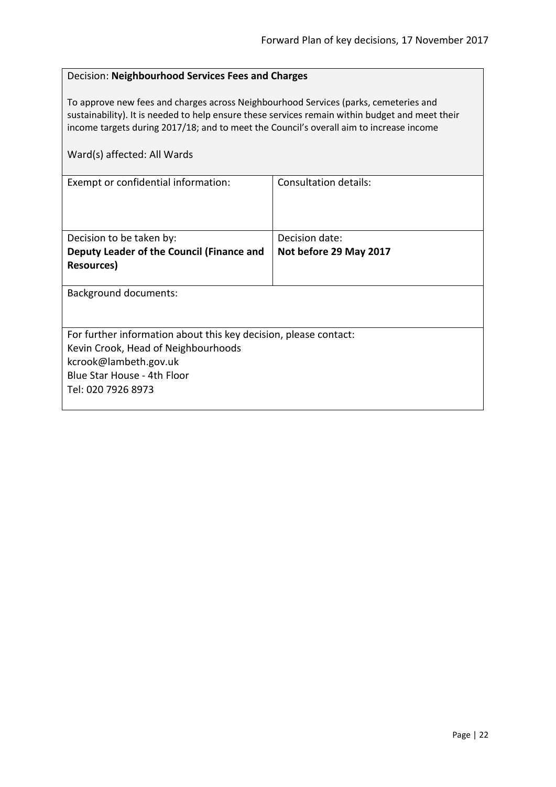<span id="page-21-0"></span>

| Decision: Neighbourhood Services Fees and Charges                                                                                                                                                                                                                                  |  |
|------------------------------------------------------------------------------------------------------------------------------------------------------------------------------------------------------------------------------------------------------------------------------------|--|
| To approve new fees and charges across Neighbourhood Services (parks, cemeteries and<br>sustainability). It is needed to help ensure these services remain within budget and meet their<br>income targets during 2017/18; and to meet the Council's overall aim to increase income |  |
|                                                                                                                                                                                                                                                                                    |  |
| Consultation details:                                                                                                                                                                                                                                                              |  |
| Decision date:                                                                                                                                                                                                                                                                     |  |
| Not before 29 May 2017                                                                                                                                                                                                                                                             |  |
|                                                                                                                                                                                                                                                                                    |  |
| <b>Background documents:</b>                                                                                                                                                                                                                                                       |  |
| For further information about this key decision, please contact:                                                                                                                                                                                                                   |  |
| Kevin Crook, Head of Neighbourhoods                                                                                                                                                                                                                                                |  |
| kcrook@lambeth.gov.uk                                                                                                                                                                                                                                                              |  |
| Blue Star House - 4th Floor                                                                                                                                                                                                                                                        |  |
| Tel: 020 7926 8973                                                                                                                                                                                                                                                                 |  |
|                                                                                                                                                                                                                                                                                    |  |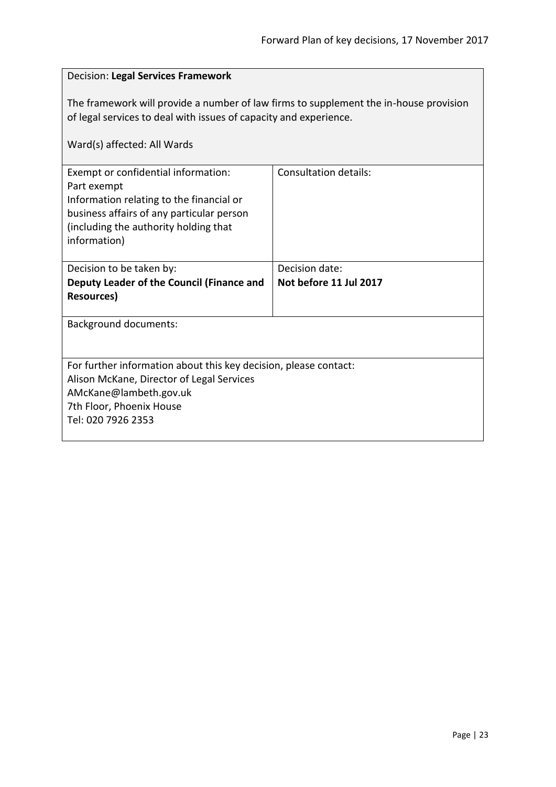# <span id="page-22-0"></span>Decision: **Legal Services Framework** The framework will provide a number of law firms to supplement the in-house provision of legal services to deal with issues of capacity and experience. Ward(s) affected: All Wards Exempt or confidential information: Part exempt Information relating to the financial or business affairs of any particular person (including the authority holding that information) Consultation details: Decision to be taken by: **Deputy Leader of the Council (Finance and Resources)** Decision date: **Not before 11 Jul 2017** Background documents: For further information about this key decision, please contact: Alison McKane, Director of Legal Services AMcKane@lambeth.gov.uk 7th Floor, Phoenix House Tel: 020 7926 2353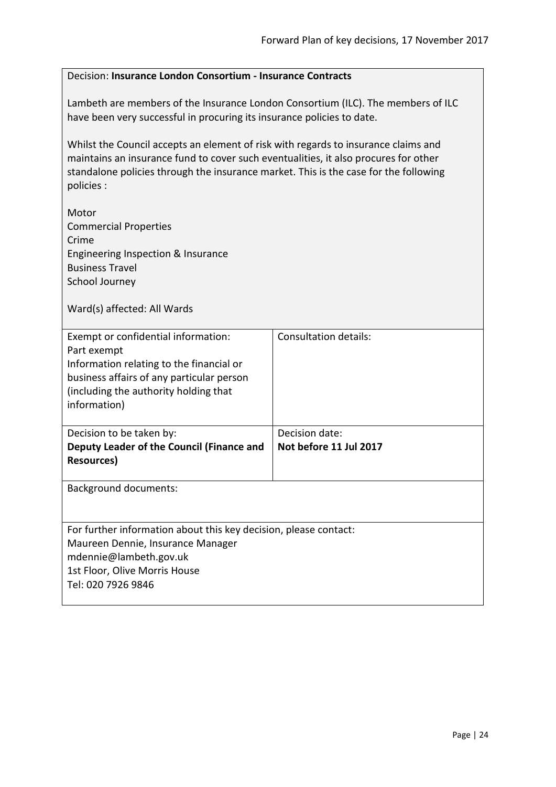<span id="page-23-0"></span>

| Decision: Insurance London Consortium - Insurance Contracts                                                                                                                                                                                                                     |                                          |  |
|---------------------------------------------------------------------------------------------------------------------------------------------------------------------------------------------------------------------------------------------------------------------------------|------------------------------------------|--|
| Lambeth are members of the Insurance London Consortium (ILC). The members of ILC<br>have been very successful in procuring its insurance policies to date.                                                                                                                      |                                          |  |
| Whilst the Council accepts an element of risk with regards to insurance claims and<br>maintains an insurance fund to cover such eventualities, it also procures for other<br>standalone policies through the insurance market. This is the case for the following<br>policies : |                                          |  |
| Motor<br><b>Commercial Properties</b><br>Crime<br>Engineering Inspection & Insurance<br><b>Business Travel</b><br>School Journey                                                                                                                                                |                                          |  |
| Ward(s) affected: All Wards                                                                                                                                                                                                                                                     |                                          |  |
| Exempt or confidential information:<br>Part exempt<br>Information relating to the financial or<br>business affairs of any particular person<br>(including the authority holding that<br>information)                                                                            | <b>Consultation details:</b>             |  |
| Decision to be taken by:<br>Deputy Leader of the Council (Finance and<br><b>Resources)</b>                                                                                                                                                                                      | Decision date:<br>Not before 11 Jul 2017 |  |
| <b>Background documents:</b>                                                                                                                                                                                                                                                    |                                          |  |
| For further information about this key decision, please contact:<br>Maureen Dennie, Insurance Manager<br>mdennie@lambeth.gov.uk<br>1st Floor, Olive Morris House<br>Tel: 020 7926 9846                                                                                          |                                          |  |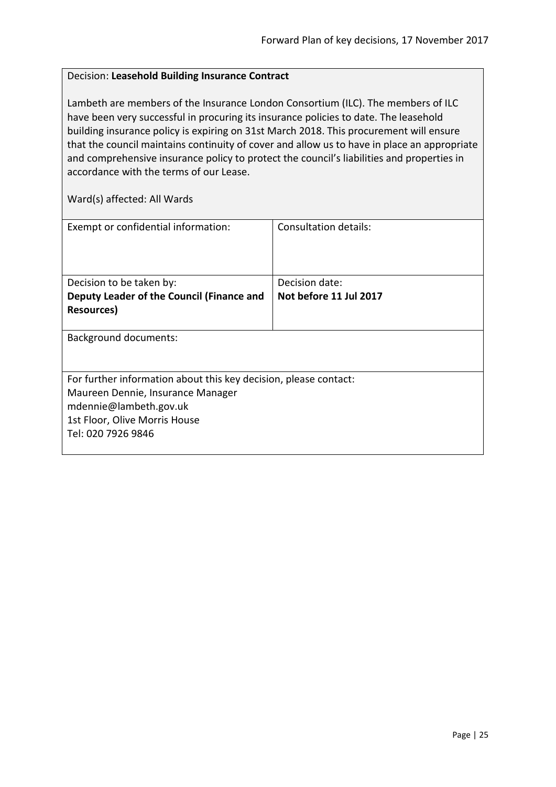#### <span id="page-24-0"></span>Decision: **Leasehold Building Insurance Contract**

Lambeth are members of the Insurance London Consortium (ILC). The members of ILC have been very successful in procuring its insurance policies to date. The leasehold building insurance policy is expiring on 31st March 2018. This procurement will ensure that the council maintains continuity of cover and allow us to have in place an appropriate and comprehensive insurance policy to protect the council's liabilities and properties in accordance with the terms of our Lease.

| Exempt or confidential information:                              | Consultation details:  |
|------------------------------------------------------------------|------------------------|
|                                                                  |                        |
| Decision to be taken by:                                         | Decision date:         |
| Deputy Leader of the Council (Finance and                        | Not before 11 Jul 2017 |
| Resources)                                                       |                        |
|                                                                  |                        |
| <b>Background documents:</b>                                     |                        |
|                                                                  |                        |
|                                                                  |                        |
| For further information about this key decision, please contact: |                        |
| Maureen Dennie, Insurance Manager                                |                        |
| mdennie@lambeth.gov.uk                                           |                        |
| 1st Floor, Olive Morris House                                    |                        |
| Tel: 020 7926 9846                                               |                        |
|                                                                  |                        |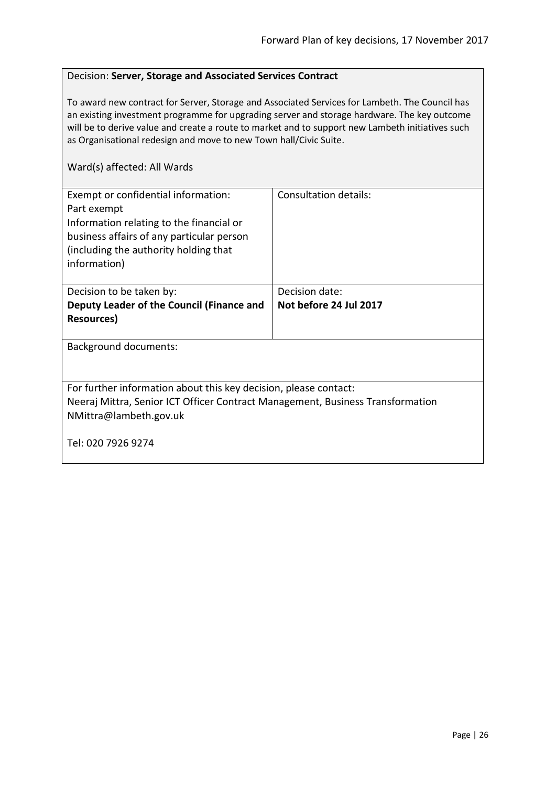#### <span id="page-25-0"></span>Decision: **Server, Storage and Associated Services Contract**

To award new contract for Server, Storage and Associated Services for Lambeth. The Council has an existing investment programme for upgrading server and storage hardware. The key outcome will be to derive value and create a route to market and to support new Lambeth initiatives such as Organisational redesign and move to new Town hall/Civic Suite.

| Exempt or confidential information:<br>Part exempt<br>Information relating to the financial or<br>business affairs of any particular person<br>(including the authority holding that<br>information) | <b>Consultation details:</b> |  |
|------------------------------------------------------------------------------------------------------------------------------------------------------------------------------------------------------|------------------------------|--|
| Decision to be taken by:                                                                                                                                                                             | Decision date:               |  |
| Deputy Leader of the Council (Finance and                                                                                                                                                            | Not before 24 Jul 2017       |  |
| Resources)                                                                                                                                                                                           |                              |  |
| <b>Background documents:</b>                                                                                                                                                                         |                              |  |
| For further information about this key decision, please contact:<br>Neeraj Mittra, Senior ICT Officer Contract Management, Business Transformation<br>NMittra@lambeth.gov.uk                         |                              |  |
| Tel: 020 7926 9274                                                                                                                                                                                   |                              |  |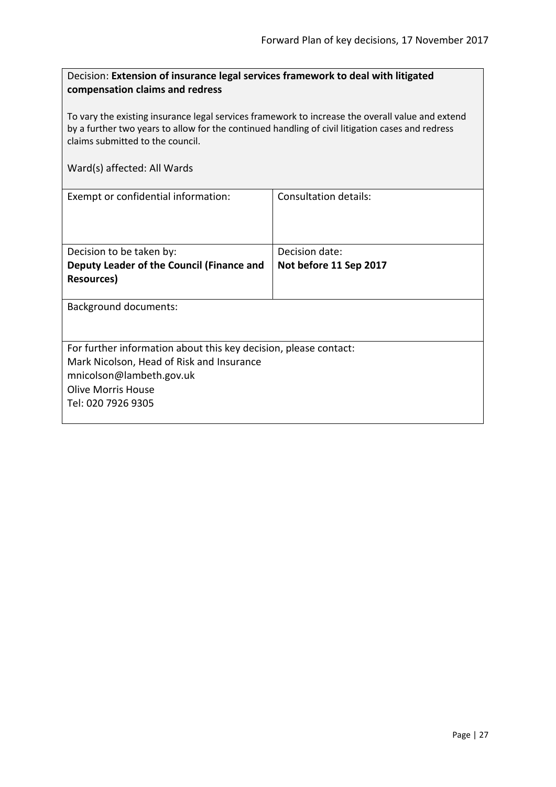<span id="page-26-0"></span>

| Decision: Extension of insurance legal services framework to deal with litigated |  |
|----------------------------------------------------------------------------------|--|
| compensation claims and redress                                                  |  |

To vary the existing insurance legal services framework to increase the overall value and extend by a further two years to allow for the continued handling of civil litigation cases and redress claims submitted to the council.

| Exempt or confidential information:                              | Consultation details:  |
|------------------------------------------------------------------|------------------------|
|                                                                  |                        |
|                                                                  |                        |
|                                                                  |                        |
| Decision to be taken by:                                         | Decision date:         |
| Deputy Leader of the Council (Finance and                        | Not before 11 Sep 2017 |
| Resources)                                                       |                        |
|                                                                  |                        |
| <b>Background documents:</b>                                     |                        |
|                                                                  |                        |
|                                                                  |                        |
| For further information about this key decision, please contact: |                        |
| Mark Nicolson, Head of Risk and Insurance                        |                        |
| mnicolson@lambeth.gov.uk                                         |                        |
| <b>Olive Morris House</b>                                        |                        |
| Tel: 020 7926 9305                                               |                        |
|                                                                  |                        |
|                                                                  |                        |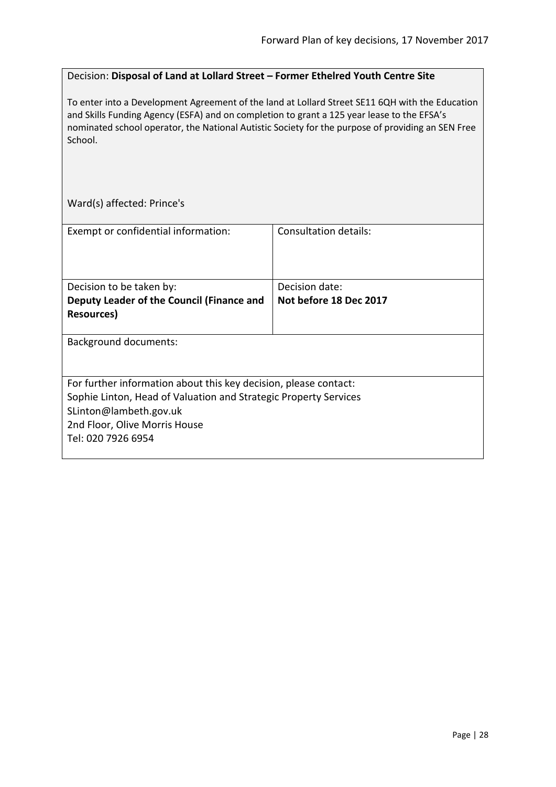#### <span id="page-27-0"></span>Decision: **Disposal of Land at Lollard Street – Former Ethelred Youth Centre Site**

To enter into a Development Agreement of the land at Lollard Street SE11 6QH with the Education and Skills Funding Agency (ESFA) and on completion to grant a 125 year lease to the EFSA's nominated school operator, the National Autistic Society for the purpose of providing an SEN Free School.

Ward(s) affected: Prince's

| Exempt or confidential information:                              | Consultation details:  |
|------------------------------------------------------------------|------------------------|
|                                                                  |                        |
|                                                                  |                        |
| Decision to be taken by:                                         | Decision date:         |
| Deputy Leader of the Council (Finance and                        | Not before 18 Dec 2017 |
| Resources)                                                       |                        |
|                                                                  |                        |
| <b>Background documents:</b>                                     |                        |
|                                                                  |                        |
|                                                                  |                        |
| For further information about this key decision, please contact: |                        |
| Sophie Linton, Head of Valuation and Strategic Property Services |                        |
| SLinton@lambeth.gov.uk                                           |                        |
| 2nd Floor, Olive Morris House                                    |                        |
| Tel: 020 7926 6954                                               |                        |
|                                                                  |                        |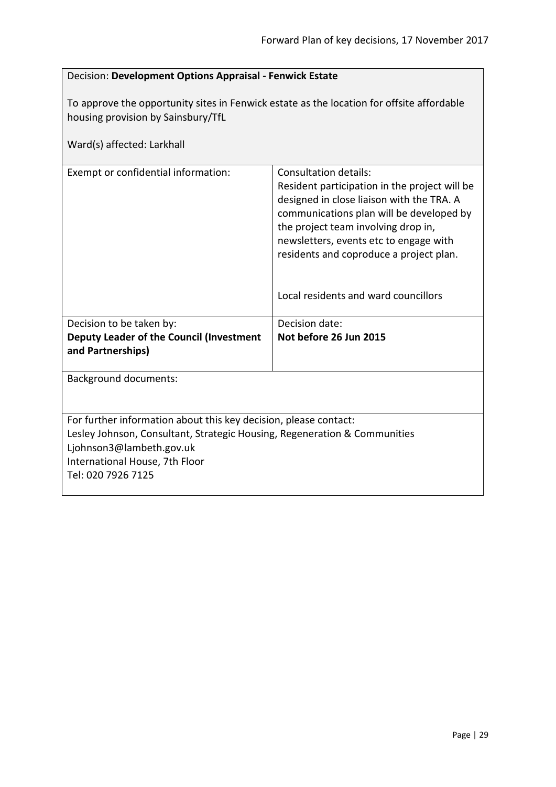<span id="page-28-0"></span>

| Decision: Development Options Appraisal - Fenwick Estate                                                                                                                                                                          |                                                                                                                                                                                                                                                                                                                                            |
|-----------------------------------------------------------------------------------------------------------------------------------------------------------------------------------------------------------------------------------|--------------------------------------------------------------------------------------------------------------------------------------------------------------------------------------------------------------------------------------------------------------------------------------------------------------------------------------------|
| To approve the opportunity sites in Fenwick estate as the location for offsite affordable<br>housing provision by Sainsbury/TfL<br>Ward(s) affected: Larkhall                                                                     |                                                                                                                                                                                                                                                                                                                                            |
| Exempt or confidential information:                                                                                                                                                                                               | <b>Consultation details:</b><br>Resident participation in the project will be<br>designed in close liaison with the TRA. A<br>communications plan will be developed by<br>the project team involving drop in,<br>newsletters, events etc to engage with<br>residents and coproduce a project plan.<br>Local residents and ward councillors |
| Decision to be taken by:                                                                                                                                                                                                          | Decision date:                                                                                                                                                                                                                                                                                                                             |
| Deputy Leader of the Council (Investment<br>and Partnerships)                                                                                                                                                                     | Not before 26 Jun 2015                                                                                                                                                                                                                                                                                                                     |
| <b>Background documents:</b>                                                                                                                                                                                                      |                                                                                                                                                                                                                                                                                                                                            |
| For further information about this key decision, please contact:<br>Lesley Johnson, Consultant, Strategic Housing, Regeneration & Communities<br>Ljohnson3@lambeth.gov.uk<br>International House, 7th Floor<br>Tel: 020 7926 7125 |                                                                                                                                                                                                                                                                                                                                            |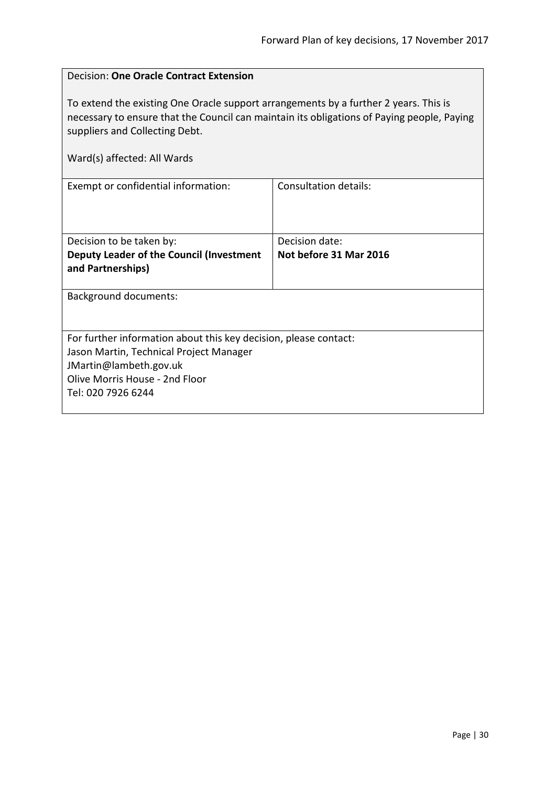<span id="page-29-0"></span>

| <b>Decision: One Oracle Contract Extension</b>                                                                                                                                                                                                      |                              |  |
|-----------------------------------------------------------------------------------------------------------------------------------------------------------------------------------------------------------------------------------------------------|------------------------------|--|
| To extend the existing One Oracle support arrangements by a further 2 years. This is<br>necessary to ensure that the Council can maintain its obligations of Paying people, Paying<br>suppliers and Collecting Debt.<br>Ward(s) affected: All Wards |                              |  |
| Exempt or confidential information:                                                                                                                                                                                                                 | <b>Consultation details:</b> |  |
|                                                                                                                                                                                                                                                     |                              |  |
| Decision to be taken by:                                                                                                                                                                                                                            | Decision date:               |  |
| Deputy Leader of the Council (Investment<br>and Partnerships)                                                                                                                                                                                       | Not before 31 Mar 2016       |  |
| <b>Background documents:</b>                                                                                                                                                                                                                        |                              |  |
|                                                                                                                                                                                                                                                     |                              |  |
| For further information about this key decision, please contact:                                                                                                                                                                                    |                              |  |
| Jason Martin, Technical Project Manager                                                                                                                                                                                                             |                              |  |
| JMartin@lambeth.gov.uk                                                                                                                                                                                                                              |                              |  |
| Olive Morris House - 2nd Floor<br>Tel: 020 7926 6244                                                                                                                                                                                                |                              |  |
|                                                                                                                                                                                                                                                     |                              |  |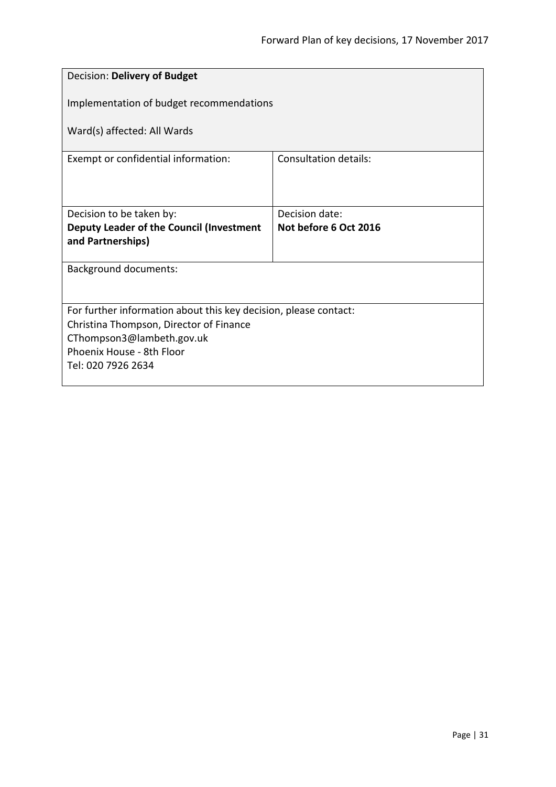<span id="page-30-0"></span>

| Decision: Delivery of Budget                                     |                       |
|------------------------------------------------------------------|-----------------------|
| Implementation of budget recommendations                         |                       |
| Ward(s) affected: All Wards                                      |                       |
| Exempt or confidential information:                              | Consultation details: |
|                                                                  |                       |
| Decision to be taken by:                                         | Decision date:        |
| Deputy Leader of the Council (Investment<br>and Partnerships)    | Not before 6 Oct 2016 |
|                                                                  |                       |
| <b>Background documents:</b>                                     |                       |
|                                                                  |                       |
| For further information about this key decision, please contact: |                       |
| Christina Thompson, Director of Finance                          |                       |
| CThompson3@lambeth.gov.uk                                        |                       |
| Phoenix House - 8th Floor                                        |                       |
| Tel: 020 7926 2634                                               |                       |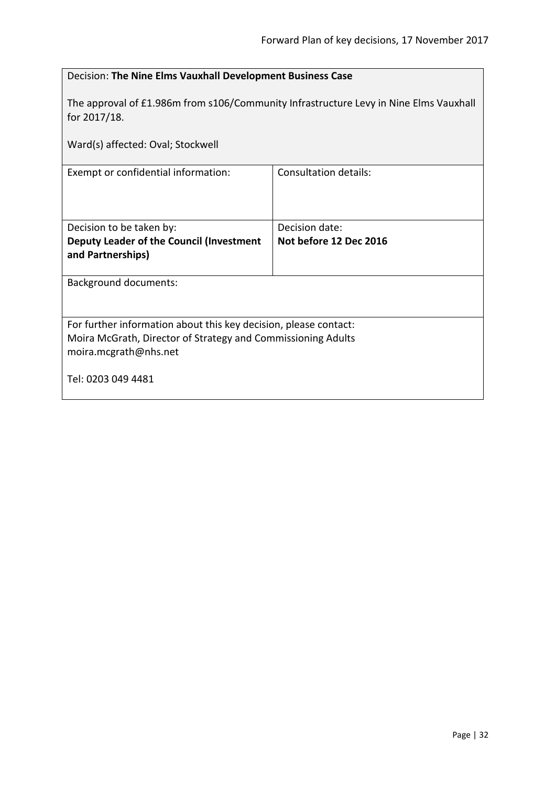<span id="page-31-0"></span>

| Decision: The Nine Elms Vauxhall Development Business Case                                                                                                |                              |  |
|-----------------------------------------------------------------------------------------------------------------------------------------------------------|------------------------------|--|
| The approval of £1.986m from s106/Community Infrastructure Levy in Nine Elms Vauxhall<br>for 2017/18.                                                     |                              |  |
| Ward(s) affected: Oval; Stockwell                                                                                                                         |                              |  |
| Exempt or confidential information:                                                                                                                       | <b>Consultation details:</b> |  |
| Decision to be taken by:                                                                                                                                  | Decision date:               |  |
| Deputy Leader of the Council (Investment<br>and Partnerships)                                                                                             | Not before 12 Dec 2016       |  |
| <b>Background documents:</b>                                                                                                                              |                              |  |
| For further information about this key decision, please contact:<br>Moira McGrath, Director of Strategy and Commissioning Adults<br>moira.mcgrath@nhs.net |                              |  |
| Tel: 0203 049 4481                                                                                                                                        |                              |  |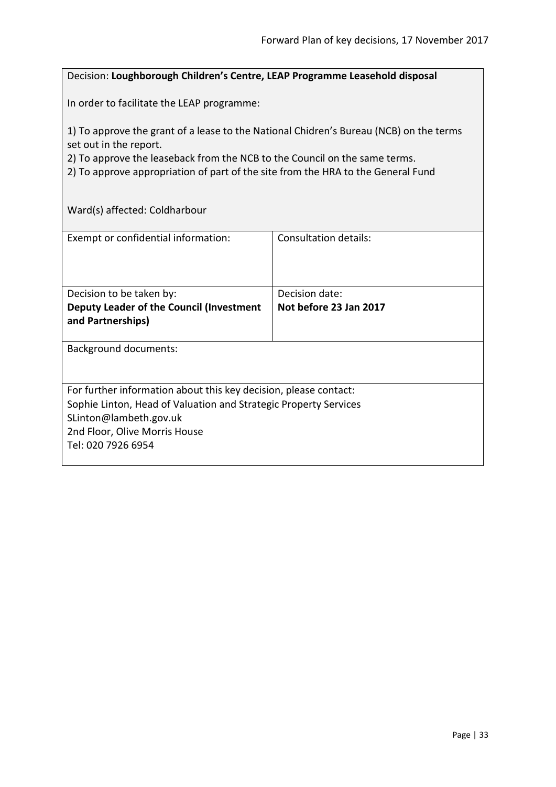#### <span id="page-32-0"></span>Decision: **Loughborough Children's Centre, LEAP Programme Leasehold disposal**

In order to facilitate the LEAP programme:

1) To approve the grant of a lease to the National Chidren's Bureau (NCB) on the terms set out in the report.

2) To approve the leaseback from the NCB to the Council on the same terms.

2) To approve appropriation of part of the site from the HRA to the General Fund

Ward(s) affected: Coldharbour

| Exempt or confidential information:                                                                                                                                                                                   | Consultation details:                    |
|-----------------------------------------------------------------------------------------------------------------------------------------------------------------------------------------------------------------------|------------------------------------------|
| Decision to be taken by:<br><b>Deputy Leader of the Council (Investment</b><br>and Partnerships)                                                                                                                      | Decision date:<br>Not before 23 Jan 2017 |
| <b>Background documents:</b>                                                                                                                                                                                          |                                          |
| For further information about this key decision, please contact:<br>Sophie Linton, Head of Valuation and Strategic Property Services<br>SLinton@lambeth.gov.uk<br>2nd Floor, Olive Morris House<br>Tel: 020 7926 6954 |                                          |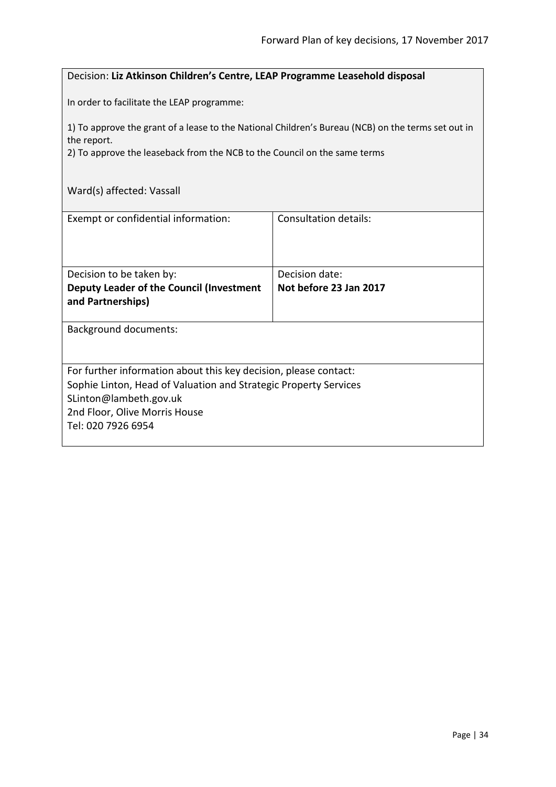#### <span id="page-33-0"></span>Decision: **Liz Atkinson Children's Centre, LEAP Programme Leasehold disposal**

In order to facilitate the LEAP programme:

1) To approve the grant of a lease to the National Children's Bureau (NCB) on the terms set out in the report.

2) To approve the leaseback from the NCB to the Council on the same terms

# Ward(s) affected: Vassall

| Exempt or confidential information:                              | Consultation details:  |
|------------------------------------------------------------------|------------------------|
| Decision to be taken by:                                         | Decision date:         |
| Deputy Leader of the Council (Investment<br>and Partnerships)    | Not before 23 Jan 2017 |
|                                                                  |                        |
| <b>Background documents:</b>                                     |                        |
| For further information about this key decision, please contact: |                        |
| Sophie Linton, Head of Valuation and Strategic Property Services |                        |
| SLinton@lambeth.gov.uk                                           |                        |
| 2nd Floor, Olive Morris House                                    |                        |
| Tel: 020 7926 6954                                               |                        |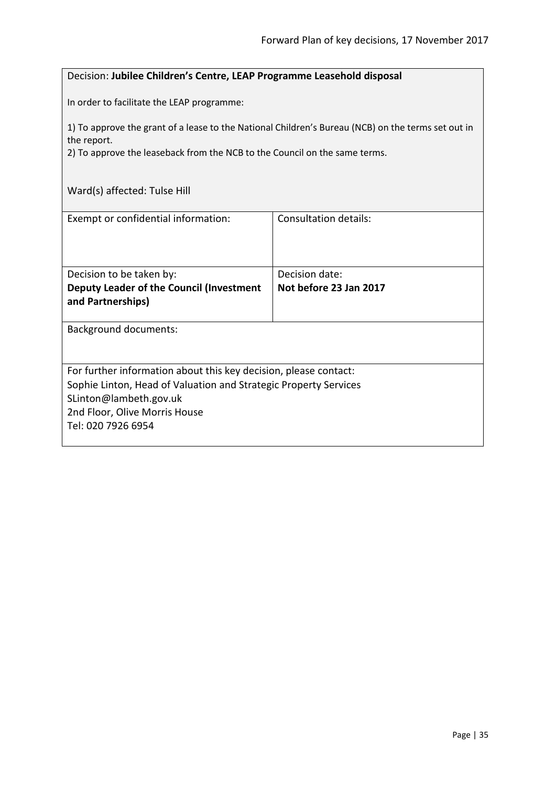#### <span id="page-34-0"></span>Decision: **Jubilee Children's Centre, LEAP Programme Leasehold disposal**

In order to facilitate the LEAP programme:

1) To approve the grant of a lease to the National Children's Bureau (NCB) on the terms set out in the report.

2) To approve the leaseback from the NCB to the Council on the same terms.

# Ward(s) affected: Tulse Hill

| Exempt or confidential information:                                                                                                                                                                                   | Consultation details:  |
|-----------------------------------------------------------------------------------------------------------------------------------------------------------------------------------------------------------------------|------------------------|
| Decision to be taken by:                                                                                                                                                                                              | Decision date:         |
| Deputy Leader of the Council (Investment<br>and Partnerships)                                                                                                                                                         | Not before 23 Jan 2017 |
| Background documents:                                                                                                                                                                                                 |                        |
| For further information about this key decision, please contact:<br>Sophie Linton, Head of Valuation and Strategic Property Services<br>SLinton@lambeth.gov.uk<br>2nd Floor, Olive Morris House<br>Tel: 020 7926 6954 |                        |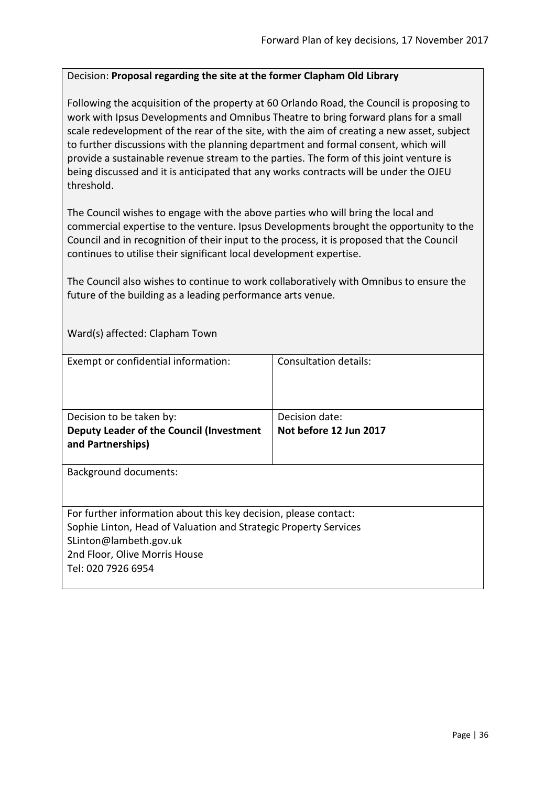#### <span id="page-35-0"></span>Decision: **Proposal regarding the site at the former Clapham Old Library**

Following the acquisition of the property at 60 Orlando Road, the Council is proposing to work with Ipsus Developments and Omnibus Theatre to bring forward plans for a small scale redevelopment of the rear of the site, with the aim of creating a new asset, subject to further discussions with the planning department and formal consent, which will provide a sustainable revenue stream to the parties. The form of this joint venture is being discussed and it is anticipated that any works contracts will be under the OJEU threshold.

The Council wishes to engage with the above parties who will bring the local and commercial expertise to the venture. Ipsus Developments brought the opportunity to the Council and in recognition of their input to the process, it is proposed that the Council continues to utilise their significant local development expertise.

The Council also wishes to continue to work collaboratively with Omnibus to ensure the future of the building as a leading performance arts venue.

Ward(s) affected: Clapham Town

| Exempt or confidential information:                                                                                                                                                                                   | Consultation details:  |
|-----------------------------------------------------------------------------------------------------------------------------------------------------------------------------------------------------------------------|------------------------|
| Decision to be taken by:                                                                                                                                                                                              | Decision date:         |
| Deputy Leader of the Council (Investment<br>and Partnerships)                                                                                                                                                         | Not before 12 Jun 2017 |
| <b>Background documents:</b>                                                                                                                                                                                          |                        |
| For further information about this key decision, please contact:<br>Sophie Linton, Head of Valuation and Strategic Property Services<br>SLinton@lambeth.gov.uk<br>2nd Floor, Olive Morris House<br>Tel: 020 7926 6954 |                        |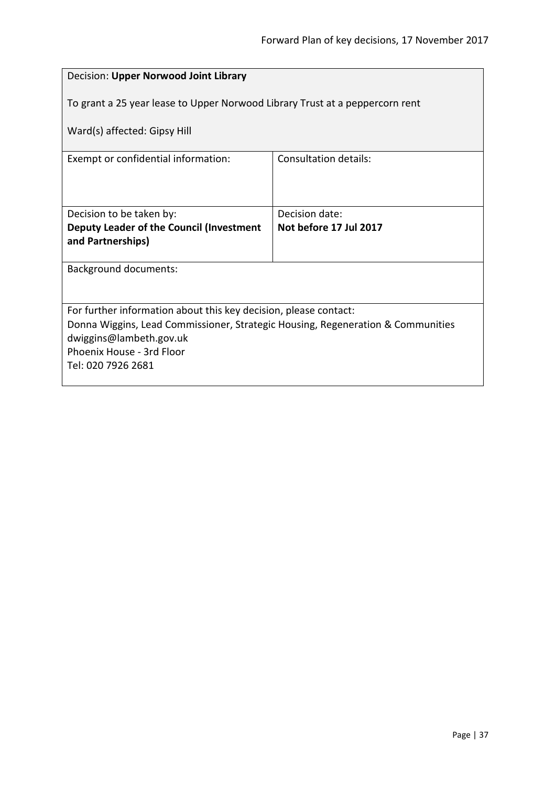| Decision: Upper Norwood Joint Library                                                                        |                              |  |
|--------------------------------------------------------------------------------------------------------------|------------------------------|--|
| To grant a 25 year lease to Upper Norwood Library Trust at a peppercorn rent<br>Ward(s) affected: Gipsy Hill |                              |  |
| Exempt or confidential information:                                                                          | <b>Consultation details:</b> |  |
|                                                                                                              |                              |  |
| Decision to be taken by:                                                                                     | Decision date:               |  |
| Deputy Leader of the Council (Investment                                                                     | Not before 17 Jul 2017       |  |
| and Partnerships)                                                                                            |                              |  |
| Background documents:                                                                                        |                              |  |
|                                                                                                              |                              |  |
| For further information about this key decision, please contact:                                             |                              |  |
| Donna Wiggins, Lead Commissioner, Strategic Housing, Regeneration & Communities                              |                              |  |
| dwiggins@lambeth.gov.uk<br>Phoenix House - 3rd Floor                                                         |                              |  |
| Tel: 020 7926 2681                                                                                           |                              |  |
|                                                                                                              |                              |  |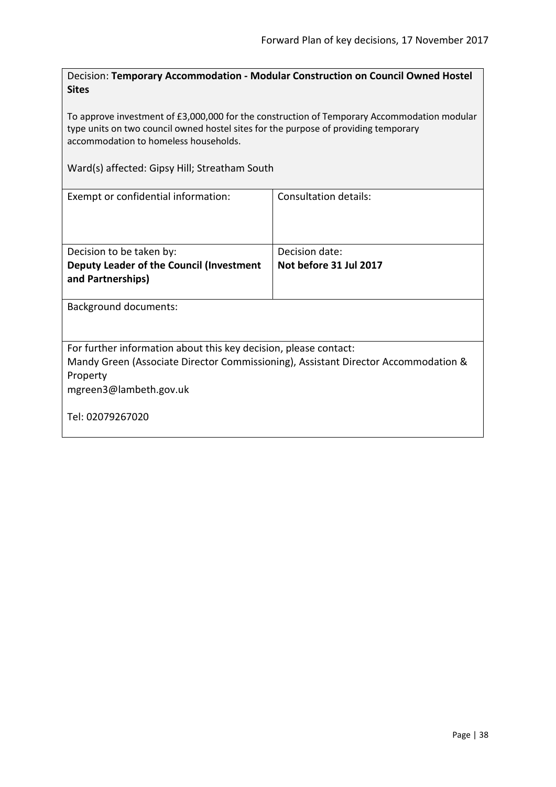Decision: **Temporary Accommodation - Modular Construction on Council Owned Hostel Sites**

To approve investment of £3,000,000 for the construction of Temporary Accommodation modular type units on two council owned hostel sites for the purpose of providing temporary accommodation to homeless households.

Ward(s) affected: Gipsy Hill; Streatham South

| Exempt or confidential information:                                                | Consultation details:  |  |
|------------------------------------------------------------------------------------|------------------------|--|
|                                                                                    |                        |  |
|                                                                                    |                        |  |
| Decision to be taken by:                                                           | Decision date:         |  |
| Deputy Leader of the Council (Investment                                           | Not before 31 Jul 2017 |  |
| and Partnerships)                                                                  |                        |  |
|                                                                                    |                        |  |
| <b>Background documents:</b>                                                       |                        |  |
|                                                                                    |                        |  |
|                                                                                    |                        |  |
| For further information about this key decision, please contact:                   |                        |  |
| Mandy Green (Associate Director Commissioning), Assistant Director Accommodation & |                        |  |
| Property                                                                           |                        |  |
| mgreen3@lambeth.gov.uk                                                             |                        |  |
|                                                                                    |                        |  |
| Tel: 02079267020                                                                   |                        |  |
|                                                                                    |                        |  |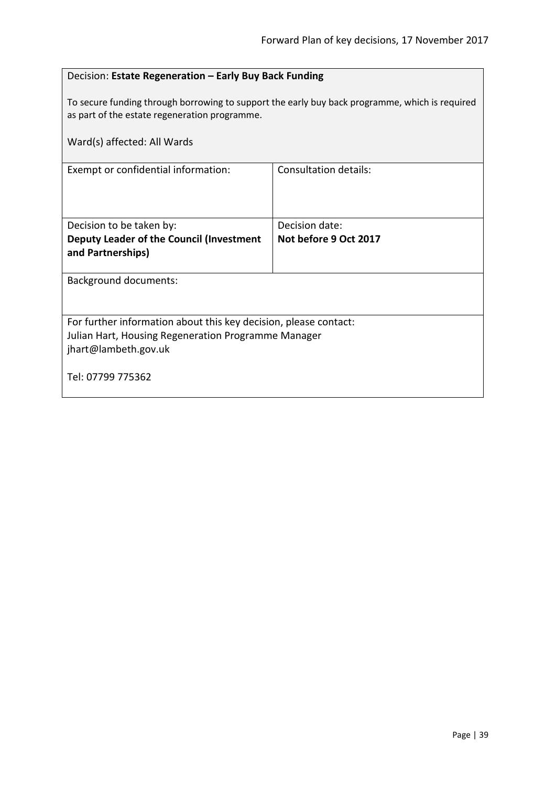| Decision: Estate Regeneration - Early Buy Back Funding                                                                                          |                              |  |
|-------------------------------------------------------------------------------------------------------------------------------------------------|------------------------------|--|
| To secure funding through borrowing to support the early buy back programme, which is required<br>as part of the estate regeneration programme. |                              |  |
| Ward(s) affected: All Wards                                                                                                                     |                              |  |
| Exempt or confidential information:                                                                                                             | <b>Consultation details:</b> |  |
|                                                                                                                                                 |                              |  |
| Decision to be taken by:                                                                                                                        | Decision date:               |  |
| Deputy Leader of the Council (Investment                                                                                                        | Not before 9 Oct 2017        |  |
| and Partnerships)                                                                                                                               |                              |  |
| <b>Background documents:</b>                                                                                                                    |                              |  |
|                                                                                                                                                 |                              |  |
| For further information about this key decision, please contact:                                                                                |                              |  |
| Julian Hart, Housing Regeneration Programme Manager                                                                                             |                              |  |
| jhart@lambeth.gov.uk                                                                                                                            |                              |  |
| Tel: 07799 775362                                                                                                                               |                              |  |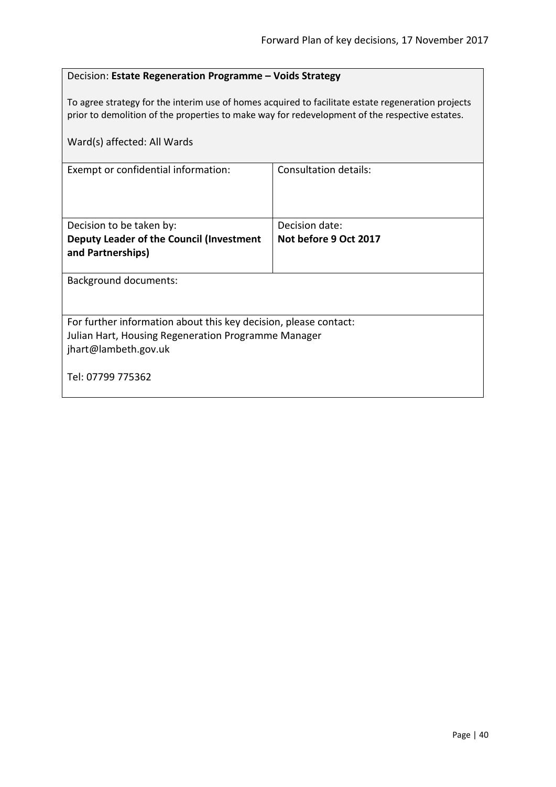### Decision: **Estate Regeneration Programme – Voids Strategy**

To agree strategy for the interim use of homes acquired to facilitate estate regeneration projects prior to demolition of the properties to make way for redevelopment of the respective estates.

| Ward(s) affected: All Wards                                                                                                                     |                              |  |
|-------------------------------------------------------------------------------------------------------------------------------------------------|------------------------------|--|
| Exempt or confidential information:                                                                                                             | <b>Consultation details:</b> |  |
| Decision to be taken by:                                                                                                                        | Decision date:               |  |
| Deputy Leader of the Council (Investment<br>and Partnerships)                                                                                   | Not before 9 Oct 2017        |  |
| Background documents:                                                                                                                           |                              |  |
| For further information about this key decision, please contact:<br>Julian Hart, Housing Regeneration Programme Manager<br>jhart@lambeth.gov.uk |                              |  |
| Tel: 07799 775362                                                                                                                               |                              |  |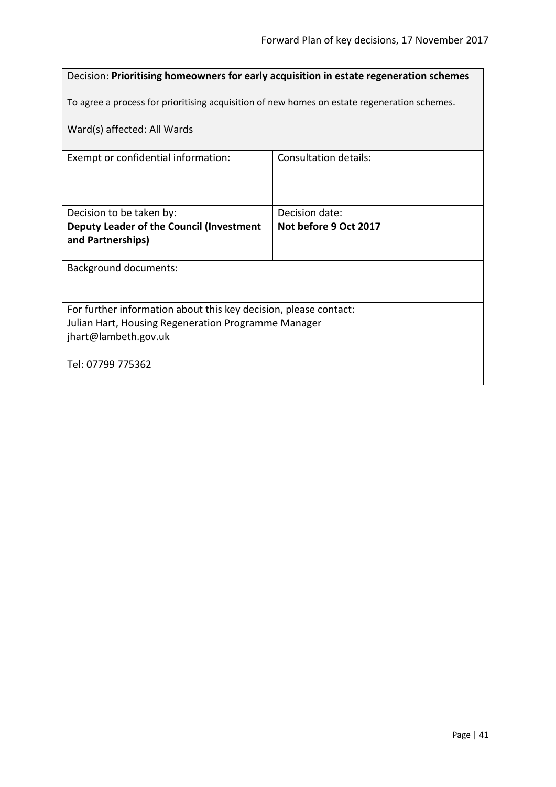# Decision: **Prioritising homeowners for early acquisition in estate regeneration schemes** To agree a process for prioritising acquisition of new homes on estate regeneration schemes. Ward(s) affected: All Wards Exempt or confidential information: Consultation details: Decision to be taken by: **Deputy Leader of the Council (Investment and Partnerships)** Decision date: **Not before 9 Oct 2017** Background documents: For further information about this key decision, please contact: Julian Hart, Housing Regeneration Programme Manager jhart@lambeth.gov.uk Tel: 07799 775362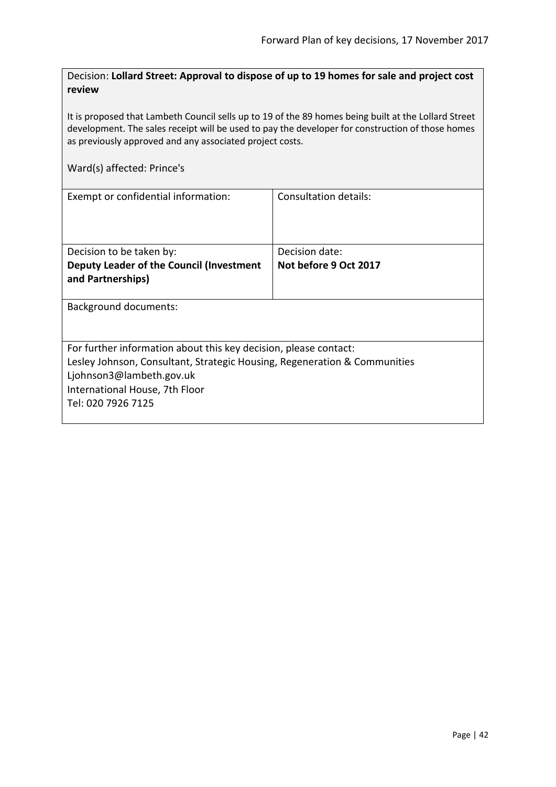Decision: **Lollard Street: Approval to dispose of up to 19 homes for sale and project cost review**

It is proposed that Lambeth Council sells up to 19 of the 89 homes being built at the Lollard Street development. The sales receipt will be used to pay the developer for construction of those homes as previously approved and any associated project costs.

#### Ward(s) affected: Prince's

| Exempt or confidential information:                                       | Consultation details: |  |
|---------------------------------------------------------------------------|-----------------------|--|
| Decision to be taken by:                                                  | Decision date:        |  |
| Deputy Leader of the Council (Investment                                  | Not before 9 Oct 2017 |  |
|                                                                           |                       |  |
| and Partnerships)                                                         |                       |  |
|                                                                           |                       |  |
| <b>Background documents:</b>                                              |                       |  |
|                                                                           |                       |  |
|                                                                           |                       |  |
| For further information about this key decision, please contact:          |                       |  |
| Lesley Johnson, Consultant, Strategic Housing, Regeneration & Communities |                       |  |
| Ljohnson3@lambeth.gov.uk                                                  |                       |  |
|                                                                           |                       |  |
| International House, 7th Floor                                            |                       |  |
| Tel: 020 7926 7125                                                        |                       |  |
|                                                                           |                       |  |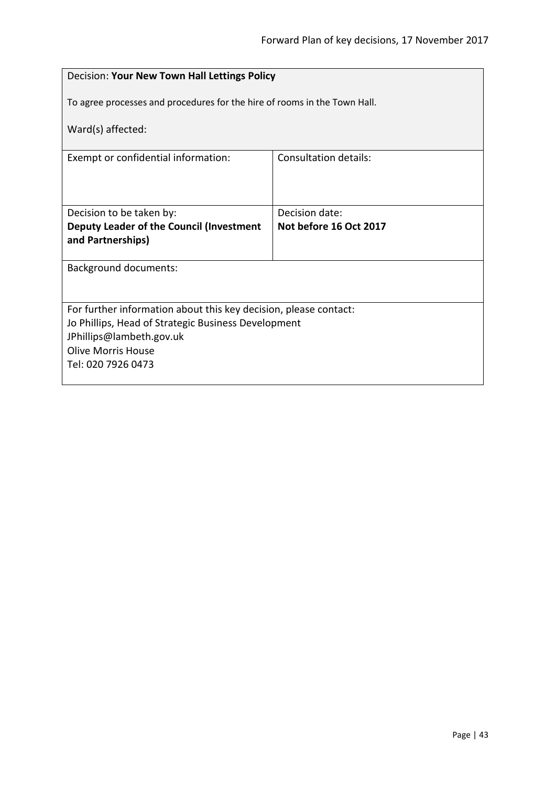| Decision: Your New Town Hall Lettings Policy                                              |                                          |  |
|-------------------------------------------------------------------------------------------|------------------------------------------|--|
| To agree processes and procedures for the hire of rooms in the Town Hall.                 |                                          |  |
| Ward(s) affected:                                                                         |                                          |  |
| Exempt or confidential information:                                                       | Consultation details:                    |  |
|                                                                                           |                                          |  |
| Decision to be taken by:<br>Deputy Leader of the Council (Investment<br>and Partnerships) | Decision date:<br>Not before 16 Oct 2017 |  |
| <b>Background documents:</b>                                                              |                                          |  |
|                                                                                           |                                          |  |
| For further information about this key decision, please contact:                          |                                          |  |
| Jo Phillips, Head of Strategic Business Development                                       |                                          |  |
| JPhillips@lambeth.gov.uk                                                                  |                                          |  |
| <b>Olive Morris House</b>                                                                 |                                          |  |
| Tel: 020 7926 0473                                                                        |                                          |  |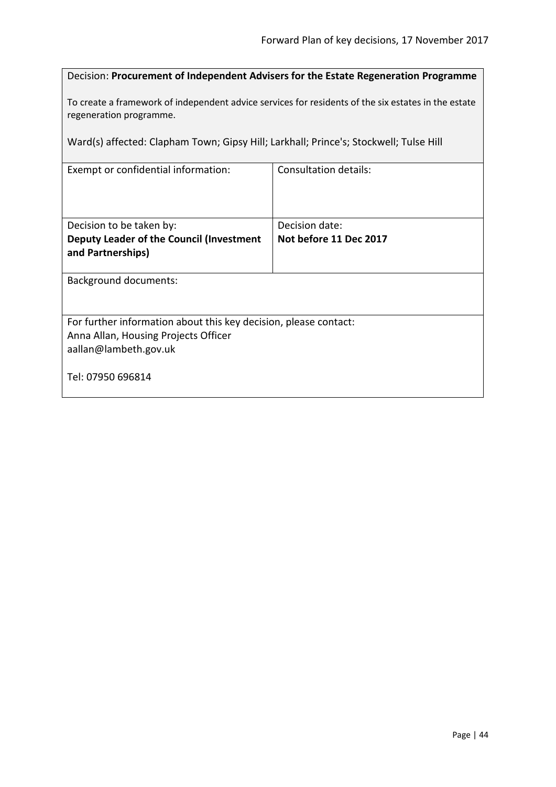| Decision: Procurement of Independent Advisers for the Estate Regeneration Programme |  |
|-------------------------------------------------------------------------------------|--|
|-------------------------------------------------------------------------------------|--|

To create a framework of independent advice services for residents of the six estates in the estate regeneration programme.

Ward(s) affected: Clapham Town; Gipsy Hill; Larkhall; Prince's; Stockwell; Tulse Hill

| Exempt or confidential information:                              | <b>Consultation details:</b> |
|------------------------------------------------------------------|------------------------------|
| Decision to be taken by:                                         | Decision date:               |
| Deputy Leader of the Council (Investment<br>and Partnerships)    | Not before 11 Dec 2017       |
| <b>Background documents:</b>                                     |                              |
| For further information about this key decision, please contact: |                              |
| Anna Allan, Housing Projects Officer<br>aallan@lambeth.gov.uk    |                              |
| Tel: 07950 696814                                                |                              |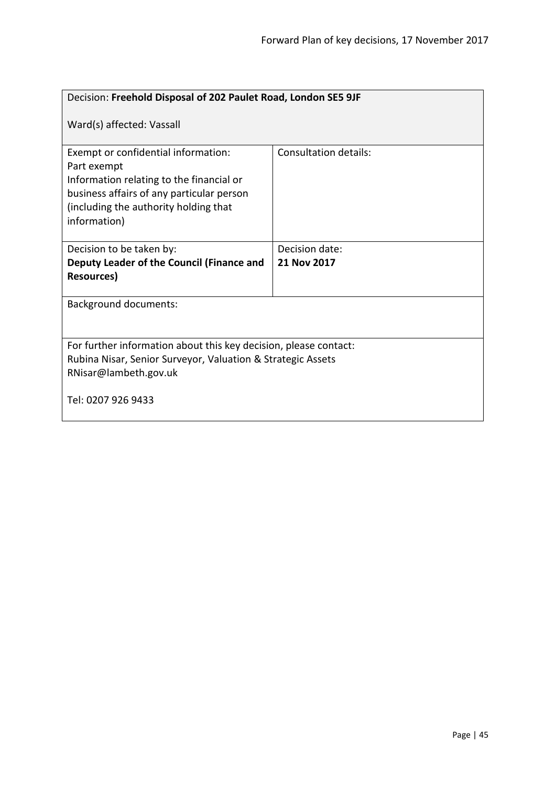| Decision: Freehold Disposal of 202 Paulet Road, London SE5 9JF                                                                                                                                       |                       |  |
|------------------------------------------------------------------------------------------------------------------------------------------------------------------------------------------------------|-----------------------|--|
| Ward(s) affected: Vassall                                                                                                                                                                            |                       |  |
| Exempt or confidential information:<br>Part exempt<br>Information relating to the financial or<br>business affairs of any particular person<br>(including the authority holding that<br>information) | Consultation details: |  |
| Decision to be taken by:                                                                                                                                                                             | Decision date:        |  |
| Deputy Leader of the Council (Finance and                                                                                                                                                            | 21 Nov 2017           |  |
| <b>Resources)</b>                                                                                                                                                                                    |                       |  |
| <b>Background documents:</b>                                                                                                                                                                         |                       |  |
| For further information about this key decision, please contact:                                                                                                                                     |                       |  |
| Rubina Nisar, Senior Surveyor, Valuation & Strategic Assets                                                                                                                                          |                       |  |
| RNisar@lambeth.gov.uk                                                                                                                                                                                |                       |  |
| Tel: 0207 926 9433                                                                                                                                                                                   |                       |  |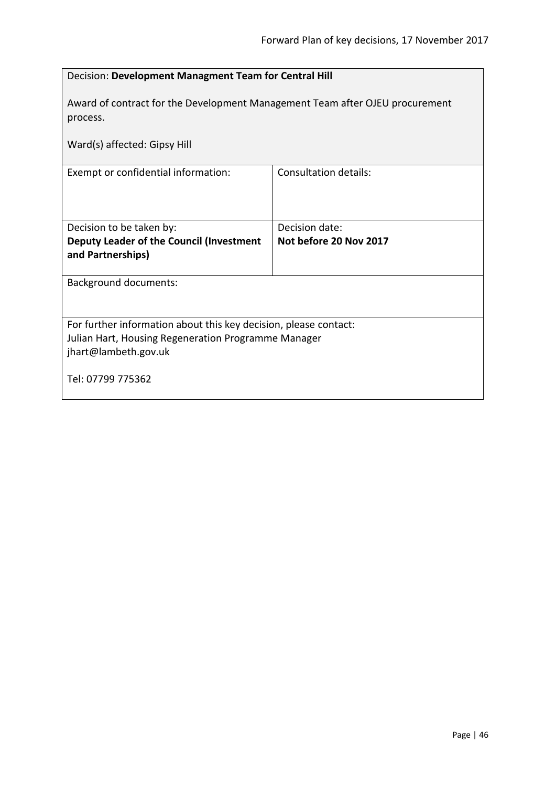| Decision: Development Managment Team for Central Hill                                                                                           |                                          |  |
|-------------------------------------------------------------------------------------------------------------------------------------------------|------------------------------------------|--|
| Award of contract for the Development Management Team after OJEU procurement<br>process.                                                        |                                          |  |
| Ward(s) affected: Gipsy Hill                                                                                                                    |                                          |  |
| Exempt or confidential information:                                                                                                             | <b>Consultation details:</b>             |  |
| Decision to be taken by:<br>Deputy Leader of the Council (Investment<br>and Partnerships)                                                       | Decision date:<br>Not before 20 Nov 2017 |  |
| <b>Background documents:</b>                                                                                                                    |                                          |  |
| For further information about this key decision, please contact:<br>Julian Hart, Housing Regeneration Programme Manager<br>jhart@lambeth.gov.uk |                                          |  |
| Tel: 07799 775362                                                                                                                               |                                          |  |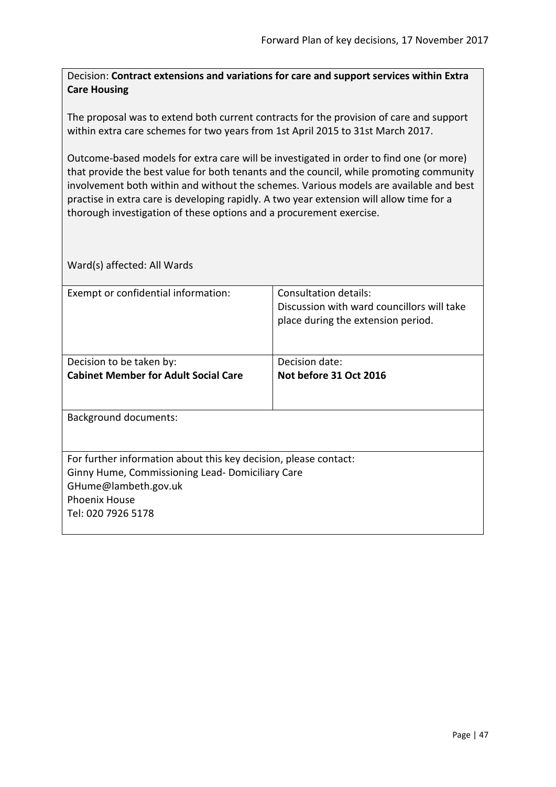Decision: **Contract extensions and variations for care and support services within Extra Care Housing**

The proposal was to extend both current contracts for the provision of care and support within extra care schemes for two years from 1st April 2015 to 31st March 2017.

Outcome-based models for extra care will be investigated in order to find one (or more) that provide the best value for both tenants and the council, while promoting community involvement both within and without the schemes. Various models are available and best practise in extra care is developing rapidly. A two year extension will allow time for a thorough investigation of these options and a procurement exercise.

| Exempt or confidential information:                              | Consultation details:<br>Discussion with ward councillors will take<br>place during the extension period. |  |  |
|------------------------------------------------------------------|-----------------------------------------------------------------------------------------------------------|--|--|
|                                                                  |                                                                                                           |  |  |
| Decision to be taken by:                                         | Decision date:                                                                                            |  |  |
| <b>Cabinet Member for Adult Social Care</b>                      | Not before 31 Oct 2016                                                                                    |  |  |
|                                                                  |                                                                                                           |  |  |
| <b>Background documents:</b>                                     |                                                                                                           |  |  |
| For further information about this key decision, please contact: |                                                                                                           |  |  |
| Ginny Hume, Commissioning Lead-Domiciliary Care                  |                                                                                                           |  |  |
| GHume@lambeth.gov.uk                                             |                                                                                                           |  |  |
| <b>Phoenix House</b>                                             |                                                                                                           |  |  |
| Tel: 020 7926 5178                                               |                                                                                                           |  |  |
|                                                                  |                                                                                                           |  |  |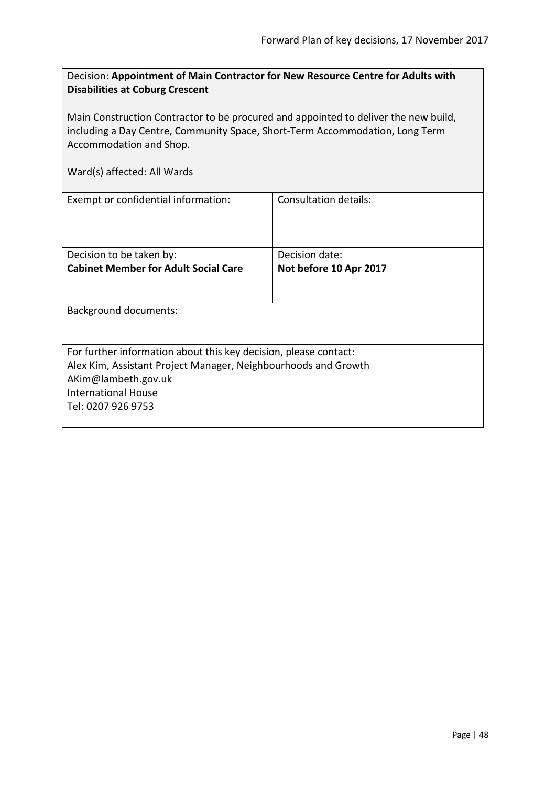| Decision: Appointment of Main Contractor for New Resource Centre for Adults with |  |
|----------------------------------------------------------------------------------|--|
| <b>Disabilities at Coburg Crescent</b>                                           |  |

Main Construction Contractor to be procured and appointed to deliver the new build, including a Day Centre, Community Space, Short-Term Accommodation, Long Term Accommodation and Shop.

| Exempt or confidential information:                              | Consultation details:  |
|------------------------------------------------------------------|------------------------|
|                                                                  |                        |
| Decision to be taken by:                                         | Decision date:         |
| <b>Cabinet Member for Adult Social Care</b>                      | Not before 10 Apr 2017 |
| <b>Background documents:</b>                                     |                        |
| For further information about this key decision, please contact: |                        |
| Alex Kim, Assistant Project Manager, Neighbourhoods and Growth   |                        |
|                                                                  |                        |
| AKim@lambeth.gov.uk                                              |                        |
| International House                                              |                        |
| Tel: 0207 926 9753                                               |                        |
|                                                                  |                        |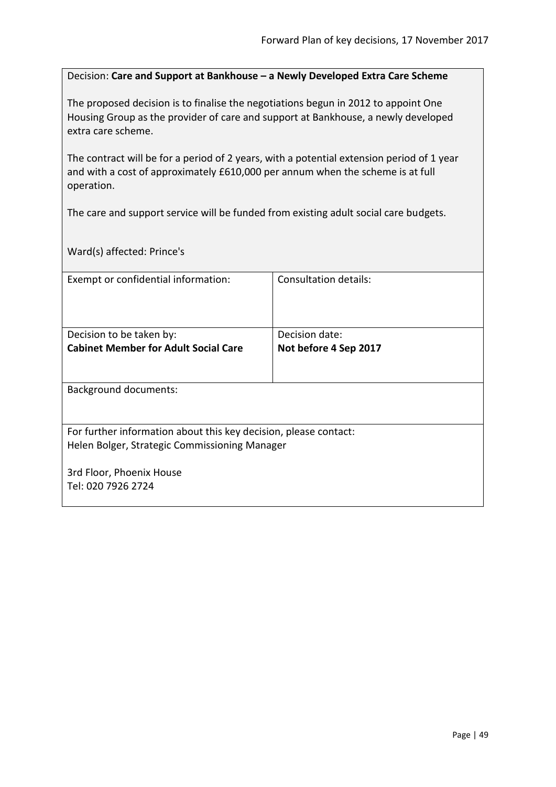Decision: **Care and Support at Bankhouse – a Newly Developed Extra Care Scheme**

The proposed decision is to finalise the negotiations begun in 2012 to appoint One Housing Group as the provider of care and support at Bankhouse, a newly developed extra care scheme.

The contract will be for a period of 2 years, with a potential extension period of 1 year and with a cost of approximately £610,000 per annum when the scheme is at full operation.

The care and support service will be funded from existing adult social care budgets.

Ward(s) affected: Prince's

| Exempt or confidential information:                              | Consultation details: |
|------------------------------------------------------------------|-----------------------|
|                                                                  |                       |
|                                                                  |                       |
| Decision to be taken by:                                         | Decision date:        |
| <b>Cabinet Member for Adult Social Care</b>                      | Not before 4 Sep 2017 |
|                                                                  |                       |
|                                                                  |                       |
| <b>Background documents:</b>                                     |                       |
|                                                                  |                       |
| For further information about this key decision, please contact: |                       |
| Helen Bolger, Strategic Commissioning Manager                    |                       |
|                                                                  |                       |
| 3rd Floor, Phoenix House                                         |                       |
| Tel: 020 7926 2724                                               |                       |
|                                                                  |                       |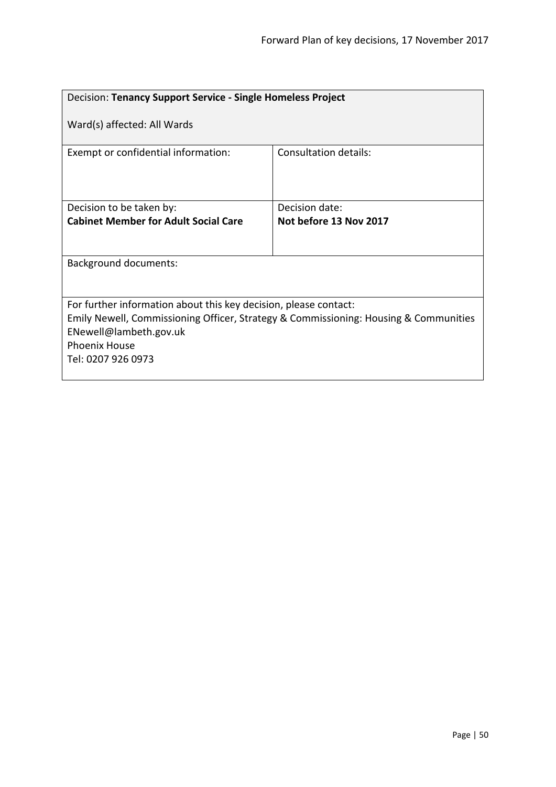| Decision: Tenancy Support Service - Single Homeless Project                                                                                                                                                                      |                        |  |
|----------------------------------------------------------------------------------------------------------------------------------------------------------------------------------------------------------------------------------|------------------------|--|
| Ward(s) affected: All Wards                                                                                                                                                                                                      |                        |  |
| Exempt or confidential information:                                                                                                                                                                                              | Consultation details:  |  |
| Decision to be taken by:                                                                                                                                                                                                         | Decision date:         |  |
| <b>Cabinet Member for Adult Social Care</b>                                                                                                                                                                                      | Not before 13 Nov 2017 |  |
|                                                                                                                                                                                                                                  |                        |  |
| <b>Background documents:</b>                                                                                                                                                                                                     |                        |  |
|                                                                                                                                                                                                                                  |                        |  |
| For further information about this key decision, please contact:<br>Emily Newell, Commissioning Officer, Strategy & Commissioning: Housing & Communities<br>ENewell@lambeth.gov.uk<br><b>Phoenix House</b><br>Tel: 0207 926 0973 |                        |  |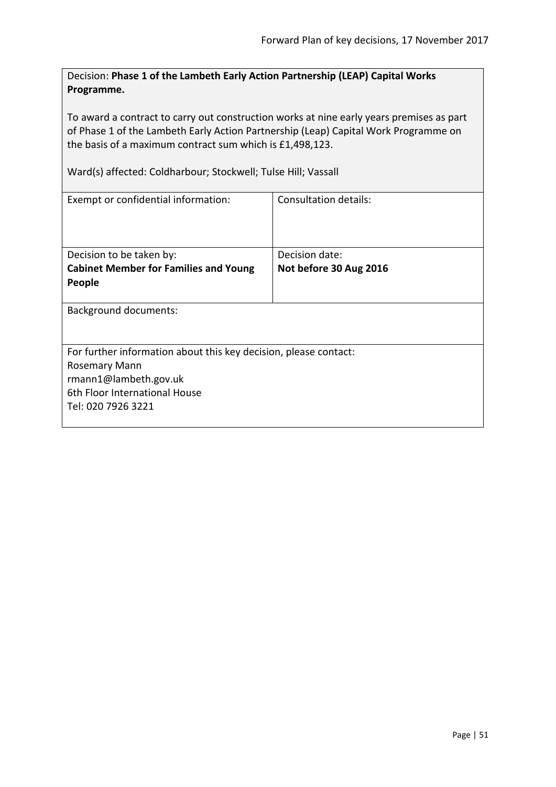Decision: **Phase 1 of the Lambeth Early Action Partnership (LEAP) Capital Works Programme.**

To award a contract to carry out construction works at nine early years premises as part of Phase 1 of the Lambeth Early Action Partnership (Leap) Capital Work Programme on the basis of a maximum contract sum which is £1,498,123.

Ward(s) affected: Coldharbour; Stockwell; Tulse Hill; Vassall

| Exempt or confidential information:                                                                                                                               | Consultation details:                    |  |
|-------------------------------------------------------------------------------------------------------------------------------------------------------------------|------------------------------------------|--|
| Decision to be taken by:<br><b>Cabinet Member for Families and Young</b><br>People                                                                                | Decision date:<br>Not before 30 Aug 2016 |  |
| <b>Background documents:</b>                                                                                                                                      |                                          |  |
| For further information about this key decision, please contact:<br>Rosemary Mann<br>rmann1@lambeth.gov.uk<br>6th Floor International House<br>Tel: 020 7926 3221 |                                          |  |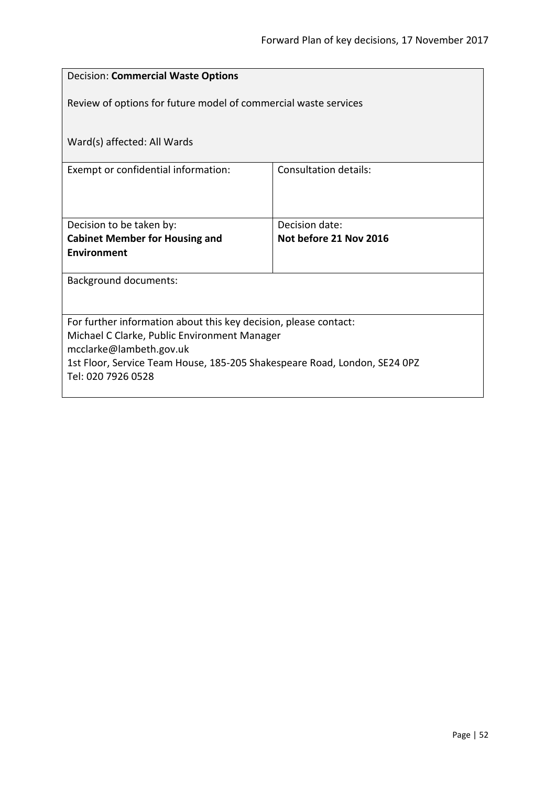| <b>Decision: Commercial Waste Options</b>                                 |                              |  |
|---------------------------------------------------------------------------|------------------------------|--|
| Review of options for future model of commercial waste services           |                              |  |
| Ward(s) affected: All Wards                                               |                              |  |
| Exempt or confidential information:                                       | <b>Consultation details:</b> |  |
|                                                                           |                              |  |
|                                                                           |                              |  |
| Decision to be taken by:                                                  | Decision date:               |  |
| <b>Cabinet Member for Housing and</b>                                     | Not before 21 Nov 2016       |  |
| <b>Environment</b>                                                        |                              |  |
| <b>Background documents:</b>                                              |                              |  |
|                                                                           |                              |  |
| For further information about this key decision, please contact:          |                              |  |
| Michael C Clarke, Public Environment Manager<br>mcclarke@lambeth.gov.uk   |                              |  |
| 1st Floor, Service Team House, 185-205 Shakespeare Road, London, SE24 0PZ |                              |  |
| Tel: 020 7926 0528                                                        |                              |  |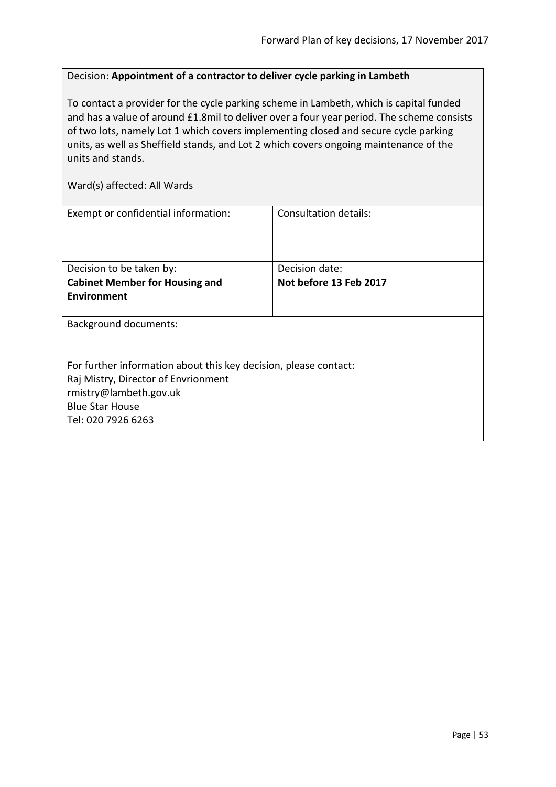# Decision: **Appointment of a contractor to deliver cycle parking in Lambeth**

To contact a provider for the cycle parking scheme in Lambeth, which is capital funded and has a value of around £1.8mil to deliver over a four year period. The scheme consists of two lots, namely Lot 1 which covers implementing closed and secure cycle parking units, as well as Sheffield stands, and Lot 2 which covers ongoing maintenance of the units and stands.

| Exempt or confidential information:                              | Consultation details:  |
|------------------------------------------------------------------|------------------------|
| Decision to be taken by:                                         | Decision date:         |
| <b>Cabinet Member for Housing and</b>                            | Not before 13 Feb 2017 |
| Environment                                                      |                        |
| <b>Background documents:</b>                                     |                        |
| For further information about this key decision, please contact: |                        |
| Raj Mistry, Director of Envrionment                              |                        |
| rmistry@lambeth.gov.uk                                           |                        |
| <b>Blue Star House</b>                                           |                        |
| Tel: 020 7926 6263                                               |                        |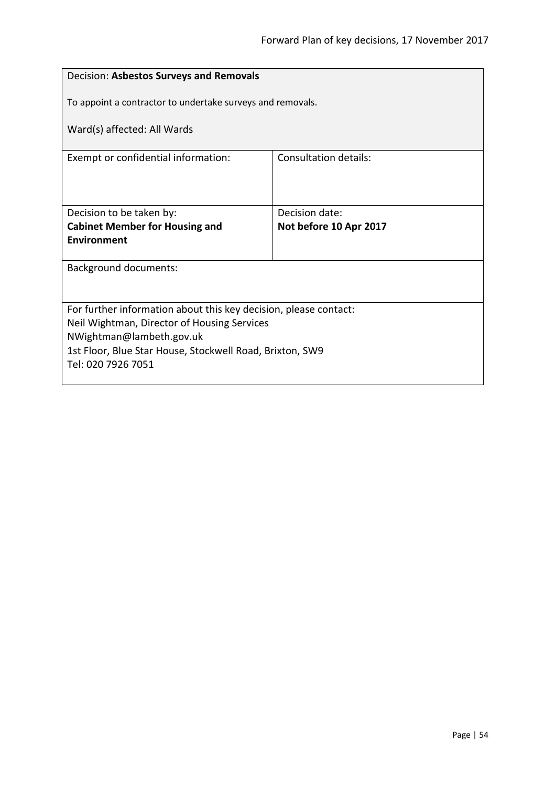| To appoint a contractor to undertake surveys and removals.       |  |  |
|------------------------------------------------------------------|--|--|
| Ward(s) affected: All Wards                                      |  |  |
| <b>Consultation details:</b>                                     |  |  |
|                                                                  |  |  |
| Decision date:                                                   |  |  |
| Not before 10 Apr 2017                                           |  |  |
|                                                                  |  |  |
| <b>Background documents:</b>                                     |  |  |
|                                                                  |  |  |
| For further information about this key decision, please contact: |  |  |
| Neil Wightman, Director of Housing Services                      |  |  |
| NWightman@lambeth.gov.uk                                         |  |  |
| 1st Floor, Blue Star House, Stockwell Road, Brixton, SW9         |  |  |
| Tel: 020 7926 7051                                               |  |  |
|                                                                  |  |  |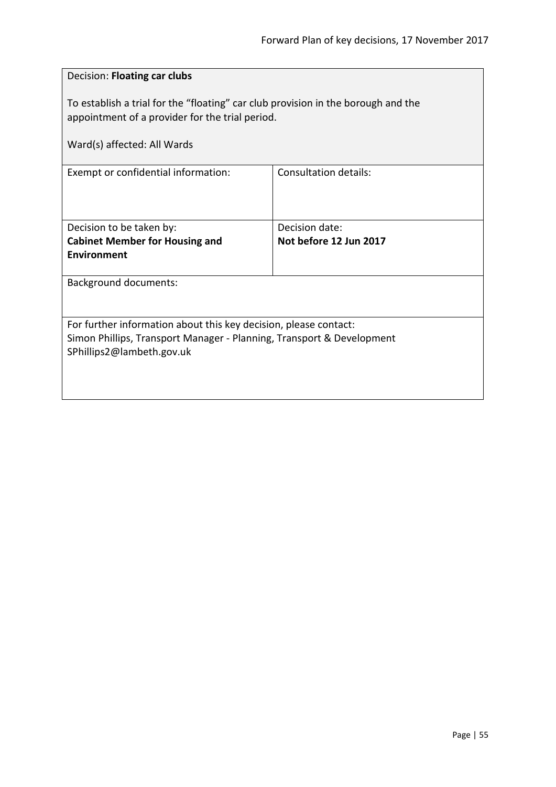| Decision: Floating car clubs                                                                                                                                           |                              |  |
|------------------------------------------------------------------------------------------------------------------------------------------------------------------------|------------------------------|--|
| To establish a trial for the "floating" car club provision in the borough and the<br>appointment of a provider for the trial period.                                   |                              |  |
| Ward(s) affected: All Wards                                                                                                                                            |                              |  |
| Exempt or confidential information:                                                                                                                                    | <b>Consultation details:</b> |  |
| Decision to be taken by:                                                                                                                                               | Decision date:               |  |
| <b>Cabinet Member for Housing and</b><br><b>Environment</b>                                                                                                            | Not before 12 Jun 2017       |  |
| <b>Background documents:</b>                                                                                                                                           |                              |  |
| For further information about this key decision, please contact:<br>Simon Phillips, Transport Manager - Planning, Transport & Development<br>SPhillips2@lambeth.gov.uk |                              |  |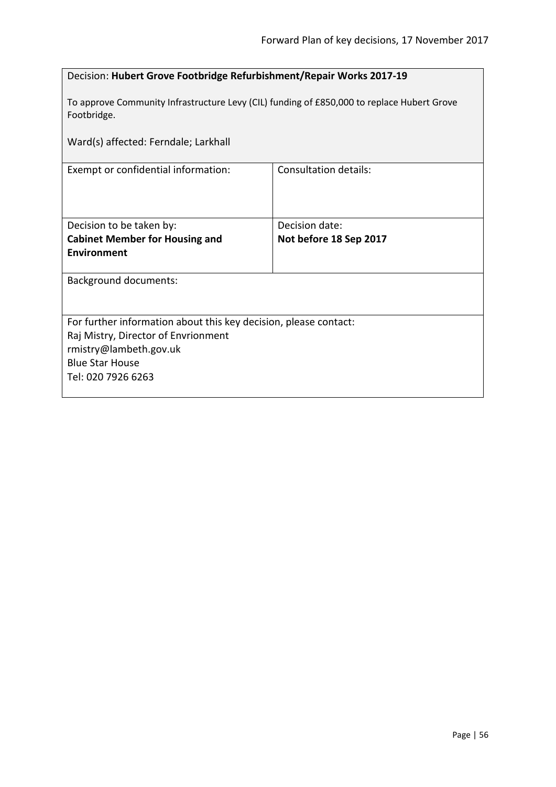| Decision: Hubert Grove Footbridge Refurbishment/Repair Works 2017-19                                      |                              |  |
|-----------------------------------------------------------------------------------------------------------|------------------------------|--|
| To approve Community Infrastructure Levy (CIL) funding of £850,000 to replace Hubert Grove<br>Footbridge. |                              |  |
| Ward(s) affected: Ferndale; Larkhall                                                                      |                              |  |
| Exempt or confidential information:                                                                       | <b>Consultation details:</b> |  |
|                                                                                                           |                              |  |
| Decision to be taken by:                                                                                  | Decision date:               |  |
| <b>Cabinet Member for Housing and</b>                                                                     | Not before 18 Sep 2017       |  |
| <b>Environment</b>                                                                                        |                              |  |
| <b>Background documents:</b>                                                                              |                              |  |
|                                                                                                           |                              |  |
| For further information about this key decision, please contact:                                          |                              |  |
| Raj Mistry, Director of Envrionment                                                                       |                              |  |
| rmistry@lambeth.gov.uk                                                                                    |                              |  |
| <b>Blue Star House</b><br>Tel: 020 7926 6263                                                              |                              |  |
|                                                                                                           |                              |  |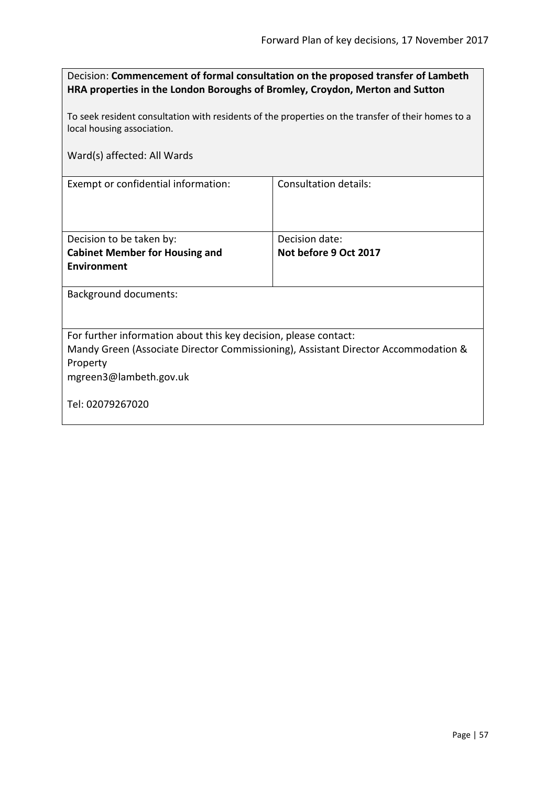| Decision: Commencement of formal consultation on the proposed transfer of Lambeth<br>HRA properties in the London Boroughs of Bromley, Croydon, Merton and Sutton |                              |  |
|-------------------------------------------------------------------------------------------------------------------------------------------------------------------|------------------------------|--|
| To seek resident consultation with residents of the properties on the transfer of their homes to a<br>local housing association.                                  |                              |  |
| Ward(s) affected: All Wards                                                                                                                                       |                              |  |
| Exempt or confidential information:                                                                                                                               | <b>Consultation details:</b> |  |
| Decision to be taken by:                                                                                                                                          | Decision date:               |  |
| <b>Cabinet Member for Housing and</b>                                                                                                                             | Not before 9 Oct 2017        |  |
| <b>Environment</b>                                                                                                                                                |                              |  |
| <b>Background documents:</b>                                                                                                                                      |                              |  |
| For further information about this key decision, please contact:<br>Mandy Green (Associate Director Commissioning), Assistant Director Accommodation &            |                              |  |

Property

mgreen3@lambeth.gov.uk

Tel: 02079267020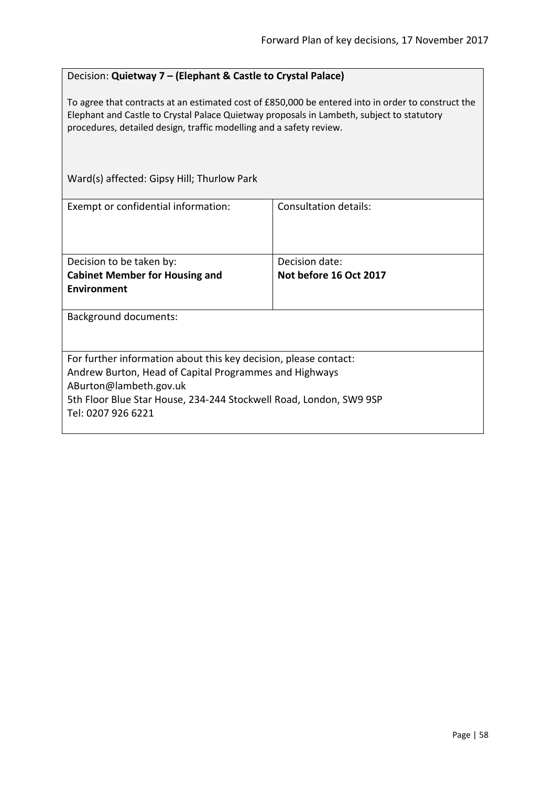### Decision: **Quietway 7 – (Elephant & Castle to Crystal Palace)**

To agree that contracts at an estimated cost of £850,000 be entered into in order to construct the Elephant and Castle to Crystal Palace Quietway proposals in Lambeth, subject to statutory procedures, detailed design, traffic modelling and a safety review.

| Ward(s) affected: Gipsy Hill; Thurlow Park                                                                                                                                                                                                       |                        |  |
|--------------------------------------------------------------------------------------------------------------------------------------------------------------------------------------------------------------------------------------------------|------------------------|--|
| Exempt or confidential information:                                                                                                                                                                                                              | Consultation details:  |  |
| Decision to be taken by:                                                                                                                                                                                                                         | Decision date:         |  |
| <b>Cabinet Member for Housing and</b>                                                                                                                                                                                                            | Not before 16 Oct 2017 |  |
| <b>Environment</b>                                                                                                                                                                                                                               |                        |  |
| <b>Background documents:</b>                                                                                                                                                                                                                     |                        |  |
| For further information about this key decision, please contact:<br>Andrew Burton, Head of Capital Programmes and Highways<br>ABurton@lambeth.gov.uk<br>5th Floor Blue Star House, 234-244 Stockwell Road, London, SW9 9SP<br>Tel: 0207 926 6221 |                        |  |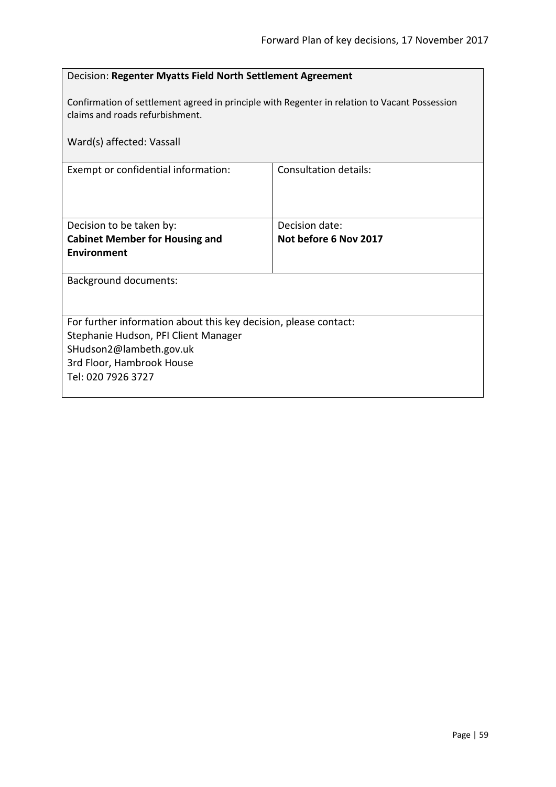| Decision: Regenter Myatts Field North Settlement Agreement                                                                       |                              |  |
|----------------------------------------------------------------------------------------------------------------------------------|------------------------------|--|
| Confirmation of settlement agreed in principle with Regenter in relation to Vacant Possession<br>claims and roads refurbishment. |                              |  |
| Ward(s) affected: Vassall                                                                                                        |                              |  |
| Exempt or confidential information:                                                                                              | <b>Consultation details:</b> |  |
|                                                                                                                                  |                              |  |
| Decision to be taken by:                                                                                                         | Decision date:               |  |
| <b>Cabinet Member for Housing and</b>                                                                                            | Not before 6 Nov 2017        |  |
| Environment                                                                                                                      |                              |  |
| <b>Background documents:</b>                                                                                                     |                              |  |
|                                                                                                                                  |                              |  |
| For further information about this key decision, please contact:                                                                 |                              |  |
| Stephanie Hudson, PFI Client Manager                                                                                             |                              |  |
| SHudson2@lambeth.gov.uk                                                                                                          |                              |  |
| 3rd Floor, Hambrook House                                                                                                        |                              |  |
| Tel: 020 7926 3727                                                                                                               |                              |  |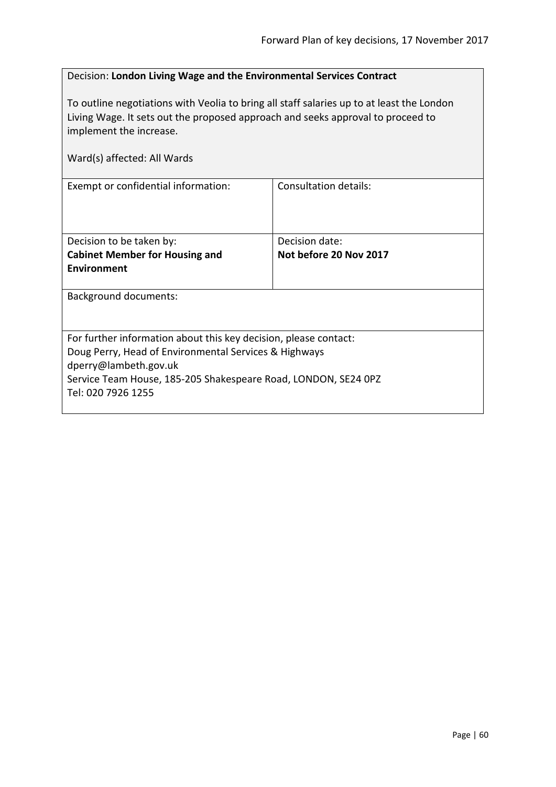## Decision: **London Living Wage and the Environmental Services Contract**

To outline negotiations with Veolia to bring all staff salaries up to at least the London Living Wage. It sets out the proposed approach and seeks approval to proceed to implement the increase.

| Ward(s) affected: All Wards                                                                                                                                                                                                                |                                          |  |
|--------------------------------------------------------------------------------------------------------------------------------------------------------------------------------------------------------------------------------------------|------------------------------------------|--|
| Exempt or confidential information:                                                                                                                                                                                                        | <b>Consultation details:</b>             |  |
| Decision to be taken by:<br><b>Cabinet Member for Housing and</b><br><b>Environment</b>                                                                                                                                                    | Decision date:<br>Not before 20 Nov 2017 |  |
| <b>Background documents:</b>                                                                                                                                                                                                               |                                          |  |
| For further information about this key decision, please contact:<br>Doug Perry, Head of Environmental Services & Highways<br>dperry@lambeth.gov.uk<br>Service Team House, 185-205 Shakespeare Road, LONDON, SE24 OPZ<br>Tel: 020 7926 1255 |                                          |  |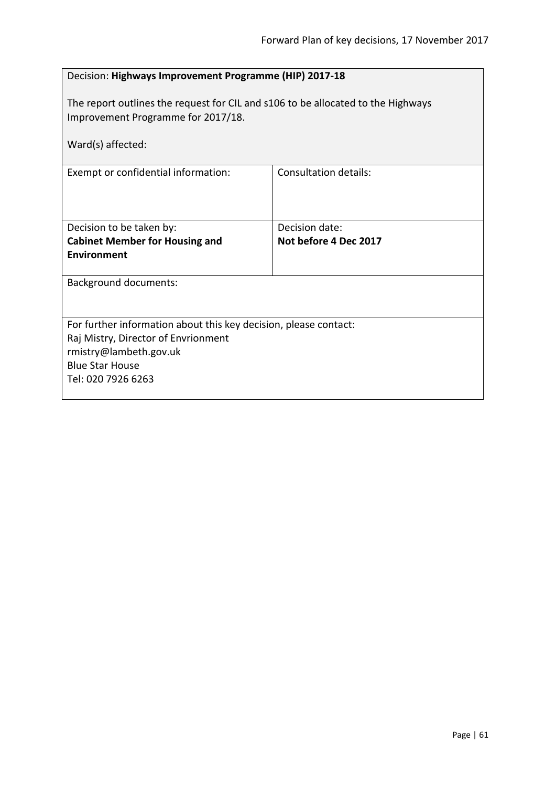| Decision: Highways Improvement Programme (HIP) 2017-18                                                                                                                            |                                         |  |
|-----------------------------------------------------------------------------------------------------------------------------------------------------------------------------------|-----------------------------------------|--|
| The report outlines the request for CIL and s106 to be allocated to the Highways<br>Improvement Programme for 2017/18.                                                            |                                         |  |
| Ward(s) affected:                                                                                                                                                                 |                                         |  |
| Exempt or confidential information:                                                                                                                                               | <b>Consultation details:</b>            |  |
| Decision to be taken by:<br><b>Cabinet Member for Housing and</b><br><b>Environment</b>                                                                                           | Decision date:<br>Not before 4 Dec 2017 |  |
| <b>Background documents:</b>                                                                                                                                                      |                                         |  |
| For further information about this key decision, please contact:<br>Raj Mistry, Director of Envrionment<br>rmistry@lambeth.gov.uk<br><b>Blue Star House</b><br>Tel: 020 7926 6263 |                                         |  |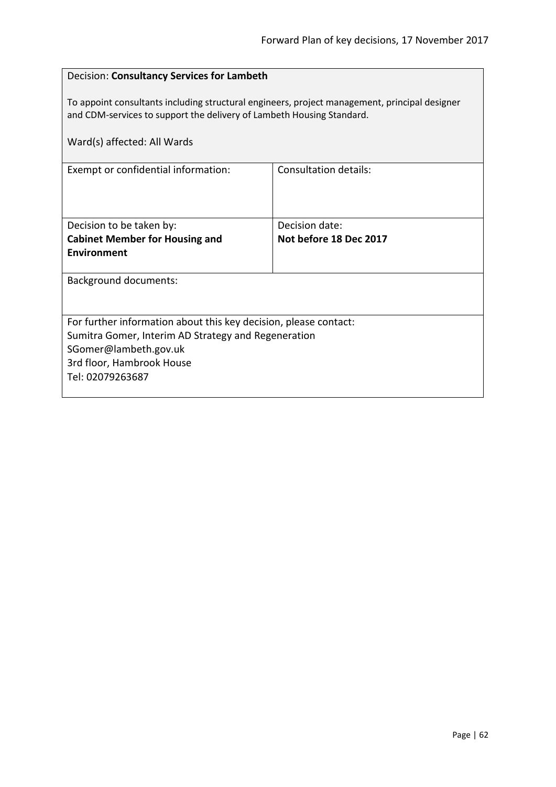| Decision: Consultancy Services for Lambeth                                                                                                                             |                              |  |
|------------------------------------------------------------------------------------------------------------------------------------------------------------------------|------------------------------|--|
| To appoint consultants including structural engineers, project management, principal designer<br>and CDM-services to support the delivery of Lambeth Housing Standard. |                              |  |
| Ward(s) affected: All Wards                                                                                                                                            |                              |  |
| Exempt or confidential information:                                                                                                                                    | <b>Consultation details:</b> |  |
|                                                                                                                                                                        |                              |  |
| Decision to be taken by:                                                                                                                                               | Decision date:               |  |
| <b>Cabinet Member for Housing and</b>                                                                                                                                  | Not before 18 Dec 2017       |  |
| Environment                                                                                                                                                            |                              |  |
| <b>Background documents:</b>                                                                                                                                           |                              |  |
|                                                                                                                                                                        |                              |  |
| For further information about this key decision, please contact:                                                                                                       |                              |  |
| Sumitra Gomer, Interim AD Strategy and Regeneration                                                                                                                    |                              |  |
| SGomer@lambeth.gov.uk                                                                                                                                                  |                              |  |
| 3rd floor, Hambrook House                                                                                                                                              |                              |  |
| Tel: 02079263687                                                                                                                                                       |                              |  |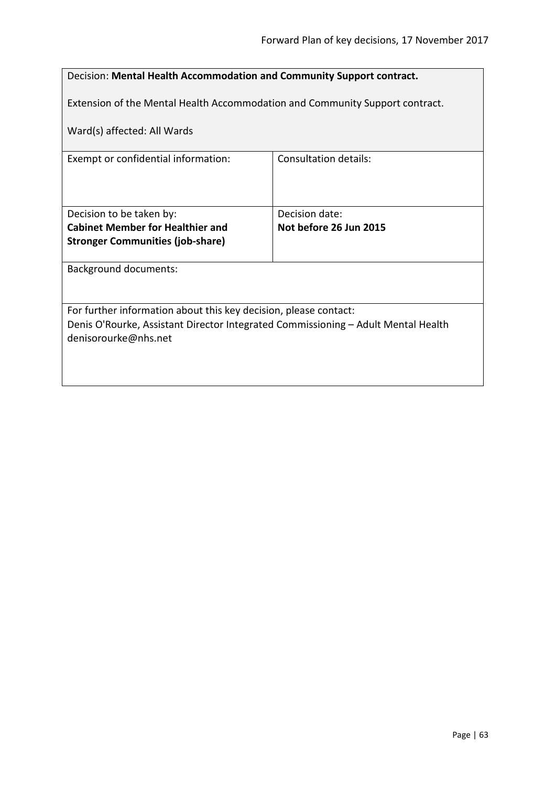| Decision: Mental Health Accommodation and Community Support contract.                                     |                              |  |
|-----------------------------------------------------------------------------------------------------------|------------------------------|--|
| Extension of the Mental Health Accommodation and Community Support contract.                              |                              |  |
| Ward(s) affected: All Wards                                                                               |                              |  |
| Exempt or confidential information:                                                                       | <b>Consultation details:</b> |  |
|                                                                                                           |                              |  |
| Decision to be taken by:                                                                                  | Decision date:               |  |
| <b>Cabinet Member for Healthier and</b>                                                                   | Not before 26 Jun 2015       |  |
| <b>Stronger Communities (job-share)</b>                                                                   |                              |  |
| <b>Background documents:</b>                                                                              |                              |  |
|                                                                                                           |                              |  |
| For further information about this key decision, please contact:                                          |                              |  |
| Denis O'Rourke, Assistant Director Integrated Commissioning - Adult Mental Health<br>denisorourke@nhs.net |                              |  |
|                                                                                                           |                              |  |
|                                                                                                           |                              |  |
|                                                                                                           |                              |  |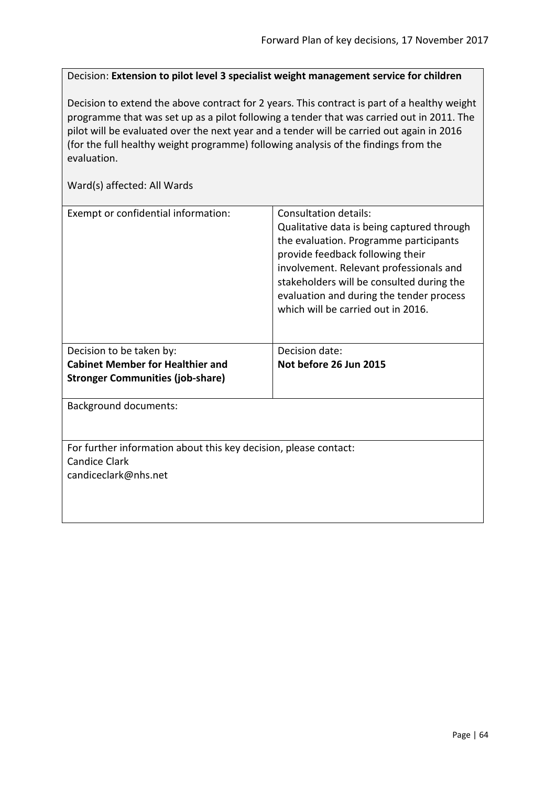Decision: **Extension to pilot level 3 specialist weight management service for children**

Decision to extend the above contract for 2 years. This contract is part of a healthy weight programme that was set up as a pilot following a tender that was carried out in 2011. The pilot will be evaluated over the next year and a tender will be carried out again in 2016 (for the full healthy weight programme) following analysis of the findings from the evaluation.

| Exempt or confidential information:                                                                              | Consultation details:<br>Qualitative data is being captured through<br>the evaluation. Programme participants<br>provide feedback following their<br>involvement. Relevant professionals and<br>stakeholders will be consulted during the<br>evaluation and during the tender process<br>which will be carried out in 2016. |
|------------------------------------------------------------------------------------------------------------------|-----------------------------------------------------------------------------------------------------------------------------------------------------------------------------------------------------------------------------------------------------------------------------------------------------------------------------|
| Decision to be taken by:                                                                                         | Decision date:                                                                                                                                                                                                                                                                                                              |
|                                                                                                                  |                                                                                                                                                                                                                                                                                                                             |
| <b>Cabinet Member for Healthier and</b>                                                                          | Not before 26 Jun 2015                                                                                                                                                                                                                                                                                                      |
| <b>Stronger Communities (job-share)</b>                                                                          |                                                                                                                                                                                                                                                                                                                             |
| <b>Background documents:</b>                                                                                     |                                                                                                                                                                                                                                                                                                                             |
|                                                                                                                  |                                                                                                                                                                                                                                                                                                                             |
| For further information about this key decision, please contact:<br><b>Candice Clark</b><br>candiceclark@nhs.net |                                                                                                                                                                                                                                                                                                                             |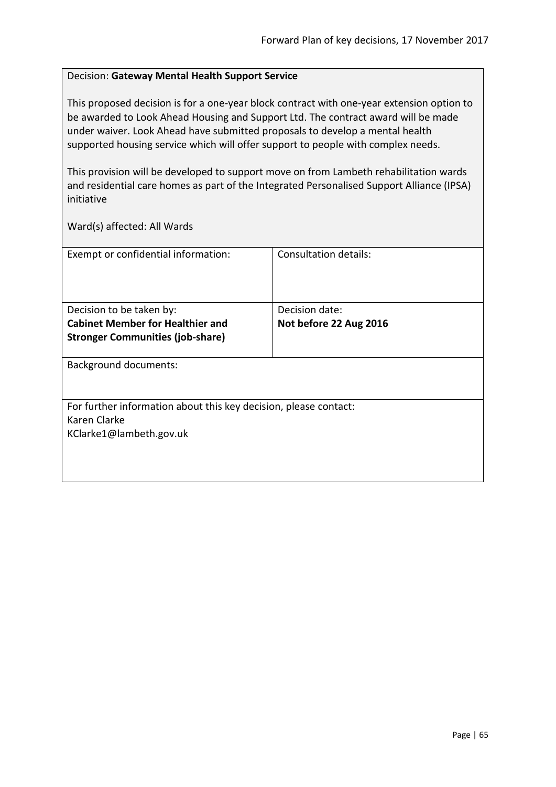#### Decision: **Gateway Mental Health Support Service**

This proposed decision is for a one-year block contract with one-year extension option to be awarded to Look Ahead Housing and Support Ltd. The contract award will be made under waiver. Look Ahead have submitted proposals to develop a mental health supported housing service which will offer support to people with complex needs.

This provision will be developed to support move on from Lambeth rehabilitation wards and residential care homes as part of the Integrated Personalised Support Alliance (IPSA) initiative

| Exempt or confidential information:                              | Consultation details:  |
|------------------------------------------------------------------|------------------------|
|                                                                  |                        |
|                                                                  |                        |
|                                                                  |                        |
| Decision to be taken by:                                         | Decision date:         |
| <b>Cabinet Member for Healthier and</b>                          | Not before 22 Aug 2016 |
| <b>Stronger Communities (job-share)</b>                          |                        |
|                                                                  |                        |
| <b>Background documents:</b>                                     |                        |
|                                                                  |                        |
|                                                                  |                        |
| For further information about this key decision, please contact: |                        |
| Karen Clarke                                                     |                        |
| KClarke1@lambeth.gov.uk                                          |                        |
|                                                                  |                        |
|                                                                  |                        |
|                                                                  |                        |
|                                                                  |                        |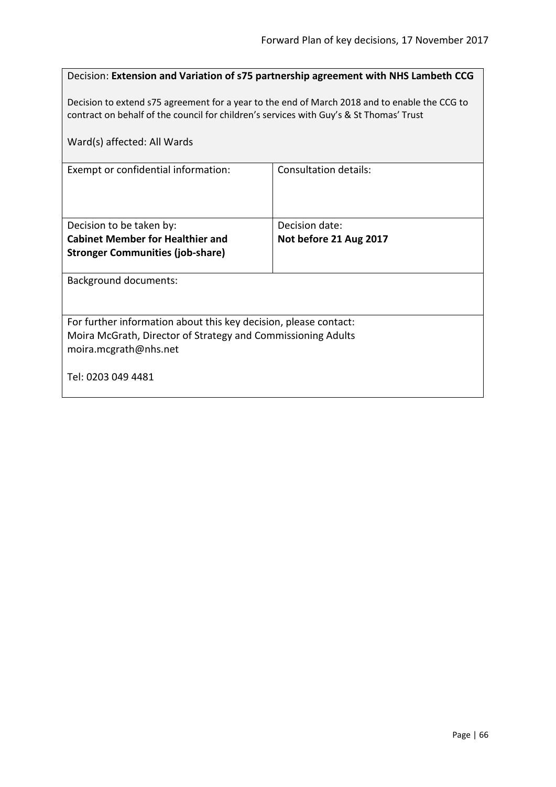|                                                                                               | Decision: Extension and Variation of s75 partnership agreement with NHS Lambeth CCG |  |
|-----------------------------------------------------------------------------------------------|-------------------------------------------------------------------------------------|--|
|                                                                                               |                                                                                     |  |
| Decision to extend s75 agreement for a year to the end of March 2018 and to enable the CCG to |                                                                                     |  |
| contract on behalf of the council for children's services with Guy's & St Thomas' Trust       |                                                                                     |  |
| Ward(s) affected: All Wards                                                                   |                                                                                     |  |
|                                                                                               |                                                                                     |  |
| Exempt or confidential information:                                                           | Consultation details:                                                               |  |
|                                                                                               |                                                                                     |  |
|                                                                                               |                                                                                     |  |
|                                                                                               |                                                                                     |  |
| Decision to be taken by:                                                                      | Decision date:                                                                      |  |
| <b>Cabinet Member for Healthier and</b>                                                       | Not before 21 Aug 2017                                                              |  |
| <b>Stronger Communities (job-share)</b>                                                       |                                                                                     |  |
| <b>Background documents:</b>                                                                  |                                                                                     |  |
|                                                                                               |                                                                                     |  |
|                                                                                               |                                                                                     |  |
| For further information about this key decision, please contact:                              |                                                                                     |  |
| Moira McGrath, Director of Strategy and Commissioning Adults                                  |                                                                                     |  |
| moira.mcgrath@nhs.net                                                                         |                                                                                     |  |
|                                                                                               |                                                                                     |  |
| Tel: 0203 049 4481                                                                            |                                                                                     |  |
|                                                                                               |                                                                                     |  |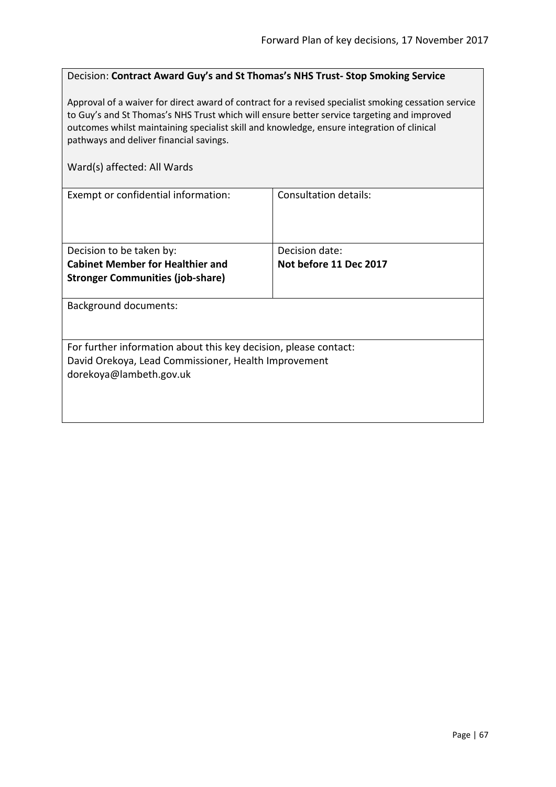# Decision: **Contract Award Guy's and St Thomas's NHS Trust- Stop Smoking Service**

Approval of a waiver for direct award of contract for a revised specialist smoking cessation service to Guy's and St Thomas's NHS Trust which will ensure better service targeting and improved outcomes whilst maintaining specialist skill and knowledge, ensure integration of clinical pathways and deliver financial savings.

| Exempt or confidential information:                              | Consultation details:  |
|------------------------------------------------------------------|------------------------|
|                                                                  |                        |
|                                                                  |                        |
|                                                                  |                        |
| Decision to be taken by:                                         | Decision date:         |
| <b>Cabinet Member for Healthier and</b>                          | Not before 11 Dec 2017 |
| <b>Stronger Communities (job-share)</b>                          |                        |
|                                                                  |                        |
| <b>Background documents:</b>                                     |                        |
|                                                                  |                        |
|                                                                  |                        |
| For further information about this key decision, please contact: |                        |
| David Orekoya, Lead Commissioner, Health Improvement             |                        |
| dorekoya@lambeth.gov.uk                                          |                        |
|                                                                  |                        |
|                                                                  |                        |
|                                                                  |                        |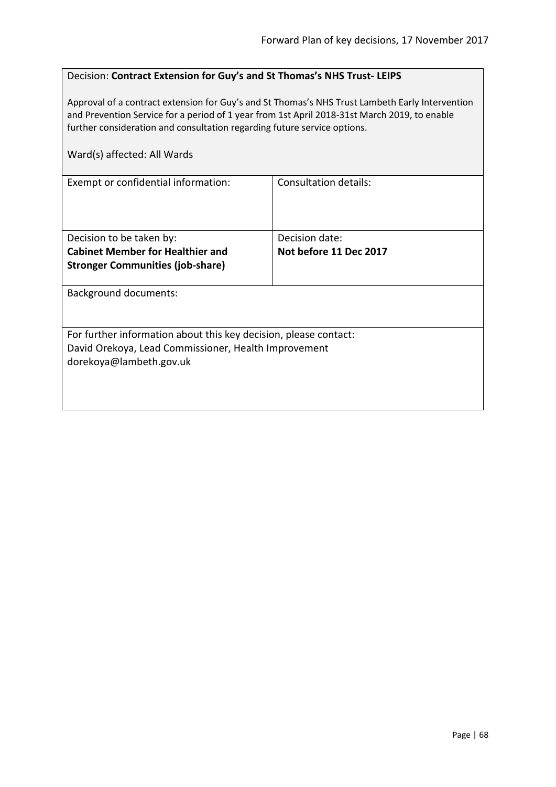| Decision: Contract Extension for Guy's and St Thomas's NHS Trust-LEIPS |  |
|------------------------------------------------------------------------|--|
|------------------------------------------------------------------------|--|

Approval of a contract extension for Guy's and St Thomas's NHS Trust Lambeth Early Intervention and Prevention Service for a period of 1 year from 1st April 2018-31st March 2019, to enable further consideration and consultation regarding future service options.

| Ward(s) affected: All Wards                                      |                        |
|------------------------------------------------------------------|------------------------|
| Exempt or confidential information:                              | Consultation details:  |
|                                                                  |                        |
| Decision to be taken by:                                         | Decision date:         |
| <b>Cabinet Member for Healthier and</b>                          | Not before 11 Dec 2017 |
| <b>Stronger Communities (job-share)</b>                          |                        |
| Background documents:                                            |                        |
|                                                                  |                        |
| For further information about this key decision, please contact: |                        |
| David Orekoya, Lead Commissioner, Health Improvement             |                        |
| dorekoya@lambeth.gov.uk                                          |                        |
|                                                                  |                        |
|                                                                  |                        |
|                                                                  |                        |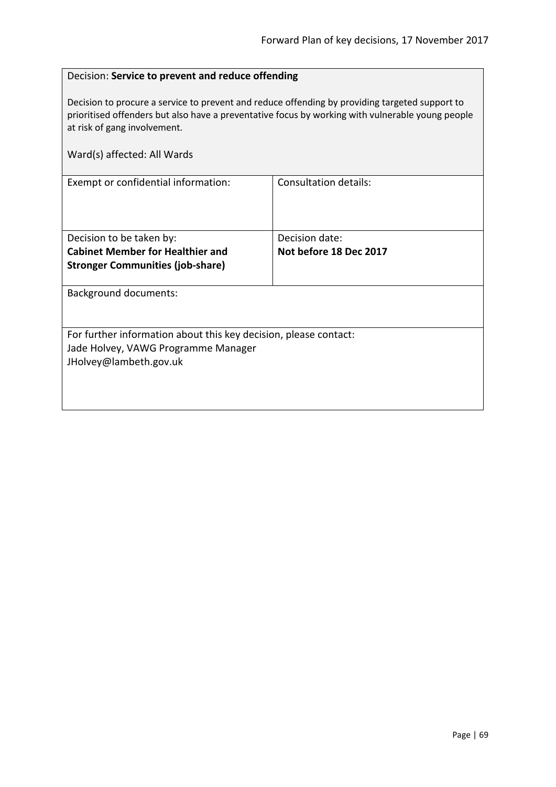### Decision: **Service to prevent and reduce offending**

Decision to procure a service to prevent and reduce offending by providing targeted support to prioritised offenders but also have a preventative focus by working with vulnerable young people at risk of gang involvement.

| Ward(s) affected: All Wards                                      |                        |  |
|------------------------------------------------------------------|------------------------|--|
| Exempt or confidential information:                              | Consultation details:  |  |
| Decision to be taken by:                                         | Decision date:         |  |
| <b>Cabinet Member for Healthier and</b>                          | Not before 18 Dec 2017 |  |
| <b>Stronger Communities (job-share)</b>                          |                        |  |
| Background documents:                                            |                        |  |
| For further information about this key decision, please contact: |                        |  |
| Jade Holvey, VAWG Programme Manager                              |                        |  |
| JHolvey@lambeth.gov.uk                                           |                        |  |
|                                                                  |                        |  |
|                                                                  |                        |  |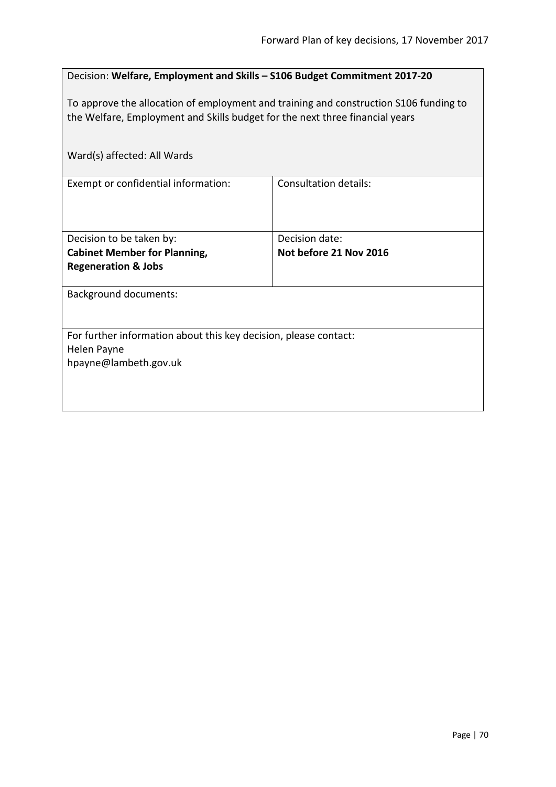| Decision: Welfare, Employment and Skills - S106 Budget Commitment 2017-20                                                                                             |                              |  |
|-----------------------------------------------------------------------------------------------------------------------------------------------------------------------|------------------------------|--|
| To approve the allocation of employment and training and construction S106 funding to<br>the Welfare, Employment and Skills budget for the next three financial years |                              |  |
| Ward(s) affected: All Wards                                                                                                                                           |                              |  |
| Exempt or confidential information:                                                                                                                                   | <b>Consultation details:</b> |  |
|                                                                                                                                                                       |                              |  |
| Decision to be taken by:                                                                                                                                              | Decision date:               |  |
| <b>Cabinet Member for Planning,</b>                                                                                                                                   | Not before 21 Nov 2016       |  |
| <b>Regeneration &amp; Jobs</b>                                                                                                                                        |                              |  |
| <b>Background documents:</b>                                                                                                                                          |                              |  |
|                                                                                                                                                                       |                              |  |
| For further information about this key decision, please contact:                                                                                                      |                              |  |
| Helen Payne                                                                                                                                                           |                              |  |
| hpayne@lambeth.gov.uk                                                                                                                                                 |                              |  |
|                                                                                                                                                                       |                              |  |
|                                                                                                                                                                       |                              |  |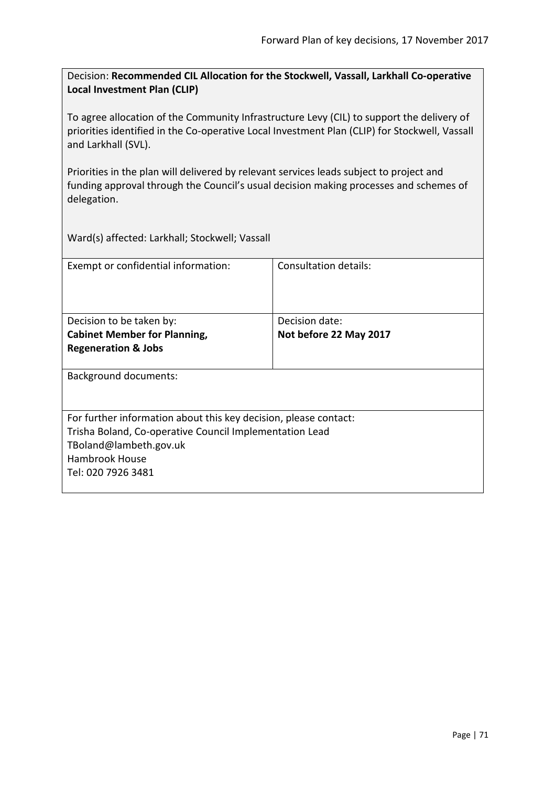Decision: **Recommended CIL Allocation for the Stockwell, Vassall, Larkhall Co-operative Local Investment Plan (CLIP)**

To agree allocation of the Community Infrastructure Levy (CIL) to support the delivery of priorities identified in the Co-operative Local Investment Plan (CLIP) for Stockwell, Vassall and Larkhall (SVL).

Priorities in the plan will delivered by relevant services leads subject to project and funding approval through the Council's usual decision making processes and schemes of delegation.

Ward(s) affected: Larkhall; Stockwell; Vassall

| Exempt or confidential information:                              | Consultation details:  |
|------------------------------------------------------------------|------------------------|
|                                                                  |                        |
| Decision to be taken by:                                         | Decision date:         |
| <b>Cabinet Member for Planning,</b>                              | Not before 22 May 2017 |
| <b>Regeneration &amp; Jobs</b>                                   |                        |
| <b>Background documents:</b>                                     |                        |
| For further information about this key decision, please contact: |                        |
| Trisha Boland, Co-operative Council Implementation Lead          |                        |
| TBoland@lambeth.gov.uk                                           |                        |
| <b>Hambrook House</b>                                            |                        |
| Tel: 020 7926 3481                                               |                        |
|                                                                  |                        |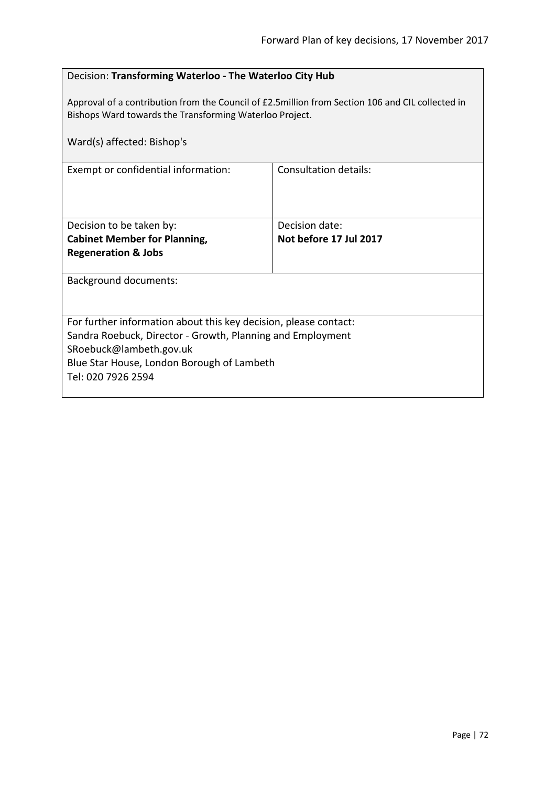| Decision: Transforming Waterloo - The Waterloo City Hub                                                                                                     |                        |  |
|-------------------------------------------------------------------------------------------------------------------------------------------------------------|------------------------|--|
| Approval of a contribution from the Council of £2.5million from Section 106 and CIL collected in<br>Bishops Ward towards the Transforming Waterloo Project. |                        |  |
| Ward(s) affected: Bishop's                                                                                                                                  |                        |  |
| Exempt or confidential information:                                                                                                                         | Consultation details:  |  |
|                                                                                                                                                             |                        |  |
| Decision to be taken by:                                                                                                                                    | Decision date:         |  |
| <b>Cabinet Member for Planning,</b><br><b>Regeneration &amp; Jobs</b>                                                                                       | Not before 17 Jul 2017 |  |
|                                                                                                                                                             |                        |  |
| <b>Background documents:</b>                                                                                                                                |                        |  |
|                                                                                                                                                             |                        |  |
| For further information about this key decision, please contact:                                                                                            |                        |  |
| Sandra Roebuck, Director - Growth, Planning and Employment                                                                                                  |                        |  |
| SRoebuck@lambeth.gov.uk<br>Blue Star House, London Borough of Lambeth                                                                                       |                        |  |
| Tel: 020 7926 2594                                                                                                                                          |                        |  |
|                                                                                                                                                             |                        |  |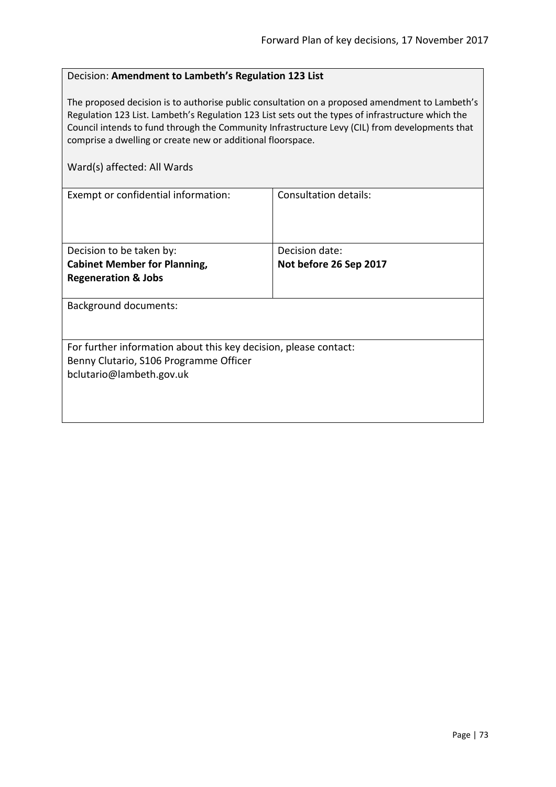#### Decision: **Amendment to Lambeth's Regulation 123 List**

The proposed decision is to authorise public consultation on a proposed amendment to Lambeth's Regulation 123 List. Lambeth's Regulation 123 List sets out the types of infrastructure which the Council intends to fund through the Community Infrastructure Levy (CIL) from developments that comprise a dwelling or create new or additional floorspace.

| Exempt or confidential information:                              | Consultation details:  |
|------------------------------------------------------------------|------------------------|
|                                                                  |                        |
|                                                                  |                        |
|                                                                  |                        |
|                                                                  |                        |
| Decision to be taken by:                                         | Decision date:         |
| <b>Cabinet Member for Planning,</b>                              | Not before 26 Sep 2017 |
| <b>Regeneration &amp; Jobs</b>                                   |                        |
|                                                                  |                        |
| <b>Background documents:</b>                                     |                        |
|                                                                  |                        |
|                                                                  |                        |
| For further information about this key decision, please contact: |                        |
| Benny Clutario, S106 Programme Officer                           |                        |
| bclutario@lambeth.gov.uk                                         |                        |
|                                                                  |                        |
|                                                                  |                        |
|                                                                  |                        |
|                                                                  |                        |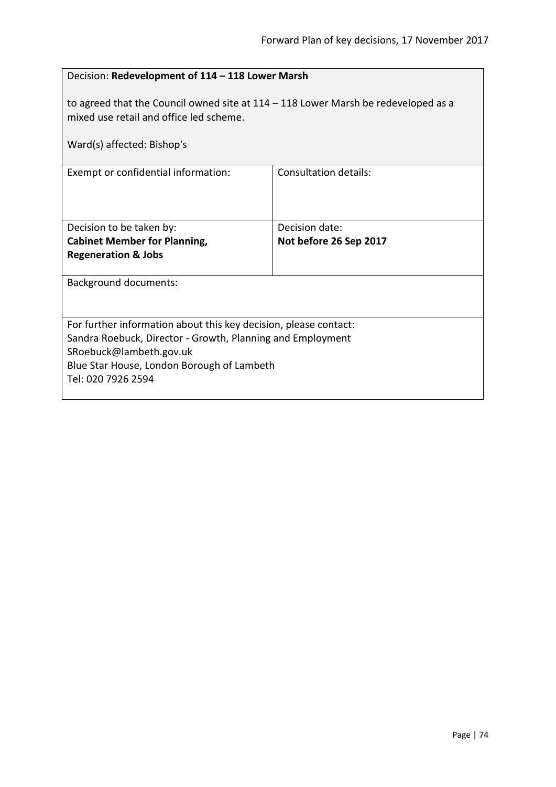| Decision: Redevelopment of 114 - 118 Lower Marsh                                                                                                                                                                              |                                          |
|-------------------------------------------------------------------------------------------------------------------------------------------------------------------------------------------------------------------------------|------------------------------------------|
| to agreed that the Council owned site at $114 - 118$ Lower Marsh be redeveloped as a<br>mixed use retail and office led scheme.                                                                                               |                                          |
| Ward(s) affected: Bishop's                                                                                                                                                                                                    |                                          |
| Exempt or confidential information:                                                                                                                                                                                           | <b>Consultation details:</b>             |
| Decision to be taken by:<br><b>Cabinet Member for Planning,</b><br><b>Regeneration &amp; Jobs</b>                                                                                                                             | Decision date:<br>Not before 26 Sep 2017 |
| <b>Background documents:</b>                                                                                                                                                                                                  |                                          |
| For further information about this key decision, please contact:<br>Sandra Roebuck, Director - Growth, Planning and Employment<br>SRoebuck@lambeth.gov.uk<br>Blue Star House, London Borough of Lambeth<br>Tel: 020 7926 2594 |                                          |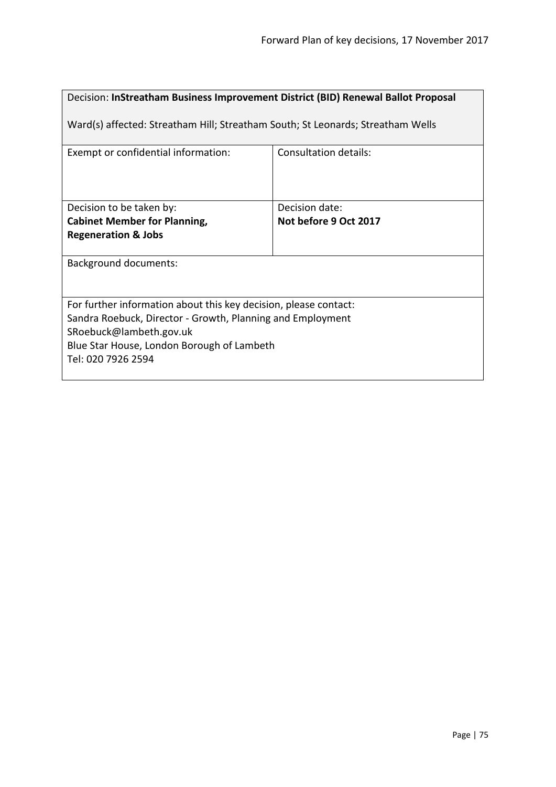# Decision: **InStreatham Business Improvement District (BID) Renewal Ballot Proposal**

Ward(s) affected: Streatham Hill; Streatham South; St Leonards; Streatham Wells

| Exempt or confidential information:                                                                                                                                                                                           | Consultation details:                   |
|-------------------------------------------------------------------------------------------------------------------------------------------------------------------------------------------------------------------------------|-----------------------------------------|
| Decision to be taken by:<br><b>Cabinet Member for Planning,</b><br><b>Regeneration &amp; Jobs</b>                                                                                                                             | Decision date:<br>Not before 9 Oct 2017 |
| <b>Background documents:</b>                                                                                                                                                                                                  |                                         |
| For further information about this key decision, please contact:<br>Sandra Roebuck, Director - Growth, Planning and Employment<br>SRoebuck@lambeth.gov.uk<br>Blue Star House, London Borough of Lambeth<br>Tel: 020 7926 2594 |                                         |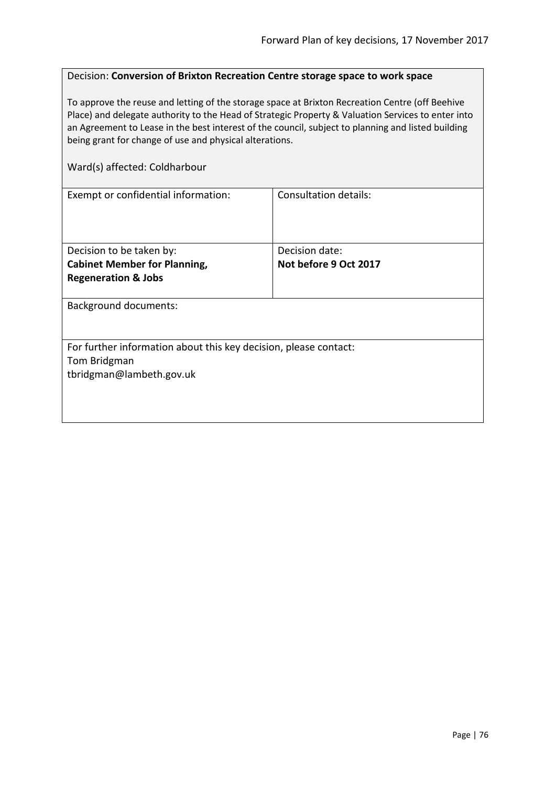#### Decision: **Conversion of Brixton Recreation Centre storage space to work space**

To approve the reuse and letting of the storage space at Brixton Recreation Centre (off Beehive Place) and delegate authority to the Head of Strategic Property & Valuation Services to enter into an Agreement to Lease in the best interest of the council, subject to planning and listed building being grant for change of use and physical alterations.

#### Ward(s) affected: Coldharbour

| <b>Consultation details:</b>                                     |
|------------------------------------------------------------------|
|                                                                  |
|                                                                  |
|                                                                  |
| Decision date:                                                   |
| Not before 9 Oct 2017                                            |
|                                                                  |
|                                                                  |
|                                                                  |
|                                                                  |
|                                                                  |
| For further information about this key decision, please contact: |
|                                                                  |
|                                                                  |
|                                                                  |
|                                                                  |
|                                                                  |
|                                                                  |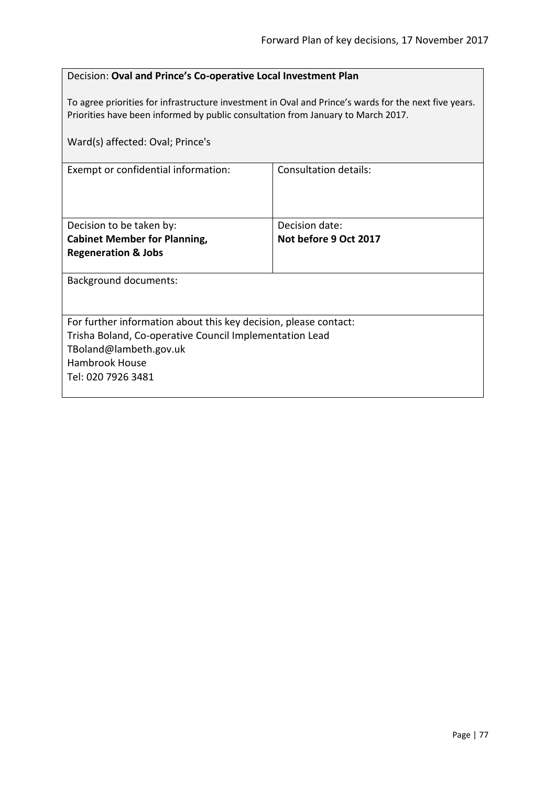| Decision: Oval and Prince's Co-operative Local Investment Plan                                                                                                                                                                |                              |
|-------------------------------------------------------------------------------------------------------------------------------------------------------------------------------------------------------------------------------|------------------------------|
| To agree priorities for infrastructure investment in Oval and Prince's wards for the next five years.<br>Priorities have been informed by public consultation from January to March 2017.<br>Ward(s) affected: Oval; Prince's |                              |
|                                                                                                                                                                                                                               |                              |
| Exempt or confidential information:                                                                                                                                                                                           | <b>Consultation details:</b> |
|                                                                                                                                                                                                                               |                              |
|                                                                                                                                                                                                                               |                              |
| Decision to be taken by:                                                                                                                                                                                                      | Decision date:               |
| <b>Cabinet Member for Planning,</b>                                                                                                                                                                                           | Not before 9 Oct 2017        |
| <b>Regeneration &amp; Jobs</b>                                                                                                                                                                                                |                              |
| <b>Background documents:</b>                                                                                                                                                                                                  |                              |
|                                                                                                                                                                                                                               |                              |
|                                                                                                                                                                                                                               |                              |
| For further information about this key decision, please contact:<br>Trisha Boland, Co-operative Council Implementation Lead                                                                                                   |                              |
| TBoland@lambeth.gov.uk                                                                                                                                                                                                        |                              |
| Hambrook House                                                                                                                                                                                                                |                              |
| Tel: 020 7926 3481                                                                                                                                                                                                            |                              |
|                                                                                                                                                                                                                               |                              |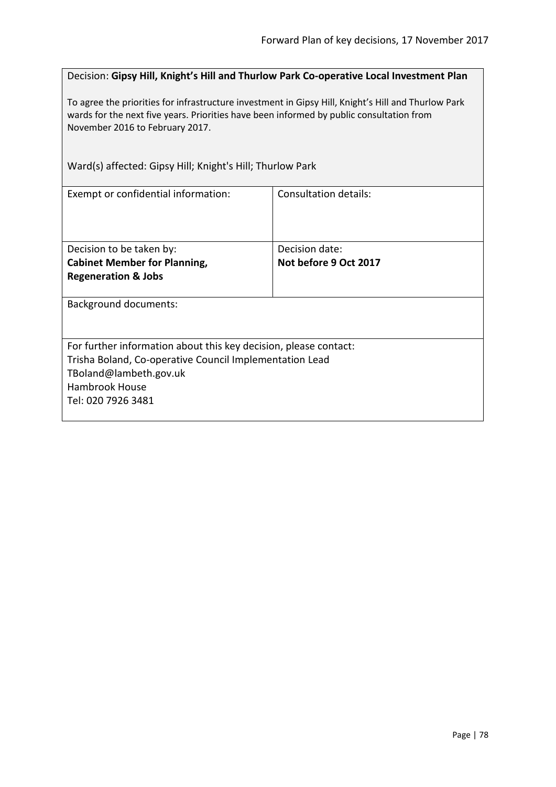Decision: **Gipsy Hill, Knight's Hill and Thurlow Park Co-operative Local Investment Plan**

To agree the priorities for infrastructure investment in Gipsy Hill, Knight's Hill and Thurlow Park wards for the next five years. Priorities have been informed by public consultation from November 2016 to February 2017.

Ward(s) affected: Gipsy Hill; Knight's Hill; Thurlow Park

| Exempt or confidential information:                              | Consultation details: |
|------------------------------------------------------------------|-----------------------|
|                                                                  |                       |
| Decision to be taken by:                                         | Decision date:        |
| <b>Cabinet Member for Planning,</b>                              | Not before 9 Oct 2017 |
| <b>Regeneration &amp; Jobs</b>                                   |                       |
| <b>Background documents:</b>                                     |                       |
| For further information about this key decision, please contact: |                       |
| Trisha Boland, Co-operative Council Implementation Lead          |                       |
| TBoland@lambeth.gov.uk                                           |                       |
| Hambrook House                                                   |                       |
| Tel: 020 7926 3481                                               |                       |
|                                                                  |                       |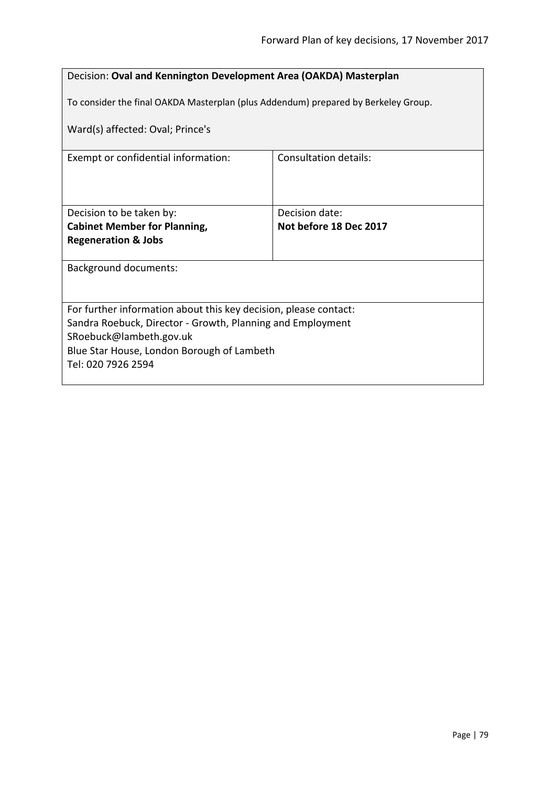| Decision: Oval and Kennington Development Area (OAKDA) Masterplan                  |                        |
|------------------------------------------------------------------------------------|------------------------|
| To consider the final OAKDA Masterplan (plus Addendum) prepared by Berkeley Group. |                        |
| Ward(s) affected: Oval; Prince's                                                   |                        |
| Exempt or confidential information:                                                | Consultation details:  |
|                                                                                    |                        |
|                                                                                    |                        |
| Decision to be taken by:                                                           | Decision date:         |
| <b>Cabinet Member for Planning,</b>                                                | Not before 18 Dec 2017 |
| <b>Regeneration &amp; Jobs</b>                                                     |                        |
|                                                                                    |                        |
| <b>Background documents:</b>                                                       |                        |
|                                                                                    |                        |
|                                                                                    |                        |
| For further information about this key decision, please contact:                   |                        |
| Sandra Roebuck, Director - Growth, Planning and Employment                         |                        |
| SRoebuck@lambeth.gov.uk                                                            |                        |
| Blue Star House, London Borough of Lambeth                                         |                        |
| Tel: 020 7926 2594                                                                 |                        |
|                                                                                    |                        |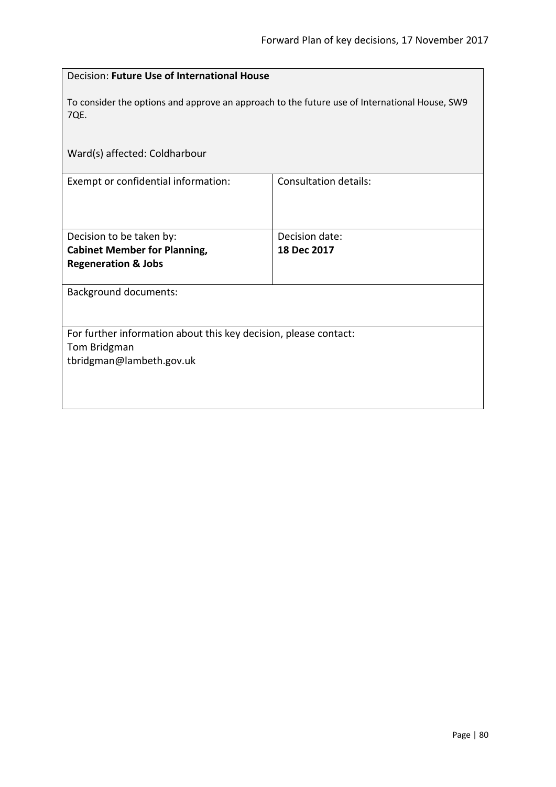| Decision: Future Use of International House                                                                  |                              |
|--------------------------------------------------------------------------------------------------------------|------------------------------|
| To consider the options and approve an approach to the future use of International House, SW9<br><b>7QE.</b> |                              |
| Ward(s) affected: Coldharbour                                                                                |                              |
| Exempt or confidential information:                                                                          | <b>Consultation details:</b> |
| Decision to be taken by:                                                                                     | Decision date:               |
| <b>Cabinet Member for Planning,</b>                                                                          | 18 Dec 2017                  |
| <b>Regeneration &amp; Jobs</b>                                                                               |                              |
| <b>Background documents:</b>                                                                                 |                              |
| For further information about this key decision, please contact:                                             |                              |
| Tom Bridgman                                                                                                 |                              |
| tbridgman@lambeth.gov.uk                                                                                     |                              |
|                                                                                                              |                              |
|                                                                                                              |                              |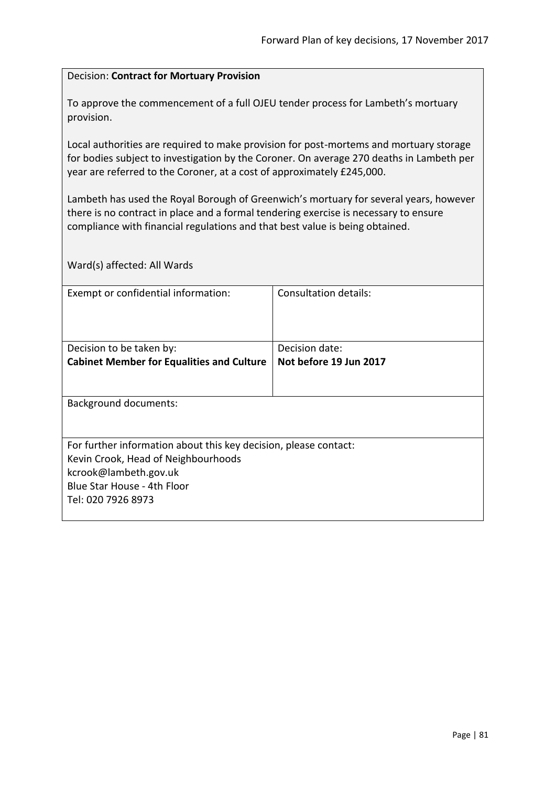#### Decision: **Contract for Mortuary Provision**

To approve the commencement of a full OJEU tender process for Lambeth's mortuary provision.

Local authorities are required to make provision for post-mortems and mortuary storage for bodies subject to investigation by the Coroner. On average 270 deaths in Lambeth per year are referred to the Coroner, at a cost of approximately £245,000.

Lambeth has used the Royal Borough of Greenwich's mortuary for several years, however there is no contract in place and a formal tendering exercise is necessary to ensure compliance with financial regulations and that best value is being obtained.

| Exempt or confidential information:                              | Consultation details:  |
|------------------------------------------------------------------|------------------------|
|                                                                  |                        |
|                                                                  |                        |
| Decision to be taken by:                                         | Decision date:         |
| <b>Cabinet Member for Equalities and Culture</b>                 | Not before 19 Jun 2017 |
|                                                                  |                        |
|                                                                  |                        |
| <b>Background documents:</b>                                     |                        |
|                                                                  |                        |
| For further information about this key decision, please contact: |                        |
| Kevin Crook, Head of Neighbourhoods                              |                        |
| kcrook@lambeth.gov.uk                                            |                        |
| Blue Star House - 4th Floor                                      |                        |
| Tel: 020 7926 8973                                               |                        |
|                                                                  |                        |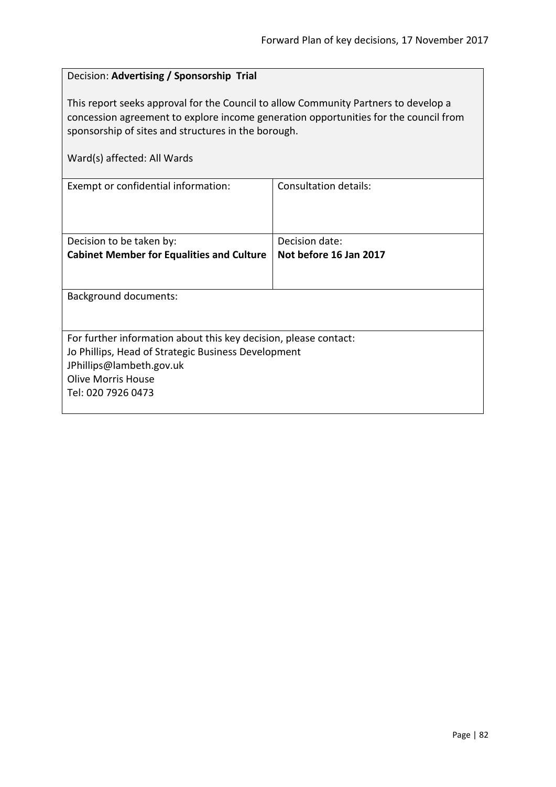| Decision: Advertising / Sponsorship Trial                                                                                                                                                                                                                         |                              |
|-------------------------------------------------------------------------------------------------------------------------------------------------------------------------------------------------------------------------------------------------------------------|------------------------------|
| This report seeks approval for the Council to allow Community Partners to develop a<br>concession agreement to explore income generation opportunities for the council from<br>sponsorship of sites and structures in the borough.<br>Ward(s) affected: All Wards |                              |
| Exempt or confidential information:                                                                                                                                                                                                                               | <b>Consultation details:</b> |
| Decision to be taken by:                                                                                                                                                                                                                                          | Decision date:               |
| <b>Cabinet Member for Equalities and Culture</b>                                                                                                                                                                                                                  | Not before 16 Jan 2017       |
|                                                                                                                                                                                                                                                                   |                              |
| <b>Background documents:</b>                                                                                                                                                                                                                                      |                              |
|                                                                                                                                                                                                                                                                   |                              |
| For further information about this key decision, please contact:                                                                                                                                                                                                  |                              |
| Jo Phillips, Head of Strategic Business Development                                                                                                                                                                                                               |                              |
| JPhillips@lambeth.gov.uk                                                                                                                                                                                                                                          |                              |
| <b>Olive Morris House</b>                                                                                                                                                                                                                                         |                              |
| Tel: 020 7926 0473                                                                                                                                                                                                                                                |                              |
|                                                                                                                                                                                                                                                                   |                              |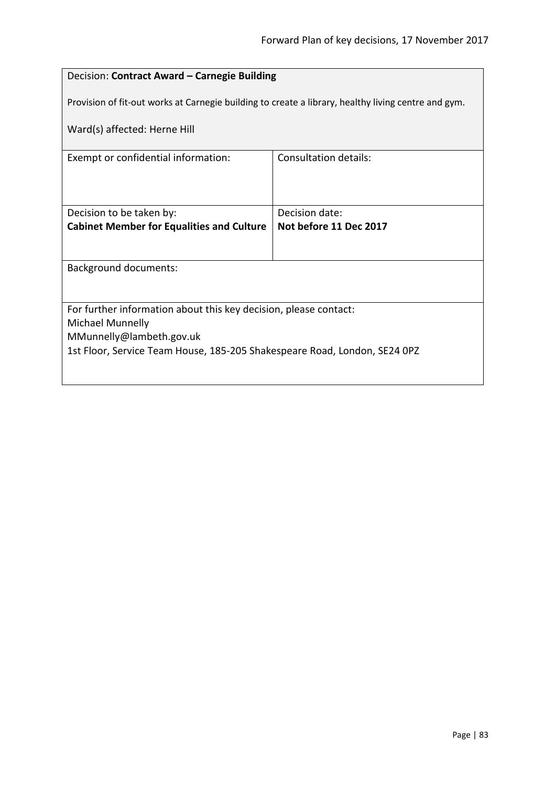## Decision: **Contract Award – Carnegie Building**

Provision of fit-out works at Carnegie building to create a library, healthy living centre and gym.

Ward(s) affected: Herne Hill

| Consultation details:                                                     |  |
|---------------------------------------------------------------------------|--|
|                                                                           |  |
|                                                                           |  |
|                                                                           |  |
| Decision date:                                                            |  |
| Not before 11 Dec 2017                                                    |  |
|                                                                           |  |
|                                                                           |  |
| <b>Background documents:</b>                                              |  |
|                                                                           |  |
|                                                                           |  |
| For further information about this key decision, please contact:          |  |
|                                                                           |  |
| <b>Michael Munnelly</b><br>MMunnelly@lambeth.gov.uk                       |  |
|                                                                           |  |
| 1st Floor, Service Team House, 185-205 Shakespeare Road, London, SE24 0PZ |  |
|                                                                           |  |
| <b>Cabinet Member for Equalities and Culture</b>                          |  |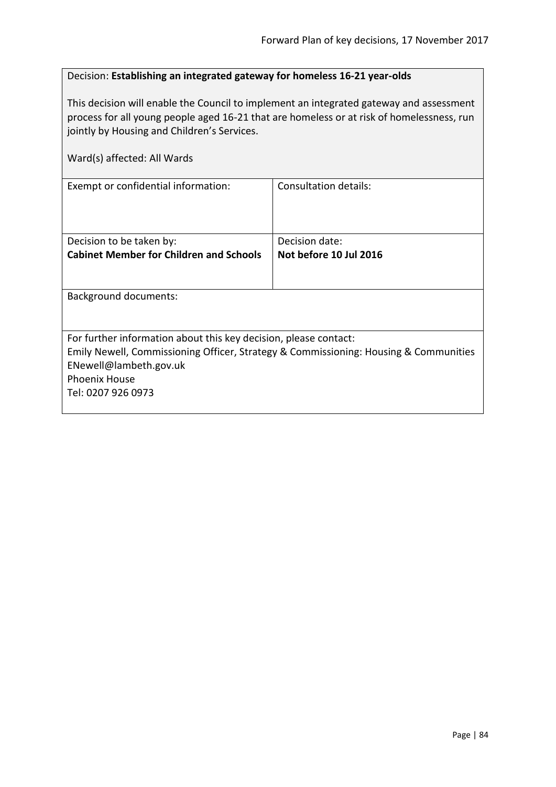| Decision: Establishing an integrated gateway for homeless 16-21 year-olds |
|---------------------------------------------------------------------------|
|---------------------------------------------------------------------------|

This decision will enable the Council to implement an integrated gateway and assessment process for all young people aged 16-21 that are homeless or at risk of homelessness, run jointly by Housing and Children's Services.

| Ward(s) affected: All Wards                                                                                                                                                                                                      |                        |
|----------------------------------------------------------------------------------------------------------------------------------------------------------------------------------------------------------------------------------|------------------------|
| Exempt or confidential information:                                                                                                                                                                                              | Consultation details:  |
| Decision to be taken by:                                                                                                                                                                                                         | Decision date:         |
| <b>Cabinet Member for Children and Schools</b>                                                                                                                                                                                   | Not before 10 Jul 2016 |
| <b>Background documents:</b>                                                                                                                                                                                                     |                        |
| For further information about this key decision, please contact:<br>Emily Newell, Commissioning Officer, Strategy & Commissioning: Housing & Communities<br>ENewell@lambeth.gov.uk<br><b>Phoenix House</b><br>Tel: 0207 926 0973 |                        |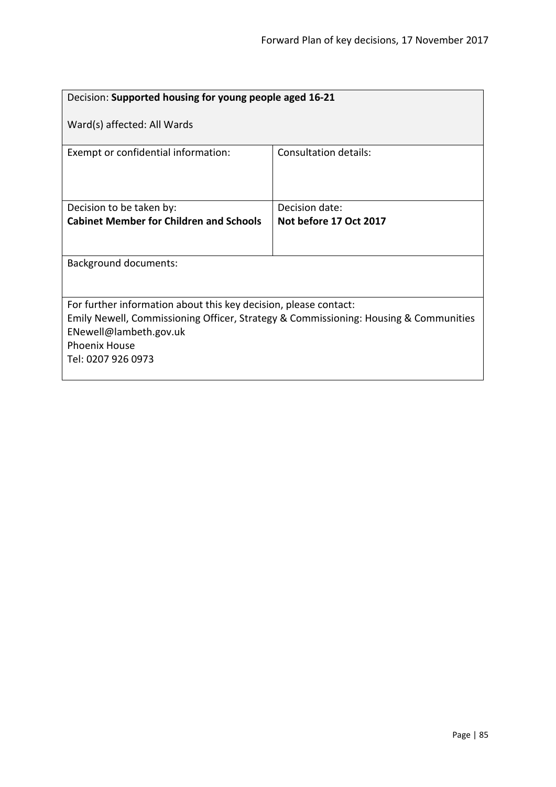| Decision: Supported housing for young people aged 16-21                                                                                                                                                                          |                        |  |
|----------------------------------------------------------------------------------------------------------------------------------------------------------------------------------------------------------------------------------|------------------------|--|
| Ward(s) affected: All Wards                                                                                                                                                                                                      |                        |  |
| Exempt or confidential information:                                                                                                                                                                                              | Consultation details:  |  |
| Decision to be taken by:                                                                                                                                                                                                         | Decision date:         |  |
| <b>Cabinet Member for Children and Schools</b>                                                                                                                                                                                   | Not before 17 Oct 2017 |  |
|                                                                                                                                                                                                                                  |                        |  |
| <b>Background documents:</b>                                                                                                                                                                                                     |                        |  |
|                                                                                                                                                                                                                                  |                        |  |
| For further information about this key decision, please contact:<br>Emily Newell, Commissioning Officer, Strategy & Commissioning: Housing & Communities<br>ENewell@lambeth.gov.uk<br><b>Phoenix House</b><br>Tel: 0207 926 0973 |                        |  |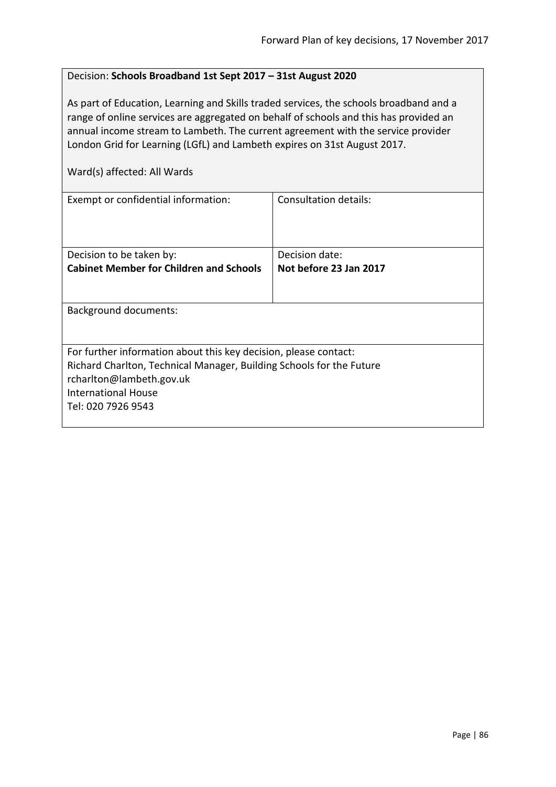#### Decision: **Schools Broadband 1st Sept 2017 – 31st August 2020**

As part of Education, Learning and Skills traded services, the schools broadband and a range of online services are aggregated on behalf of schools and this has provided an annual income stream to Lambeth. The current agreement with the service provider London Grid for Learning (LGfL) and Lambeth expires on 31st August 2017.

| Exempt or confidential information:                                                                                                                                                                                      | Consultation details:  |
|--------------------------------------------------------------------------------------------------------------------------------------------------------------------------------------------------------------------------|------------------------|
| Decision to be taken by:                                                                                                                                                                                                 | Decision date:         |
| <b>Cabinet Member for Children and Schools</b>                                                                                                                                                                           | Not before 23 Jan 2017 |
|                                                                                                                                                                                                                          |                        |
| <b>Background documents:</b>                                                                                                                                                                                             |                        |
| For further information about this key decision, please contact:<br>Richard Charlton, Technical Manager, Building Schools for the Future<br>rcharlton@lambeth.gov.uk<br><b>International House</b><br>Tel: 020 7926 9543 |                        |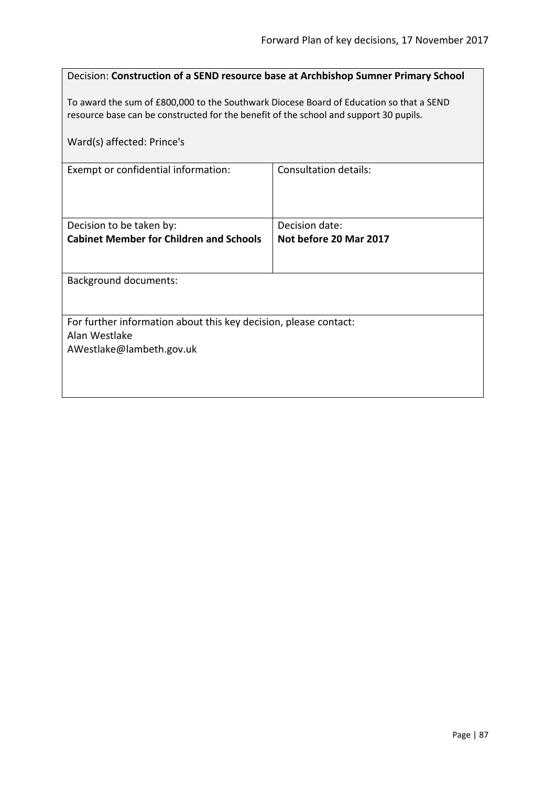| Decision: Construction of a SEND resource base at Archbishop Sumner Primary School                                                                                                                             |                        |
|----------------------------------------------------------------------------------------------------------------------------------------------------------------------------------------------------------------|------------------------|
| To award the sum of £800,000 to the Southwark Diocese Board of Education so that a SEND<br>resource base can be constructed for the benefit of the school and support 30 pupils.<br>Ward(s) affected: Prince's |                        |
| Exempt or confidential information:                                                                                                                                                                            | Consultation details:  |
|                                                                                                                                                                                                                |                        |
| Decision to be taken by:                                                                                                                                                                                       | Decision date:         |
| <b>Cabinet Member for Children and Schools</b>                                                                                                                                                                 | Not before 20 Mar 2017 |
|                                                                                                                                                                                                                |                        |
| <b>Background documents:</b>                                                                                                                                                                                   |                        |
|                                                                                                                                                                                                                |                        |
| For further information about this key decision, please contact:                                                                                                                                               |                        |
| Alan Westlake                                                                                                                                                                                                  |                        |
| AWestlake@lambeth.gov.uk                                                                                                                                                                                       |                        |
|                                                                                                                                                                                                                |                        |
|                                                                                                                                                                                                                |                        |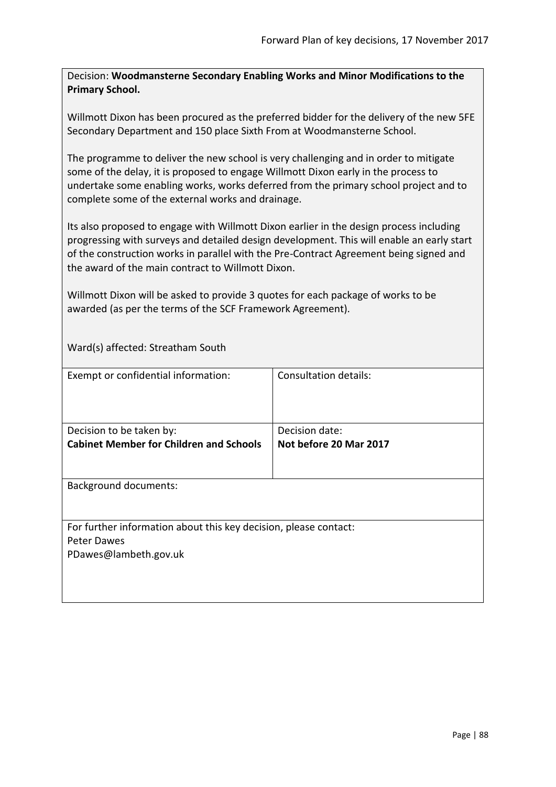Decision: **Woodmansterne Secondary Enabling Works and Minor Modifications to the Primary School.**

Willmott Dixon has been procured as the preferred bidder for the delivery of the new 5FE Secondary Department and 150 place Sixth From at Woodmansterne School.

The programme to deliver the new school is very challenging and in order to mitigate some of the delay, it is proposed to engage Willmott Dixon early in the process to undertake some enabling works, works deferred from the primary school project and to complete some of the external works and drainage.

Its also proposed to engage with Willmott Dixon earlier in the design process including progressing with surveys and detailed design development. This will enable an early start of the construction works in parallel with the Pre-Contract Agreement being signed and the award of the main contract to Willmott Dixon.

Willmott Dixon will be asked to provide 3 quotes for each package of works to be awarded (as per the terms of the SCF Framework Agreement).

Ward(s) affected: Streatham South

| Exempt or confidential information:                                                                      | <b>Consultation details:</b>             |
|----------------------------------------------------------------------------------------------------------|------------------------------------------|
| Decision to be taken by:<br><b>Cabinet Member for Children and Schools</b>                               | Decision date:<br>Not before 20 Mar 2017 |
| <b>Background documents:</b>                                                                             |                                          |
| For further information about this key decision, please contact:<br>Peter Dawes<br>PDawes@lambeth.gov.uk |                                          |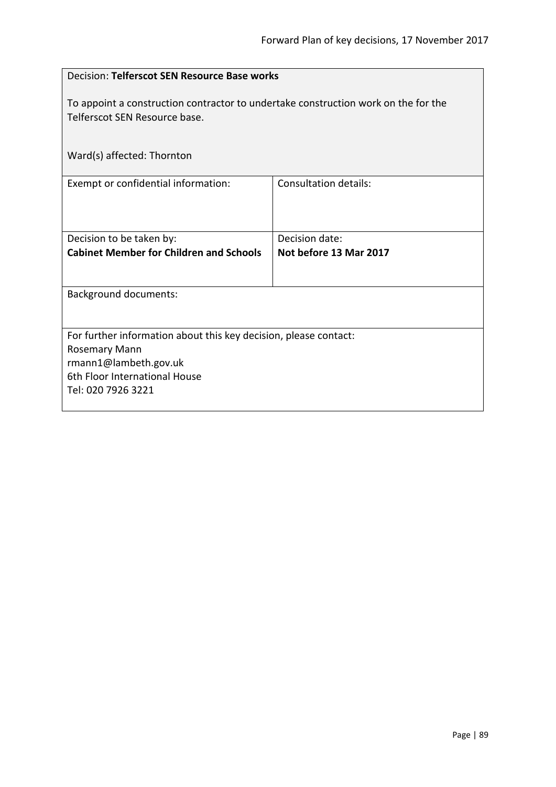| Decision: Telferscot SEN Resource Base works                                                                                                                             |                                          |
|--------------------------------------------------------------------------------------------------------------------------------------------------------------------------|------------------------------------------|
| To appoint a construction contractor to undertake construction work on the for the<br>Telferscot SEN Resource base.                                                      |                                          |
| Ward(s) affected: Thornton                                                                                                                                               |                                          |
| Exempt or confidential information:                                                                                                                                      | <b>Consultation details:</b>             |
| Decision to be taken by:<br><b>Cabinet Member for Children and Schools</b>                                                                                               | Decision date:<br>Not before 13 Mar 2017 |
| <b>Background documents:</b>                                                                                                                                             |                                          |
| For further information about this key decision, please contact:<br><b>Rosemary Mann</b><br>rmann1@lambeth.gov.uk<br>6th Floor International House<br>Tel: 020 7926 3221 |                                          |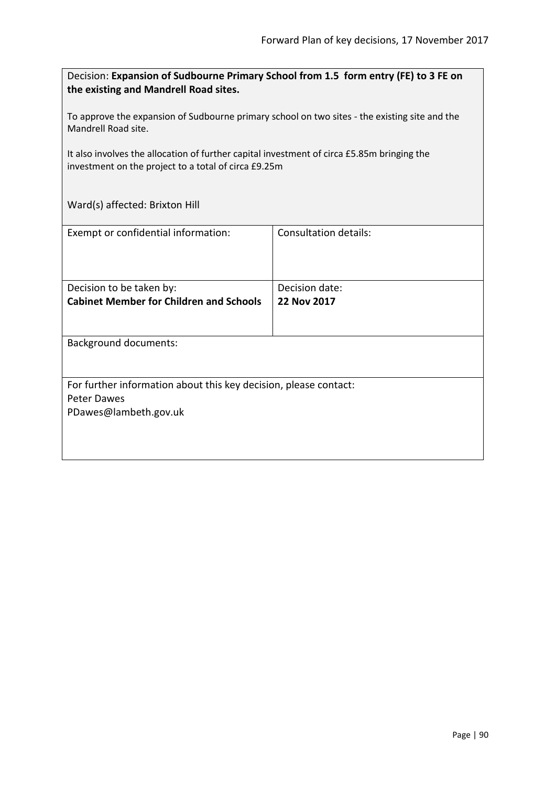Decision: **Expansion of Sudbourne Primary School from 1.5 form entry (FE) to 3 FE on the existing and Mandrell Road sites.**

To approve the expansion of Sudbourne primary school on two sites - the existing site and the Mandrell Road site.

It also involves the allocation of further capital investment of circa £5.85m bringing the investment on the project to a total of circa £9.25m

Ward(s) affected: Brixton Hill

| Exempt or confidential information:                              | <b>Consultation details:</b> |
|------------------------------------------------------------------|------------------------------|
|                                                                  |                              |
|                                                                  |                              |
|                                                                  |                              |
| Decision to be taken by:                                         | Decision date:               |
| <b>Cabinet Member for Children and Schools</b>                   | 22 Nov 2017                  |
|                                                                  |                              |
|                                                                  |                              |
| <b>Background documents:</b>                                     |                              |
|                                                                  |                              |
|                                                                  |                              |
| For further information about this key decision, please contact: |                              |
| <b>Peter Dawes</b>                                               |                              |
| PDawes@lambeth.gov.uk                                            |                              |
|                                                                  |                              |
|                                                                  |                              |
|                                                                  |                              |